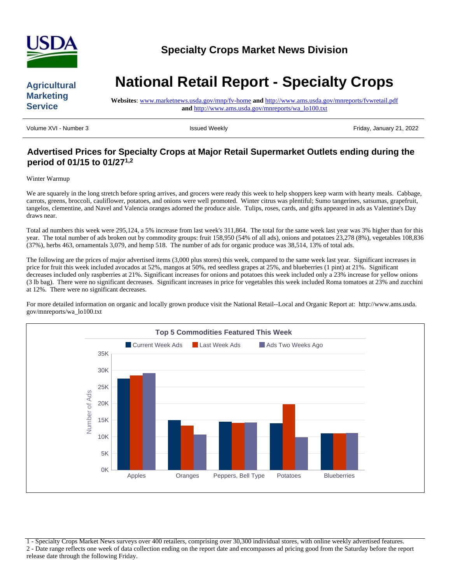

## **Agricultural Marketing Service**

# **National Retail Report - Specialty Crops**

**Websites**: [www.marketnews.usda.gov/mnp/fv-home](http://www.marketnews.usda.gov/mnp/fv-home) **and** <http://www.ams.usda.gov/mnreports/fvwretail.pdf> **and** [http://www.ams.usda.gov/mnreports/wa\\_lo100.txt](http://www.ams.usda.gov/mnreports/wa_lo100.txt)

Volume XVI - Number 3 **ISSUED 1998** Issued Weekly **Interventional Community Contract Community 21, 2022** 

# **Advertised Prices for Specialty Crops at Major Retail Supermarket Outlets ending during the period of 01/15 to 01/271,2**

#### Winter Warmup

We are squarely in the long stretch before spring arrives, and grocers were ready this week to help shoppers keep warm with hearty meals. Cabbage, carrots, greens, broccoli, cauliflower, potatoes, and onions were well promoted. Winter citrus was plentiful; Sumo tangerines, satsumas, grapefruit, tangelos, clementine, and Navel and Valencia oranges adorned the produce aisle. Tulips, roses, cards, and gifts appeared in ads as Valentine's Day draws near.

Total ad numbers this week were 295,124, a 5% increase from last week's 311,864. The total for the same week last year was 3% higher than for this year. The total number of ads broken out by commodity groups: fruit 158,950 (54% of all ads), onions and potatoes 23,278 (8%), vegetables 108,836 (37%), herbs 463, ornamentals 3,079, and hemp 518. The number of ads for organic produce was 38,514, 13% of total ads.

The following are the prices of major advertised items (3,000 plus stores) this week, compared to the same week last year. Significant increases in price for fruit this week included avocados at 52%, mangos at 50%, red seedless grapes at 25%, and blueberries (1 pint) at 21%. Significant decreases included only raspberries at 21%. Significant increases for onions and potatoes this week included only a 23% increase for yellow onions (3 lb bag). There were no significant decreases. Significant increases in price for vegetables this week included Roma tomatoes at 23% and zucchini at 12%. There were no significant decreases.

For more detailed information on organic and locally grown produce visit the National Retail--Local and Organic Report at: http://www.ams.usda. gov/mnreports/wa\_lo100.txt



1 - Specialty Crops Market News surveys over 400 retailers, comprising over 30,300 individual stores, with online weekly advertised features. 2 - Date range reflects one week of data collection ending on the report date and encompasses ad pricing good from the Saturday before the report release date through the following Friday.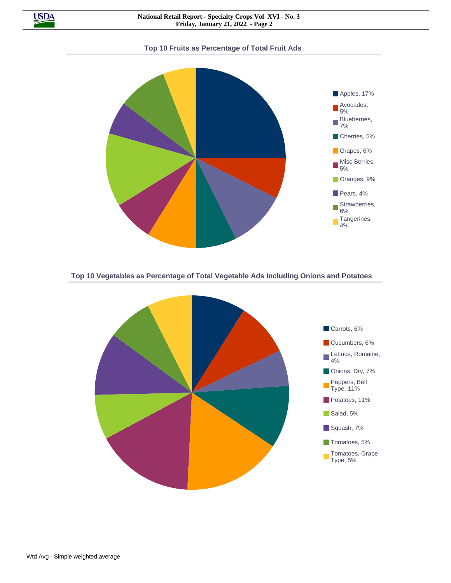

**Top 10 Fruits as Percentage of Total Fruit Ads**



**Top 10 Vegetables as Percentage of Total Vegetable Ads Including Onions and Potatoes**

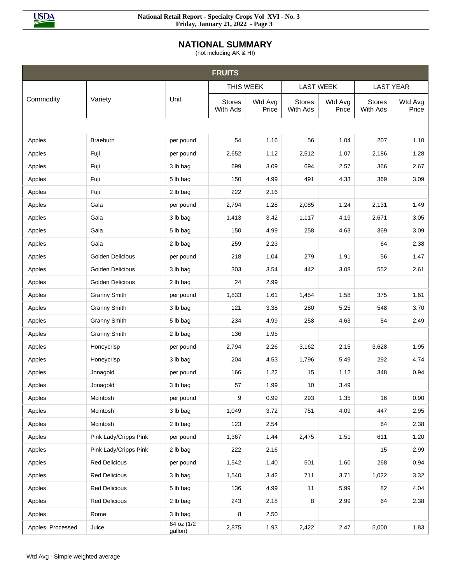

## **NATIONAL SUMMARY**

(not including AK & HI)

|                   |                         |                       | <b>FRUITS</b>             |                  |                           |                  |                           |                  |
|-------------------|-------------------------|-----------------------|---------------------------|------------------|---------------------------|------------------|---------------------------|------------------|
|                   |                         |                       | THIS WEEK                 |                  | <b>LAST WEEK</b>          |                  |                           | <b>LAST YEAR</b> |
| Commodity         | Variety                 | Unit                  | <b>Stores</b><br>With Ads | Wtd Avg<br>Price | <b>Stores</b><br>With Ads | Wtd Avg<br>Price | <b>Stores</b><br>With Ads | Wtd Avg<br>Price |
|                   |                         |                       |                           |                  |                           |                  |                           |                  |
| Apples            | Braeburn                | per pound             | 54                        | 1.16             | 56                        | 1.04             | 207                       | 1.10             |
| Apples            | Fuji                    | per pound             | 2,652                     | 1.12             | 2,512                     | 1.07             | 2,186                     | 1.28             |
| Apples            | Fuji                    | 3 lb bag              | 699                       | 3.09             | 694                       | 2.57             | 366                       | 2.67             |
| Apples            | Fuji                    | 5 lb bag              | 150                       | 4.99             | 491                       | 4.33             | 369                       | 3.09             |
| Apples            | Fuji                    | 2 lb bag              | 222                       | 2.16             |                           |                  |                           |                  |
| Apples            | Gala                    | per pound             | 2,794                     | 1.28             | 2,085                     | 1.24             | 2,131                     | 1.49             |
| Apples            | Gala                    | 3 lb bag              | 1,413                     | 3.42             | 1,117                     | 4.19             | 2,671                     | 3.05             |
| Apples            | Gala                    | 5 lb bag              | 150                       | 4.99             | 258                       | 4.63             | 369                       | 3.09             |
| Apples            | Gala                    | 2 lb bag              | 259                       | 2.23             |                           |                  | 64                        | 2.38             |
| Apples            | Golden Delicious        | per pound             | 218                       | 1.04             | 279                       | 1.91             | 56                        | 1.47             |
| Apples            | <b>Golden Delicious</b> | 3 lb bag              | 303                       | 3.54             | 442                       | 3.08             | 552                       | 2.61             |
| Apples            | Golden Delicious        | 2 lb bag              | 24                        | 2.99             |                           |                  |                           |                  |
| Apples            | <b>Granny Smith</b>     | per pound             | 1,833                     | 1.61             | 1,454                     | 1.58             | 375                       | 1.61             |
| Apples            | <b>Granny Smith</b>     | 3 lb bag              | 121                       | 3.38             | 280                       | 5.25             | 548                       | 3.70             |
| Apples            | <b>Granny Smith</b>     | 5 lb bag              | 234                       | 4.99             | 258                       | 4.63             | 54                        | 2.49             |
| Apples            | <b>Granny Smith</b>     | 2 lb bag              | 136                       | 1.95             |                           |                  |                           |                  |
| Apples            | Honeycrisp              | per pound             | 2,794                     | 2.26             | 3,162                     | 2.15             | 3,628                     | 1.95             |
| Apples            | Honeycrisp              | 3 lb bag              | 204                       | 4.53             | 1,796                     | 5.49             | 292                       | 4.74             |
| Apples            | Jonagold                | per pound             | 166                       | 1.22             | 15                        | 1.12             | 348                       | 0.94             |
| Apples            | Jonagold                | 3 lb bag              | 57                        | 1.99             | 10                        | 3.49             |                           |                  |
| Apples            | Mcintosh                | per pound             | 9                         | 0.99             | 293                       | 1.35             | $16\,$                    | 0.90             |
| Apples            | Mcintosh                | 3 lb bag              | 1,049                     | 3.72             | 751                       | 4.09             | 447                       | 2.95             |
| Apples            | Mcintosh                | 2 lb bag              | 123                       | 2.54             |                           |                  | 64                        | 2.38             |
| Apples            | Pink Lady/Cripps Pink   | per pound             | 1,367                     | 1.44             | 2,475                     | 1.51             | 611                       | 1.20             |
| Apples            | Pink Lady/Cripps Pink   | 2 lb bag              | 222                       | 2.16             |                           |                  | 15                        | 2.99             |
| Apples            | <b>Red Delicious</b>    | per pound             | 1,542                     | 1.40             | 501                       | 1.60             | 268                       | 0.94             |
| Apples            | <b>Red Delicious</b>    | 3 lb bag              | 1,540                     | 3.42             | 711                       | 3.71             | 1,022                     | 3.32             |
| Apples            | <b>Red Delicious</b>    | 5 lb bag              | 136                       | 4.99             | 11                        | 5.99             | 82                        | 4.04             |
| Apples            | <b>Red Delicious</b>    | 2 lb bag              | 243                       | 2.18             | 8                         | 2.99             | 64                        | 2.38             |
| Apples            | Rome                    | 3 lb bag              | 8                         | 2.50             |                           |                  |                           |                  |
| Apples, Processed | Juice                   | 64 oz (1/2<br>gallon) | 2,875                     | 1.93             | 2,422                     | 2.47             | 5,000                     | 1.83             |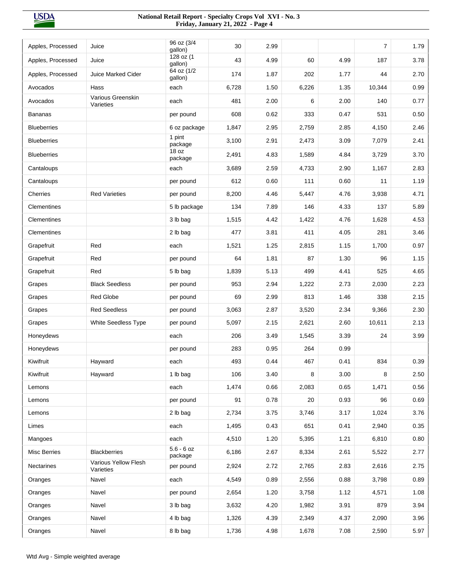**USDA** 

| Apples, Processed   | Juice                             | 96 oz (3/4<br>gallon)   | 30    | 2.99 |       |      | 7      | 1.79 |
|---------------------|-----------------------------------|-------------------------|-------|------|-------|------|--------|------|
| Apples, Processed   | Juice                             | 128 oz (1<br>gallon)    | 43    | 4.99 | 60    | 4.99 | 187    | 3.78 |
| Apples, Processed   | <b>Juice Marked Cider</b>         | 64 oz (1/2<br>gallon)   | 174   | 1.87 | 202   | 1.77 | 44     | 2.70 |
| Avocados            | Hass                              | each                    | 6,728 | 1.50 | 6,226 | 1.35 | 10,344 | 0.99 |
| Avocados            | Various Greenskin<br>Varieties    | each                    | 481   | 2.00 | 6     | 2.00 | 140    | 0.77 |
| <b>Bananas</b>      |                                   | per pound               | 608   | 0.62 | 333   | 0.47 | 531    | 0.50 |
| <b>Blueberries</b>  |                                   | 6 oz package            | 1,847 | 2.95 | 2,759 | 2.85 | 4,150  | 2.46 |
| <b>Blueberries</b>  |                                   | 1 pint<br>package       | 3,100 | 2.91 | 2,473 | 3.09 | 7,079  | 2.41 |
| <b>Blueberries</b>  |                                   | 18 oz<br>package        | 2,491 | 4.83 | 1,589 | 4.84 | 3,729  | 3.70 |
| Cantaloups          |                                   | each                    | 3,689 | 2.59 | 4,733 | 2.90 | 1,167  | 2.83 |
| Cantaloups          |                                   | per pound               | 612   | 0.60 | 111   | 0.60 | 11     | 1.19 |
| Cherries            | <b>Red Varieties</b>              | per pound               | 8,200 | 4.46 | 5,447 | 4.76 | 3,938  | 4.71 |
| Clementines         |                                   | 5 lb package            | 134   | 7.89 | 146   | 4.33 | 137    | 5.89 |
| Clementines         |                                   | 3 lb bag                | 1,515 | 4.42 | 1,422 | 4.76 | 1,628  | 4.53 |
| Clementines         |                                   | 2 lb bag                | 477   | 3.81 | 411   | 4.05 | 281    | 3.46 |
| Grapefruit          | Red                               | each                    | 1,521 | 1.25 | 2,815 | 1.15 | 1,700  | 0.97 |
| Grapefruit          | Red                               | per pound               | 64    | 1.81 | 87    | 1.30 | 96     | 1.15 |
| Grapefruit          | Red                               | 5 lb bag                | 1,839 | 5.13 | 499   | 4.41 | 525    | 4.65 |
| Grapes              | <b>Black Seedless</b>             | per pound               | 953   | 2.94 | 1,222 | 2.73 | 2,030  | 2.23 |
| Grapes              | Red Globe                         | per pound               | 69    | 2.99 | 813   | 1.46 | 338    | 2.15 |
| Grapes              | <b>Red Seedless</b>               | per pound               | 3,063 | 2.87 | 3,520 | 2.34 | 9,366  | 2.30 |
| Grapes              | <b>White Seedless Type</b>        | per pound               | 5,097 | 2.15 | 2,621 | 2.60 | 10,611 | 2.13 |
| Honeydews           |                                   | each                    | 206   | 3.49 | 1,545 | 3.39 | 24     | 3.99 |
| Honeydews           |                                   | per pound               | 283   | 0.95 | 264   | 0.99 |        |      |
| Kiwifruit           | Hayward                           | each                    | 493   | 0.44 | 467   | 0.41 | 834    | 0.39 |
| Kiwifruit           | Hayward                           | 1 lb bag                | 106   | 3.40 | 8     | 3.00 | 8      | 2.50 |
| Lemons              |                                   | each                    | 1,474 | 0.66 | 2,083 | 0.65 | 1,471  | 0.56 |
| Lemons              |                                   | per pound               | 91    | 0.78 | 20    | 0.93 | 96     | 0.69 |
| Lemons              |                                   | 2 lb bag                | 2,734 | 3.75 | 3,746 | 3.17 | 1,024  | 3.76 |
| Limes               |                                   | each                    | 1,495 | 0.43 | 651   | 0.41 | 2,940  | 0.35 |
| Mangoes             |                                   | each                    | 4,510 | 1.20 | 5,395 | 1.21 | 6,810  | 0.80 |
| <b>Misc Berries</b> | <b>Blackberries</b>               | $5.6 - 6$ oz<br>package | 6,186 | 2.67 | 8,334 | 2.61 | 5,522  | 2.77 |
| Nectarines          | Various Yellow Flesh<br>Varieties | per pound               | 2,924 | 2.72 | 2,765 | 2.83 | 2,616  | 2.75 |
| Oranges             | Navel                             | each                    | 4,549 | 0.89 | 2,556 | 0.88 | 3,798  | 0.89 |
| Oranges             | Navel                             | per pound               | 2,654 | 1.20 | 3,758 | 1.12 | 4,571  | 1.08 |
| Oranges             | Navel                             | 3 lb bag                | 3,632 | 4.20 | 1,982 | 3.91 | 879    | 3.94 |
| Oranges             | Navel                             | 4 lb bag                | 1,326 | 4.39 | 2,349 | 4.37 | 2,090  | 3.96 |
| Oranges             | Navel                             | 8 lb bag                | 1,736 | 4.98 | 1,678 | 7.08 | 2,590  | 5.97 |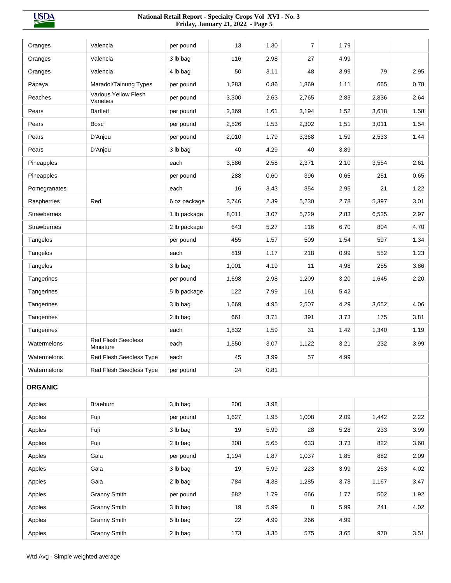**USDA** 

| Oranges             | Valencia                               | per pound    | 13    | 1.30 | $\overline{7}$ | 1.79 |       |      |
|---------------------|----------------------------------------|--------------|-------|------|----------------|------|-------|------|
| Oranges             | Valencia                               | 3 lb bag     | 116   | 2.98 | 27             | 4.99 |       |      |
| Oranges             | Valencia                               | 4 lb bag     | 50    | 3.11 | 48             | 3.99 | 79    | 2.95 |
| Papaya              | Maradol/Tainung Types                  | per pound    | 1,283 | 0.86 | 1,869          | 1.11 | 665   | 0.78 |
| Peaches             | Various Yellow Flesh<br>Varieties      | per pound    | 3,300 | 2.63 | 2,765          | 2.83 | 2,836 | 2.64 |
| Pears               | <b>Bartlett</b>                        | per pound    | 2,369 | 1.61 | 3,194          | 1.52 | 3,618 | 1.58 |
| Pears               | <b>Bosc</b>                            | per pound    | 2,526 | 1.53 | 2,302          | 1.51 | 3,011 | 1.54 |
| Pears               | D'Anjou                                | per pound    | 2,010 | 1.79 | 3,368          | 1.59 | 2,533 | 1.44 |
| Pears               | D'Anjou                                | 3 lb bag     | 40    | 4.29 | 40             | 3.89 |       |      |
| Pineapples          |                                        | each         | 3,586 | 2.58 | 2,371          | 2.10 | 3,554 | 2.61 |
| Pineapples          |                                        | per pound    | 288   | 0.60 | 396            | 0.65 | 251   | 0.65 |
| Pomegranates        |                                        | each         | 16    | 3.43 | 354            | 2.95 | 21    | 1.22 |
| Raspberries         | Red                                    | 6 oz package | 3,746 | 2.39 | 5,230          | 2.78 | 5,397 | 3.01 |
| <b>Strawberries</b> |                                        | 1 lb package | 8,011 | 3.07 | 5,729          | 2.83 | 6,535 | 2.97 |
| <b>Strawberries</b> |                                        | 2 lb package | 643   | 5.27 | 116            | 6.70 | 804   | 4.70 |
| Tangelos            |                                        | per pound    | 455   | 1.57 | 509            | 1.54 | 597   | 1.34 |
| Tangelos            |                                        | each         | 819   | 1.17 | 218            | 0.99 | 552   | 1.23 |
| Tangelos            |                                        | 3 lb bag     | 1,001 | 4.19 | 11             | 4.98 | 255   | 3.86 |
| Tangerines          |                                        | per pound    | 1,698 | 2.98 | 1,209          | 3.20 | 1,645 | 2.20 |
| Tangerines          |                                        | 5 lb package | 122   | 7.99 | 161            | 5.42 |       |      |
| Tangerines          |                                        | 3 lb bag     | 1,669 | 4.95 | 2,507          | 4.29 | 3,652 | 4.06 |
| Tangerines          |                                        | 2 lb bag     | 661   | 3.71 | 391            | 3.73 | 175   | 3.81 |
| Tangerines          |                                        | each         | 1,832 | 1.59 | 31             | 1.42 | 1,340 | 1.19 |
| Watermelons         | <b>Red Flesh Seedless</b><br>Miniature | each         | 1,550 | 3.07 | 1,122          | 3.21 | 232   | 3.99 |
| Watermelons         | Red Flesh Seedless Type                | each         | 45    | 3.99 | 57             | 4.99 |       |      |
| Watermelons         | Red Flesh Seedless Type                | per pound    | 24    | 0.81 |                |      |       |      |
| <b>ORGANIC</b>      |                                        |              |       |      |                |      |       |      |
| Apples              | Braeburn                               | 3 lb bag     | 200   | 3.98 |                |      |       |      |
| Apples              | Fuji                                   | per pound    | 1,627 | 1.95 | 1,008          | 2.09 | 1,442 | 2.22 |
| Apples              | Fuji                                   | 3 lb bag     | 19    | 5.99 | 28             | 5.28 | 233   | 3.99 |
| Apples              | Fuji                                   | 2 lb bag     | 308   | 5.65 | 633            | 3.73 | 822   | 3.60 |
| Apples              | Gala                                   | per pound    | 1,194 | 1.87 | 1,037          | 1.85 | 882   | 2.09 |
| Apples              | Gala                                   | 3 lb bag     | 19    | 5.99 | 223            | 3.99 | 253   | 4.02 |
| Apples              | Gala                                   | 2 lb bag     | 784   | 4.38 | 1,285          | 3.78 | 1,167 | 3.47 |
| Apples              | <b>Granny Smith</b>                    | per pound    | 682   | 1.79 | 666            | 1.77 | 502   | 1.92 |
| Apples              | <b>Granny Smith</b>                    | 3 lb bag     | 19    | 5.99 | 8              | 5.99 | 241   | 4.02 |
| Apples              | <b>Granny Smith</b>                    | 5 lb bag     | 22    | 4.99 | 266            | 4.99 |       |      |
| Apples              | <b>Granny Smith</b>                    | 2 lb bag     | 173   | 3.35 | 575            | 3.65 | 970   | 3.51 |
|                     |                                        |              |       |      |                |      |       |      |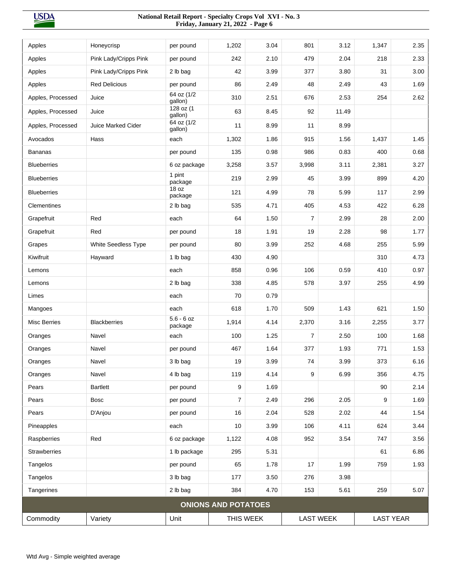| Apples              | Honeycrisp                | per pound               | 1,202                      | 3.04 | 801            | 3.12             | 1,347            | 2.35 |
|---------------------|---------------------------|-------------------------|----------------------------|------|----------------|------------------|------------------|------|
| Apples              | Pink Lady/Cripps Pink     | per pound               | 242                        | 2.10 | 479            | 2.04             | 218              | 2.33 |
| Apples              | Pink Lady/Cripps Pink     | 2 lb bag                | 42                         | 3.99 | 377            | 3.80             | 31               | 3.00 |
| Apples              | <b>Red Delicious</b>      | per pound               | 86                         | 2.49 | 48             | 2.49             | 43               | 1.69 |
| Apples, Processed   | Juice                     | 64 oz (1/2<br>gallon)   | 310                        | 2.51 | 676            | 2.53             | 254              | 2.62 |
| Apples, Processed   | Juice                     | 128 oz (1<br>gallon)    | 63                         | 8.45 | 92             | 11.49            |                  |      |
| Apples, Processed   | <b>Juice Marked Cider</b> | 64 oz (1/2<br>gallon)   | 11                         | 8.99 | 11             | 8.99             |                  |      |
| Avocados            | Hass                      | each                    | 1,302                      | 1.86 | 915            | 1.56             | 1,437            | 1.45 |
| <b>Bananas</b>      |                           | per pound               | 135                        | 0.98 | 986            | 0.83             | 400              | 0.68 |
| <b>Blueberries</b>  |                           | 6 oz package            | 3,258                      | 3.57 | 3,998          | 3.11             | 2,381            | 3.27 |
| <b>Blueberries</b>  |                           | 1 pint<br>package       | 219                        | 2.99 | 45             | 3.99             | 899              | 4.20 |
| <b>Blueberries</b>  |                           | 18 oz<br>package        | 121                        | 4.99 | 78             | 5.99             | 117              | 2.99 |
| Clementines         |                           | 2 lb bag                | 535                        | 4.71 | 405            | 4.53             | 422              | 6.28 |
| Grapefruit          | Red                       | each                    | 64                         | 1.50 | $\overline{7}$ | 2.99             | 28               | 2.00 |
| Grapefruit          | Red                       | per pound               | 18                         | 1.91 | 19             | 2.28             | 98               | 1.77 |
| Grapes              | White Seedless Type       | per pound               | 80                         | 3.99 | 252            | 4.68             | 255              | 5.99 |
| Kiwifruit           | Hayward                   | 1 lb bag                | 430                        | 4.90 |                |                  | 310              | 4.73 |
| Lemons              |                           | each                    | 858                        | 0.96 | 106            | 0.59             | 410              | 0.97 |
| Lemons              |                           | 2 lb bag                | 338                        | 4.85 | 578            | 3.97             | 255              | 4.99 |
| Limes               |                           | each                    | 70                         | 0.79 |                |                  |                  |      |
| Mangoes             |                           | each                    | 618                        | 1.70 | 509            | 1.43             | 621              | 1.50 |
| <b>Misc Berries</b> | <b>Blackberries</b>       | $5.6 - 6$ oz<br>package | 1,914                      | 4.14 | 2,370          | 3.16             | 2,255            | 3.77 |
| Oranges             | Navel                     | each                    | 100                        | 1.25 | $\overline{7}$ | 2.50             | 100              | 1.68 |
| Oranges             | Navel                     | per pound               | 467                        | 1.64 | 377            | 1.93             | 771              | 1.53 |
| Oranges             | Navel                     | 3 lb bag                | 19                         | 3.99 | 74             | 3.99             | 373              | 6.16 |
| Oranges             | Navel                     | 4 lb bag                | 119                        | 4.14 | 9              | 6.99             | 356              | 4.75 |
| Pears               | <b>Bartlett</b>           | per pound               | 9                          | 1.69 |                |                  | 90               | 2.14 |
| Pears               | <b>Bosc</b>               | per pound               | $\overline{7}$             | 2.49 | 296            | 2.05             | 9                | 1.69 |
| Pears               | D'Anjou                   | per pound               | 16                         | 2.04 | 528            | 2.02             | 44               | 1.54 |
| Pineapples          |                           | each                    | 10                         | 3.99 | 106            | 4.11             | 624              | 3.44 |
| Raspberries         | Red                       | 6 oz package            | 1,122                      | 4.08 | 952            | 3.54             | 747              | 3.56 |
| Strawberries        |                           | 1 lb package            | 295                        | 5.31 |                |                  | 61               | 6.86 |
| Tangelos            |                           | per pound               | 65                         | 1.78 | 17             | 1.99             | 759              | 1.93 |
| Tangelos            |                           | 3 lb bag                | 177                        | 3.50 | 276            | 3.98             |                  |      |
| Tangerines          |                           | 2 lb bag                | 384                        | 4.70 | 153            | 5.61             | 259              | 5.07 |
|                     |                           |                         | <b>ONIONS AND POTATOES</b> |      |                |                  |                  |      |
| Commodity           | Variety                   | Unit                    | THIS WEEK                  |      |                | <b>LAST WEEK</b> | <b>LAST YEAR</b> |      |
|                     |                           |                         |                            |      |                |                  |                  |      |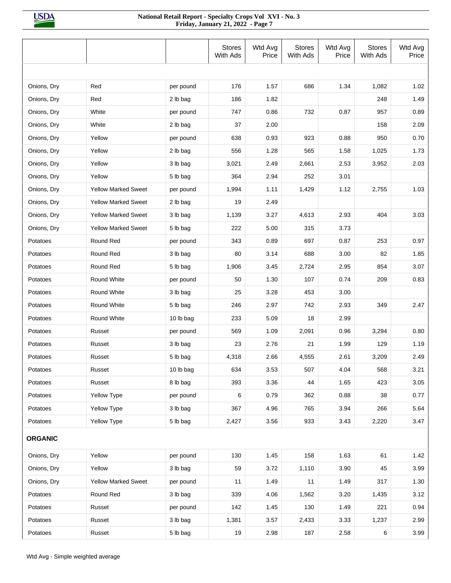|                |                            |           | <b>Stores</b><br>With Ads | Wtd Avg<br>Price | <b>Stores</b><br>With Ads | Wtd Avg<br>Price | <b>Stores</b><br>With Ads | Wtd Avg<br>Price |
|----------------|----------------------------|-----------|---------------------------|------------------|---------------------------|------------------|---------------------------|------------------|
|                |                            |           |                           |                  |                           |                  |                           |                  |
| Onions, Dry    | Red                        | per pound | 176                       | 1.57             | 686                       | 1.34             | 1,082                     | 1.02             |
| Onions, Dry    | Red                        | 2 lb bag  | 186                       | 1.82             |                           |                  | 248                       | 1.49             |
| Onions, Dry    | White                      | per pound | 747                       | 0.86             | 732                       | 0.87             | 957                       | 0.89             |
| Onions, Dry    | White                      | 2 lb bag  | 37                        | 2.00             |                           |                  | 158                       | 2.09             |
| Onions, Dry    | Yellow                     | per pound | 638                       | 0.93             | 923                       | 0.88             | 950                       | 0.70             |
| Onions, Dry    | Yellow                     | 2 lb bag  | 556                       | 1.28             | 565                       | 1.58             | 1,025                     | 1.73             |
| Onions, Dry    | Yellow                     | 3 lb bag  | 3,021                     | 2.49             | 2,661                     | 2.53             | 3,952                     | 2.03             |
| Onions, Dry    | Yellow                     | 5 lb bag  | 364                       | 2.94             | 252                       | 3.01             |                           |                  |
| Onions, Dry    | <b>Yellow Marked Sweet</b> | per pound | 1,994                     | 1.11             | 1,429                     | 1.12             | 2,755                     | 1.03             |
| Onions, Dry    | <b>Yellow Marked Sweet</b> | 2 lb bag  | 19                        | 2.49             |                           |                  |                           |                  |
| Onions, Dry    | <b>Yellow Marked Sweet</b> | 3 lb bag  | 1,139                     | 3.27             | 4,613                     | 2.93             | 404                       | 3.03             |
| Onions, Dry    | Yellow Marked Sweet        | 5 lb bag  | 222                       | 5.00             | 315                       | 3.73             |                           |                  |
| Potatoes       | Round Red                  | per pound | 343                       | 0.89             | 697                       | 0.87             | 253                       | 0.97             |
| Potatoes       | Round Red                  | 3 lb bag  | 80                        | 3.14             | 688                       | 3.00             | 82                        | 1.85             |
| Potatoes       | Round Red                  | 5 lb bag  | 1,906                     | 3.45             | 2,724                     | 2.95             | 854                       | 3.07             |
| Potatoes       | Round White                | per pound | 50                        | 1.30             | 107                       | 0.74             | 209                       | 0.83             |
| Potatoes       | Round White                | 3 lb bag  | 25                        | 3.28             | 453                       | 3.00             |                           |                  |
| Potatoes       | Round White                | 5 lb bag  | 246                       | 2.97             | 742                       | 2.93             | 349                       | 2.47             |
| Potatoes       | Round White                | 10 lb bag | 233                       | 5.09             | 18                        | 2.99             |                           |                  |
| Potatoes       | Russet                     | per pound | 569                       | 1.09             | 2,091                     | 0.96             | 3,294                     | 0.80             |
| Potatoes       | Russet                     | 3 lb bag  | 23                        | 2.76             | 21                        | 1.99             | 129                       | 1.19             |
| Potatoes       | Russet                     | 5 lb bag  | 4,318                     | 2.66             | 4,555                     | 2.61             | 3,209                     | 2.49             |
| Potatoes       | Russet                     | 10 lb bag | 634                       | 3.53             | 507                       | 4.04             | 568                       | 3.21             |
| Potatoes       | Russet                     | 8 lb bag  | 393                       | 3.36             | 44                        | 1.65             | 423                       | 3.05             |
| Potatoes       | Yellow Type                | per pound | 6                         | 0.79             | 362                       | 0.88             | 38                        | 0.77             |
| Potatoes       | <b>Yellow Type</b>         | 3 lb bag  | 367                       | 4.96             | 765                       | 3.94             | 266                       | 5.64             |
| Potatoes       | Yellow Type                | 5 lb bag  | 2,427                     | 3.56             | 933                       | 3.43             | 2,220                     | 3.47             |
| <b>ORGANIC</b> |                            |           |                           |                  |                           |                  |                           |                  |
| Onions, Dry    | Yellow                     | per pound | 130                       | 1.45             | 158                       | 1.63             | 61                        | 1.42             |
| Onions, Dry    | Yellow                     | 3 lb bag  | 59                        | 3.72             | 1,110                     | 3.90             | 45                        | 3.99             |
| Onions, Dry    | <b>Yellow Marked Sweet</b> | per pound | 11                        | 1.49             | 11                        | 1.49             | 317                       | 1.30             |
| Potatoes       | Round Red                  | 3 lb bag  | 339                       | 4.06             | 1,562                     | 3.20             | 1,435                     | 3.12             |
| Potatoes       | Russet                     | per pound | 142                       | 1.45             | 130                       | 1.49             | 221                       | 0.94             |
| Potatoes       | Russet                     | 3 lb bag  | 1,381                     | 3.57             | 2,433                     | 3.33             | 1,237                     | 2.99             |
| Potatoes       | Russet                     | 5 lb bag  | 19                        | 2.98             | 187                       | 2.58             | 6                         | 3.99             |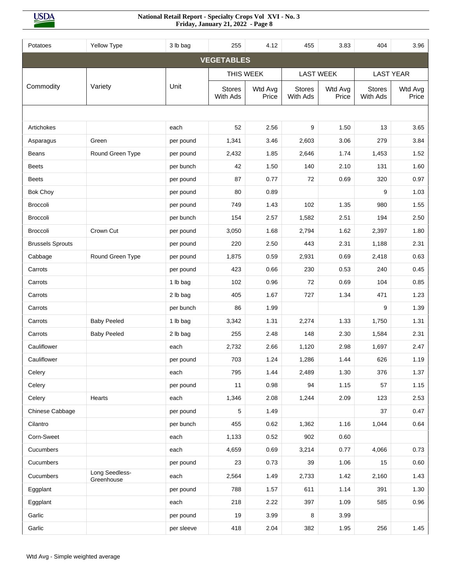**USDA** 

| Potatoes                | <b>Yellow Type</b>           | 3 lb bag   | 255                       | 4.12             | 455                       | 3.83             | 404                       | 3.96             |
|-------------------------|------------------------------|------------|---------------------------|------------------|---------------------------|------------------|---------------------------|------------------|
|                         |                              |            | <b>VEGETABLES</b>         |                  |                           |                  |                           |                  |
|                         |                              |            | THIS WEEK                 |                  | <b>LAST WEEK</b>          |                  |                           | <b>LAST YEAR</b> |
| Commodity               | Variety                      | Unit       | <b>Stores</b><br>With Ads | Wtd Avg<br>Price | <b>Stores</b><br>With Ads | Wtd Avg<br>Price | <b>Stores</b><br>With Ads | Wtd Avg<br>Price |
|                         |                              |            |                           |                  |                           |                  |                           |                  |
| Artichokes              |                              | each       | 52                        | 2.56             | 9                         | 1.50             | 13                        | 3.65             |
| Asparagus               | Green                        | per pound  | 1,341                     | 3.46             | 2,603                     | 3.06             | 279                       | 3.84             |
| Beans                   | Round Green Type             | per pound  | 2,432                     | 1.85             | 2,646                     | 1.74             | 1,453                     | 1.52             |
| <b>Beets</b>            |                              | per bunch  | 42                        | 1.50             | 140                       | 2.10             | 131                       | 1.60             |
| <b>Beets</b>            |                              | per pound  | 87                        | 0.77             | 72                        | 0.69             | 320                       | 0.97             |
| <b>Bok Choy</b>         |                              | per pound  | 80                        | 0.89             |                           |                  | 9                         | 1.03             |
| <b>Broccoli</b>         |                              | per pound  | 749                       | 1.43             | 102                       | 1.35             | 980                       | 1.55             |
| <b>Broccoli</b>         |                              | per bunch  | 154                       | 2.57             | 1,582                     | 2.51             | 194                       | 2.50             |
| <b>Broccoli</b>         | Crown Cut                    | per pound  | 3,050                     | 1.68             | 2,794                     | 1.62             | 2,397                     | 1.80             |
| <b>Brussels Sprouts</b> |                              | per pound  | 220                       | 2.50             | 443                       | 2.31             | 1,188                     | 2.31             |
| Cabbage                 | Round Green Type             | per pound  | 1,875                     | 0.59             | 2,931                     | 0.69             | 2,418                     | 0.63             |
| Carrots                 |                              | per pound  | 423                       | 0.66             | 230                       | 0.53             | 240                       | 0.45             |
| Carrots                 |                              | 1 lb bag   | 102                       | 0.96             | 72                        | 0.69             | 104                       | 0.85             |
| Carrots                 |                              | 2 lb bag   | 405                       | 1.67             | 727                       | 1.34             | 471                       | 1.23             |
| Carrots                 |                              | per bunch  | 86                        | 1.99             |                           |                  | 9                         | 1.39             |
| Carrots                 | <b>Baby Peeled</b>           | 1 lb bag   | 3,342                     | 1.31             | 2,274                     | 1.33             | 1,750                     | 1.31             |
| Carrots                 | <b>Baby Peeled</b>           | 2 lb bag   | 255                       | 2.48             | 148                       | 2.30             | 1,584                     | 2.31             |
| Cauliflower             |                              | each       | 2,732                     | 2.66             | 1,120                     | 2.98             | 1,697                     | 2.47             |
| Cauliflower             |                              | per pound  | 703                       | 1.24             | 1,286                     | 1.44             | 626                       | 1.19             |
| Celery                  |                              | each       | 795                       | 1.44             | 2,489                     | 1.30             | 376                       | 1.37             |
| Celery                  |                              | per pound  | 11                        | 0.98             | 94                        | 1.15             | 57                        | 1.15             |
| Celery                  | Hearts                       | each       | 1,346                     | 2.08             | 1,244                     | 2.09             | 123                       | 2.53             |
| Chinese Cabbage         |                              | per pound  | 5                         | 1.49             |                           |                  | 37                        | 0.47             |
| Cilantro                |                              | per bunch  | 455                       | 0.62             | 1,362                     | 1.16             | 1,044                     | 0.64             |
| Corn-Sweet              |                              | each       | 1,133                     | 0.52             | 902                       | 0.60             |                           |                  |
| Cucumbers               |                              | each       | 4,659                     | 0.69             | 3,214                     | 0.77             | 4,066                     | 0.73             |
| Cucumbers               |                              | per pound  | 23                        | 0.73             | 39                        | 1.06             | 15                        | 0.60             |
| Cucumbers               | Long Seedless-<br>Greenhouse | each       | 2,564                     | 1.49             | 2,733                     | 1.42             | 2,160                     | 1.43             |
| Eggplant                |                              | per pound  | 788                       | 1.57             | 611                       | 1.14             | 391                       | 1.30             |
| Eggplant                |                              | each       | 218                       | 2.22             | 397                       | 1.09             | 585                       | 0.96             |
| Garlic                  |                              | per pound  | 19                        | 3.99             | 8                         | 3.99             |                           |                  |
| Garlic                  |                              | per sleeve | 418                       | 2.04             | 382                       | 1.95             | 256                       | 1.45             |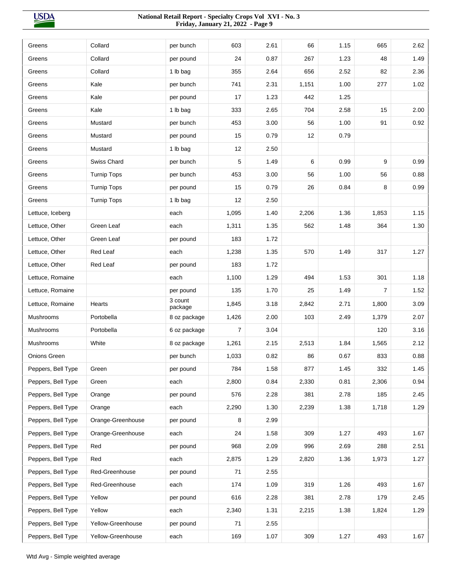**USDA** 

| Greens             | Collard            | per bunch          | 603            | 2.61 | 66    | 1.15 | 665   | 2.62 |
|--------------------|--------------------|--------------------|----------------|------|-------|------|-------|------|
| Greens             | Collard            | per pound          | 24             | 0.87 | 267   | 1.23 | 48    | 1.49 |
| Greens             | Collard            | 1 lb bag           | 355            | 2.64 | 656   | 2.52 | 82    | 2.36 |
| Greens             | Kale               | per bunch          | 741            | 2.31 | 1,151 | 1.00 | 277   | 1.02 |
| Greens             | Kale               | per pound          | 17             | 1.23 | 442   | 1.25 |       |      |
| Greens             | Kale               | 1 lb bag           | 333            | 2.65 | 704   | 2.58 | 15    | 2.00 |
| Greens             | Mustard            | per bunch          | 453            | 3.00 | 56    | 1.00 | 91    | 0.92 |
| Greens             | Mustard            | per pound          | 15             | 0.79 | 12    | 0.79 |       |      |
| Greens             | Mustard            | 1 lb bag           | 12             | 2.50 |       |      |       |      |
| Greens             | Swiss Chard        | per bunch          | 5              | 1.49 | 6     | 0.99 | 9     | 0.99 |
| Greens             | <b>Turnip Tops</b> | per bunch          | 453            | 3.00 | 56    | 1.00 | 56    | 0.88 |
| Greens             | <b>Turnip Tops</b> | per pound          | 15             | 0.79 | 26    | 0.84 | 8     | 0.99 |
| Greens             | <b>Turnip Tops</b> | 1 lb bag           | 12             | 2.50 |       |      |       |      |
| Lettuce, Iceberg   |                    | each               | 1,095          | 1.40 | 2,206 | 1.36 | 1,853 | 1.15 |
| Lettuce, Other     | Green Leaf         | each               | 1,311          | 1.35 | 562   | 1.48 | 364   | 1.30 |
| Lettuce, Other     | Green Leaf         | per pound          | 183            | 1.72 |       |      |       |      |
| Lettuce, Other     | Red Leaf           | each               | 1,238          | 1.35 | 570   | 1.49 | 317   | 1.27 |
| Lettuce, Other     | Red Leaf           | per pound          | 183            | 1.72 |       |      |       |      |
| Lettuce, Romaine   |                    | each               | 1,100          | 1.29 | 494   | 1.53 | 301   | 1.18 |
| Lettuce, Romaine   |                    | per pound          | 135            | 1.70 | 25    | 1.49 | 7     | 1.52 |
| Lettuce, Romaine   | Hearts             | 3 count<br>package | 1,845          | 3.18 | 2,842 | 2.71 | 1,800 | 3.09 |
| Mushrooms          | Portobella         | 8 oz package       | 1,426          | 2.00 | 103   | 2.49 | 1,379 | 2.07 |
| Mushrooms          | Portobella         | 6 oz package       | $\overline{7}$ | 3.04 |       |      | 120   | 3.16 |
| <b>Mushrooms</b>   | White              | 8 oz package       | 1,261          | 2.15 | 2,513 | 1.84 | 1,565 | 2.12 |
| Onions Green       |                    | per bunch          | 1,033          | 0.82 | 86    | 0.67 | 833   | 0.88 |
| Peppers, Bell Type | Green              | per pound          | 784            | 1.58 | 877   | 1.45 | 332   | 1.45 |
| Peppers, Bell Type | Green              | each               | 2,800          | 0.84 | 2,330 | 0.81 | 2,306 | 0.94 |
| Peppers, Bell Type | Orange             | per pound          | 576            | 2.28 | 381   | 2.78 | 185   | 2.45 |
| Peppers, Bell Type | Orange             | each               | 2,290          | 1.30 | 2,239 | 1.38 | 1,718 | 1.29 |
| Peppers, Bell Type | Orange-Greenhouse  | per pound          | 8              | 2.99 |       |      |       |      |
| Peppers, Bell Type | Orange-Greenhouse  | each               | 24             | 1.58 | 309   | 1.27 | 493   | 1.67 |
| Peppers, Bell Type | Red                | per pound          | 968            | 2.09 | 996   | 2.69 | 288   | 2.51 |
| Peppers, Bell Type | Red                | each               | 2,875          | 1.29 | 2,820 | 1.36 | 1,973 | 1.27 |
| Peppers, Bell Type | Red-Greenhouse     | per pound          | 71             | 2.55 |       |      |       |      |
| Peppers, Bell Type | Red-Greenhouse     | each               | 174            | 1.09 | 319   | 1.26 | 493   | 1.67 |
| Peppers, Bell Type | Yellow             | per pound          | 616            | 2.28 | 381   | 2.78 | 179   | 2.45 |
| Peppers, Bell Type | Yellow             | each               | 2,340          | 1.31 | 2,215 | 1.38 | 1,824 | 1.29 |
| Peppers, Bell Type | Yellow-Greenhouse  | per pound          | 71             | 2.55 |       |      |       |      |
| Peppers, Bell Type | Yellow-Greenhouse  | each               | 169            | 1.07 | 309   | 1.27 | 493   | 1.67 |
|                    |                    |                    |                |      |       |      |       |      |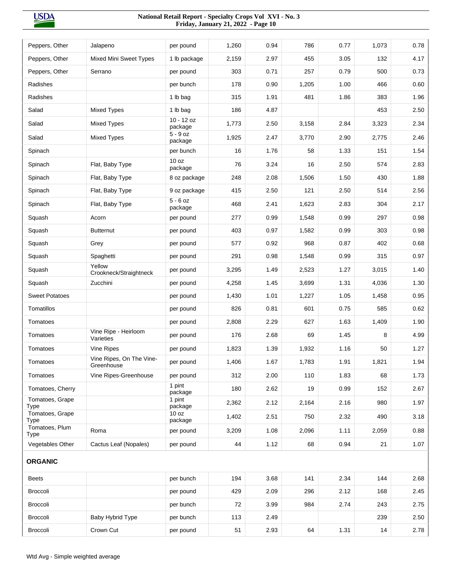| Peppers, Other                | Jalapeno                               | per pound               | 1,260 | 0.94 | 786   | 0.77 | 1,073 | 0.78 |
|-------------------------------|----------------------------------------|-------------------------|-------|------|-------|------|-------|------|
| Peppers, Other                | <b>Mixed Mini Sweet Types</b>          | 1 lb package            | 2,159 | 2.97 | 455   | 3.05 | 132   | 4.17 |
| Peppers, Other                | Serrano                                | per pound               | 303   | 0.71 | 257   | 0.79 | 500   | 0.73 |
| Radishes                      |                                        | per bunch               | 178   | 0.90 | 1,205 | 1.00 | 466   | 0.60 |
| Radishes                      |                                        | 1 lb bag                | 315   | 1.91 | 481   | 1.86 | 383   | 1.96 |
| Salad                         | <b>Mixed Types</b>                     | 1 lb bag                | 186   | 4.87 |       |      | 453   | 2.50 |
| Salad                         | <b>Mixed Types</b>                     | $10 - 12$ oz<br>package | 1,773 | 2.50 | 3,158 | 2.84 | 3,323 | 2.34 |
| Salad                         | Mixed Types                            | $5 - 9$ oz<br>package   | 1,925 | 2.47 | 3,770 | 2.90 | 2,775 | 2.46 |
| Spinach                       |                                        | per bunch               | 16    | 1.76 | 58    | 1.33 | 151   | 1.54 |
| Spinach                       | Flat, Baby Type                        | 10 oz<br>package        | 76    | 3.24 | 16    | 2.50 | 574   | 2.83 |
| Spinach                       | Flat, Baby Type                        | 8 oz package            | 248   | 2.08 | 1,506 | 1.50 | 430   | 1.88 |
| Spinach                       | Flat, Baby Type                        | 9 oz package            | 415   | 2.50 | 121   | 2.50 | 514   | 2.56 |
| Spinach                       | Flat, Baby Type                        | $5 - 6$ oz<br>package   | 468   | 2.41 | 1,623 | 2.83 | 304   | 2.17 |
| Squash                        | Acorn                                  | per pound               | 277   | 0.99 | 1,548 | 0.99 | 297   | 0.98 |
| Squash                        | <b>Butternut</b>                       | per pound               | 403   | 0.97 | 1,582 | 0.99 | 303   | 0.98 |
| Squash                        | Grey                                   | per pound               | 577   | 0.92 | 968   | 0.87 | 402   | 0.68 |
| Squash                        | Spaghetti                              | per pound               | 291   | 0.98 | 1,548 | 0.99 | 315   | 0.97 |
| Squash                        | Yellow<br>Crookneck/Straightneck       | per pound               | 3,295 | 1.49 | 2,523 | 1.27 | 3,015 | 1.40 |
| Squash                        | Zucchini                               | per pound               | 4,258 | 1.45 | 3,699 | 1.31 | 4,036 | 1.30 |
| <b>Sweet Potatoes</b>         |                                        | per pound               | 1,430 | 1.01 | 1,227 | 1.05 | 1,458 | 0.95 |
| Tomatillos                    |                                        | per pound               | 826   | 0.81 | 601   | 0.75 | 585   | 0.62 |
| Tomatoes                      |                                        | per pound               | 2,808 | 2.29 | 627   | 1.63 | 1,409 | 1.90 |
| Tomatoes                      | Vine Ripe - Heirloom<br>Varieties      | per pound               | 176   | 2.68 | 69    | 1.45 | 8     | 4.99 |
| Tomatoes                      | Vine Ripes                             | per pound               | 1,823 | 1.39 | 1,932 | 1.16 | 50    | 1.27 |
| Tomatoes                      | Vine Ripes, On The Vine-<br>Greenhouse | per pound               | 1,406 | 1.67 | 1,783 | 1.91 | 1,821 | 1.94 |
| Tomatoes                      | Vine Ripes-Greenhouse                  | per pound               | 312   | 2.00 | 110   | 1.83 | 68    | 1.73 |
| Tomatoes, Cherry              |                                        | 1 pint<br>package       | 180   | 2.62 | 19    | 0.99 | 152   | 2.67 |
| Tomatoes, Grape<br>Type       |                                        | 1 pint<br>package       | 2,362 | 2.12 | 2,164 | 2.16 | 980   | 1.97 |
| Tomatoes, Grape<br>Type       |                                        | 10 oz<br>package        | 1,402 | 2.51 | 750   | 2.32 | 490   | 3.18 |
| Tomatoes, Plum<br><b>Type</b> | Roma                                   | per pound               | 3,209 | 1.08 | 2,096 | 1.11 | 2,059 | 0.88 |
| Vegetables Other              | Cactus Leaf (Nopales)                  | per pound               | 44    | 1.12 | 68    | 0.94 | 21    | 1.07 |
| <b>ORGANIC</b>                |                                        |                         |       |      |       |      |       |      |
| <b>Beets</b>                  |                                        | per bunch               | 194   | 3.68 | 141   | 2.34 | 144   | 2.68 |
| Broccoli                      |                                        | per pound               | 429   | 2.09 | 296   | 2.12 | 168   | 2.45 |
| Broccoli                      |                                        | per bunch               | 72    | 3.99 | 984   | 2.74 | 243   | 2.75 |
| <b>Broccoli</b>               | Baby Hybrid Type                       | per bunch               | 113   | 2.49 |       |      | 239   | 2.50 |
| Broccoli                      | Crown Cut                              | per pound               | 51    | 2.93 | 64    | 1.31 | 14    | 2.78 |
|                               |                                        |                         |       |      |       |      |       |      |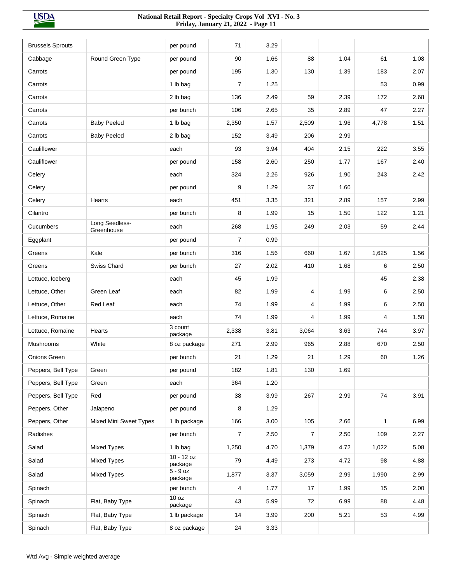| <b>Brussels Sprouts</b> |                              | per pound               | 71             | 3.29 |                |      |              |      |
|-------------------------|------------------------------|-------------------------|----------------|------|----------------|------|--------------|------|
| Cabbage                 | Round Green Type             | per pound               | 90             | 1.66 | 88             | 1.04 | 61           | 1.08 |
| Carrots                 |                              | per pound               | 195            | 1.30 | 130            | 1.39 | 183          | 2.07 |
| Carrots                 |                              | 1 lb bag                | $\overline{7}$ | 1.25 |                |      | 53           | 0.99 |
| Carrots                 |                              | 2 lb bag                | 136            | 2.49 | 59             | 2.39 | 172          | 2.68 |
| Carrots                 |                              | per bunch               | 106            | 2.65 | 35             | 2.89 | 47           | 2.27 |
| Carrots                 | <b>Baby Peeled</b>           | 1 lb bag                | 2,350          | 1.57 | 2,509          | 1.96 | 4,778        | 1.51 |
| Carrots                 | <b>Baby Peeled</b>           | 2 lb bag                | 152            | 3.49 | 206            | 2.99 |              |      |
| Cauliflower             |                              | each                    | 93             | 3.94 | 404            | 2.15 | 222          | 3.55 |
| Cauliflower             |                              | per pound               | 158            | 2.60 | 250            | 1.77 | 167          | 2.40 |
| Celery                  |                              | each                    | 324            | 2.26 | 926            | 1.90 | 243          | 2.42 |
| Celery                  |                              | per pound               | 9              | 1.29 | 37             | 1.60 |              |      |
| Celery                  | Hearts                       | each                    | 451            | 3.35 | 321            | 2.89 | 157          | 2.99 |
| Cilantro                |                              | per bunch               | 8              | 1.99 | 15             | 1.50 | 122          | 1.21 |
| Cucumbers               | Long Seedless-<br>Greenhouse | each                    | 268            | 1.95 | 249            | 2.03 | 59           | 2.44 |
| Eggplant                |                              | per pound               | $\overline{7}$ | 0.99 |                |      |              |      |
| Greens                  | Kale                         | per bunch               | 316            | 1.56 | 660            | 1.67 | 1,625        | 1.56 |
| Greens                  | Swiss Chard                  | per bunch               | 27             | 2.02 | 410            | 1.68 | 6            | 2.50 |
| Lettuce, Iceberg        |                              | each                    | 45             | 1.99 |                |      | 45           | 2.38 |
| Lettuce, Other          | Green Leaf                   | each                    | 82             | 1.99 | $\overline{4}$ | 1.99 | 6            | 2.50 |
| Lettuce, Other          | Red Leaf                     | each                    | 74             | 1.99 | 4              | 1.99 | 6            | 2.50 |
| Lettuce, Romaine        |                              | each                    | 74             | 1.99 | 4              | 1.99 | 4            | 1.50 |
| Lettuce, Romaine        | Hearts                       | 3 count<br>package      | 2,338          | 3.81 | 3,064          | 3.63 | 744          | 3.97 |
| Mushrooms               | White                        | 8 oz package            | 271            | 2.99 | 965            | 2.88 | 670          | 2.50 |
| <b>Onions Green</b>     |                              | per bunch               | 21             | 1.29 | 21             | 1.29 | 60           | 1.26 |
| Peppers, Bell Type      | Green                        | per pound               | 182            | 1.81 | 130            | 1.69 |              |      |
| Peppers, Bell Type      | Green                        | each                    | 364            | 1.20 |                |      |              |      |
| Peppers, Bell Type      | Red                          | per pound               | 38             | 3.99 | 267            | 2.99 | 74           | 3.91 |
| Peppers, Other          | Jalapeno                     | per pound               | 8              | 1.29 |                |      |              |      |
| Peppers, Other          | Mixed Mini Sweet Types       | 1 lb package            | 166            | 3.00 | 105            | 2.66 | $\mathbf{1}$ | 6.99 |
| Radishes                |                              | per bunch               | $\overline{7}$ | 2.50 | $\overline{7}$ | 2.50 | 109          | 2.27 |
| Salad                   | Mixed Types                  | 1 lb bag                | 1,250          | 4.70 | 1,379          | 4.72 | 1,022        | 5.08 |
| Salad                   | <b>Mixed Types</b>           | $10 - 12$ oz<br>package | 79             | 4.49 | 273            | 4.72 | 98           | 4.88 |
| Salad                   | Mixed Types                  | $5 - 9$ oz<br>package   | 1,877          | 3.37 | 3,059          | 2.99 | 1,990        | 2.99 |
| Spinach                 |                              | per bunch               | 4              | 1.77 | 17             | 1.99 | 15           | 2.00 |
| Spinach                 | Flat, Baby Type              | 10 oz<br>package        | 43             | 5.99 | 72             | 6.99 | 88           | 4.48 |
| Spinach                 | Flat, Baby Type              | 1 lb package            | 14             | 3.99 | 200            | 5.21 | 53           | 4.99 |
| Spinach                 | Flat, Baby Type              | 8 oz package            | 24             | 3.33 |                |      |              |      |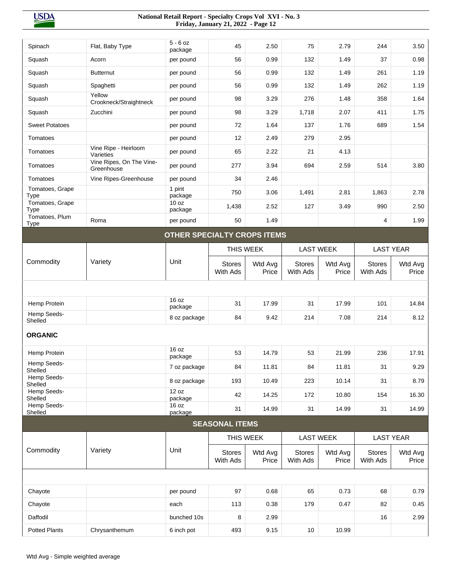| Spinach                        | Flat, Baby Type                        | $5 - 6$ oz<br>package       | 45                        | 2.50             | 75                        | 2.79             | 244                       | 3.50             |
|--------------------------------|----------------------------------------|-----------------------------|---------------------------|------------------|---------------------------|------------------|---------------------------|------------------|
| Squash                         | Acorn                                  | per pound                   | 56                        | 0.99             | 132                       | 1.49             | 37                        | 0.98             |
| Squash                         | <b>Butternut</b>                       | per pound                   | 56                        | 0.99             | 132                       | 1.49             | 261                       | 1.19             |
| Squash                         | Spaghetti                              | per pound                   | 56                        | 0.99             | 132                       | 1.49             | 262                       | 1.19             |
| Squash                         | Yellow<br>Crookneck/Straightneck       | per pound                   | 98                        | 3.29             | 276                       | 1.48             | 358                       | 1.64             |
| Squash                         | Zucchini                               | per pound                   | 98                        | 3.29             | 1,718                     | 2.07             | 411                       | 1.75             |
| <b>Sweet Potatoes</b>          |                                        | per pound                   | 72                        | 1.64             | 137                       | 1.76             | 689                       | 1.54             |
| Tomatoes                       |                                        | per pound                   | 12                        | 2.49             | 279                       | 2.95             |                           |                  |
| Tomatoes                       | Vine Ripe - Heirloom<br>Varieties      | per pound                   | 65                        | 2.22             | 21                        | 4.13             |                           |                  |
| Tomatoes                       | Vine Ripes, On The Vine-<br>Greenhouse | per pound                   | 277                       | 3.94             | 694                       | 2.59             | 514                       | 3.80             |
| Tomatoes                       | Vine Ripes-Greenhouse                  | per pound                   | 34                        | 2.46             |                           |                  |                           |                  |
| Tomatoes, Grape<br>Type        |                                        | 1 pint<br>package           | 750                       | 3.06             | 1,491                     | 2.81             | 1,863                     | 2.78             |
| Tomatoes, Grape<br><b>Type</b> |                                        | 10 oz<br>package            | 1,438                     | 2.52             | 127                       | 3.49             | 990                       | 2.50             |
| Tomatoes, Plum<br><b>Type</b>  | Roma                                   | per pound                   | 50                        | 1.49             |                           |                  | 4                         | 1.99             |
|                                |                                        | OTHER SPECIALTY CROPS ITEMS |                           |                  |                           |                  |                           |                  |
|                                |                                        |                             | THIS WEEK                 |                  |                           | <b>LAST WEEK</b> |                           | <b>LAST YEAR</b> |
| Commodity                      | Variety                                | Unit                        | <b>Stores</b><br>With Ads | Wtd Avg<br>Price | <b>Stores</b><br>With Ads | Wtd Avg<br>Price | <b>Stores</b><br>With Ads | Wtd Avg<br>Price |
|                                |                                        |                             |                           |                  |                           |                  |                           |                  |
|                                |                                        |                             |                           |                  |                           |                  |                           |                  |
| Hemp Protein                   |                                        | 16 oz                       | 31                        | 17.99            | 31                        | 17.99            | 101                       | 14.84            |
| Hemp Seeds-                    |                                        | package<br>8 oz package     | 84                        | 9.42             | 214                       | 7.08             | 214                       | 8.12             |
| Shelled                        |                                        |                             |                           |                  |                           |                  |                           |                  |
| <b>ORGANIC</b>                 |                                        |                             |                           |                  |                           |                  |                           |                  |
| Hemp Protein                   |                                        | 16 oz<br>package            | 53                        | 14.79            | 53                        | 21.99            | 236                       | 17.91            |
| Hemp Seeds-<br>Shelled         |                                        | 7 oz package                | 84                        | 11.81            | 84                        | 11.81            | 31                        | 9.29             |
| Hemp Seeds-<br>Shelled         |                                        | 8 oz package                | 193                       | 10.49            | 223                       | 10.14            | 31                        | 8.79             |
| Hemp Seeds-<br>Shelled         |                                        | 12 oz<br>package            | 42                        | 14.25            | 172                       | 10.80            | 154                       | 16.30            |
| Hemp Seeds-<br>Shelled         |                                        | 16 oz<br>package            | 31                        | 14.99            | 31                        | 14.99            | 31                        | 14.99            |
|                                |                                        |                             | <b>SEASONAL ITEMS</b>     |                  |                           |                  |                           |                  |
|                                |                                        |                             | THIS WEEK                 |                  |                           | <b>LAST WEEK</b> | <b>LAST YEAR</b>          |                  |
| Commodity                      | Variety                                | Unit                        | <b>Stores</b><br>With Ads | Wtd Avg<br>Price | <b>Stores</b><br>With Ads | Wtd Avg<br>Price | <b>Stores</b><br>With Ads | Wtd Avg<br>Price |
|                                |                                        |                             |                           |                  |                           |                  |                           |                  |
| Chayote                        |                                        | per pound                   | 97                        | 0.68             | 65                        | 0.73             | 68                        | 0.79             |
| Chayote                        |                                        | each                        | 113                       | 0.38             | 179                       | 0.47             | 82                        | 0.45             |
| Daffodil                       |                                        | bunched 10s                 | 8                         | 2.99             |                           |                  | 16                        | 2.99             |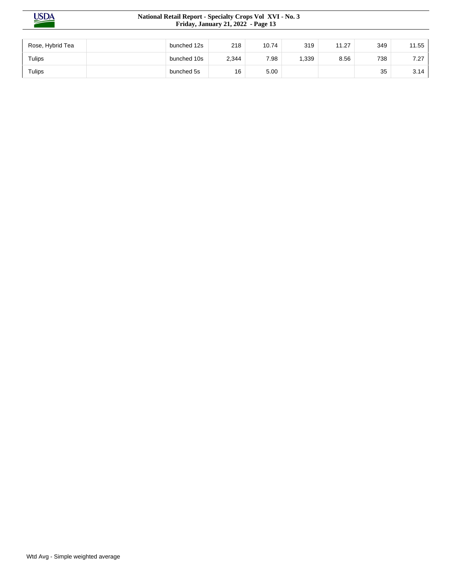| Rose, Hybrid Tea | bunched 12s | 218   | 10.74 | 319  | 11.27 | 349 | 11.55 |
|------------------|-------------|-------|-------|------|-------|-----|-------|
| Tulips           | bunched 10s | 2,344 | 7.98  | ,339 | 8.56  | 738 | 7.27  |
| Tulips           | bunched 5s  | 16    | 5.00  |      |       | 35  | 3.14  |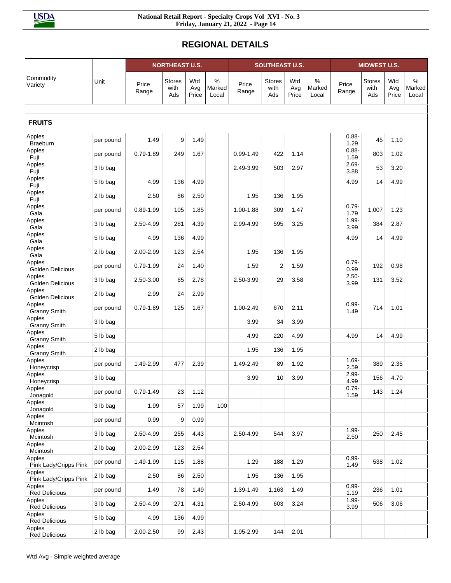# **REGIONAL DETAILS**

|                                 |           |                | <b>NORTHEAST U.S.</b> |                     |                      |                | <b>SOUTHEAST U.S.</b>        |                     |                         |                  | <b>MIDWEST U.S.</b>          |                     |                      |
|---------------------------------|-----------|----------------|-----------------------|---------------------|----------------------|----------------|------------------------------|---------------------|-------------------------|------------------|------------------------------|---------------------|----------------------|
| Commodity<br>Variety            | Unit      | Price<br>Range | Stores<br>with<br>Ads | Wtd<br>Avg<br>Price | %<br>Marked<br>Local | Price<br>Range | <b>Stores</b><br>with<br>Ads | Wtd<br>Avg<br>Price | $\%$<br>Marked<br>Local | Price<br>Range   | <b>Stores</b><br>with<br>Ads | Wtd<br>Avg<br>Price | %<br>Marked<br>Local |
| <b>FRUITS</b>                   |           |                |                       |                     |                      |                |                              |                     |                         |                  |                              |                     |                      |
|                                 |           |                |                       |                     |                      |                |                              |                     |                         |                  |                              |                     |                      |
| Apples<br><b>Braeburn</b>       | per pound | 1.49           | 9                     | 1.49                |                      |                |                              |                     |                         | $0.88 -$<br>1.29 | 45                           | 1.10                |                      |
| Apples<br>Fuji                  | per pound | $0.79 - 1.89$  | 249                   | 1.67                |                      | $0.99 - 1.49$  | 422                          | 1.14                |                         | $0.88 -$<br>1.59 | 803                          | 1.02                |                      |
| Apples<br>Fuji                  | 3 lb bag  |                |                       |                     |                      | 2.49-3.99      | 503                          | 2.97                |                         | $2.69 -$<br>3.88 | 53                           | 3.20                |                      |
| Apples<br>Fuji                  | 5 lb bag  | 4.99           | 136                   | 4.99                |                      |                |                              |                     |                         | 4.99             | 14                           | 4.99                |                      |
| Apples<br>Fuji                  | 2 lb bag  | 2.50           | 86                    | 2.50                |                      | 1.95           | 136                          | 1.95                |                         |                  |                              |                     |                      |
| Apples<br>Gala                  | per pound | $0.89 - 1.99$  | 105                   | 1.85                |                      | 1.00-1.88      | 309                          | 1.47                |                         | $0.79 -$<br>1.79 | 1,007                        | 1.23                |                      |
| Apples<br>Gala                  | 3 lb bag  | 2.50-4.99      | 281                   | 4.39                |                      | 2.99-4.99      | 595                          | 3.25                |                         | $1.99 -$<br>3.99 | 384                          | 2.87                |                      |
| Apples                          | 5 lb bag  | 4.99           | 136                   | 4.99                |                      |                |                              |                     |                         | 4.99             | 14                           | 4.99                |                      |
| Gala<br>Apples                  | 2 lb bag  | 2.00-2.99      | 123                   | 2.54                |                      | 1.95           | 136                          | 1.95                |                         |                  |                              |                     |                      |
| Gala<br>Apples                  | per pound | 0.79-1.99      | 24                    | 1.40                |                      | 1.59           | 2                            | 1.59                |                         | $0.79 -$         | 192                          | 0.98                |                      |
| Golden Delicious<br>Apples      | 3 lb bag  | 2.50-3.00      | 65                    | 2.78                |                      | 2.50-3.99      | 29                           | 3.58                |                         | 0.99<br>$2.50 -$ | 131                          | 3.52                |                      |
| Golden Delicious<br>Apples      | 2 lb bag  | 2.99           | 24                    | 2.99                |                      |                |                              |                     |                         | 3.99             |                              |                     |                      |
| Golden Delicious<br>Apples      | per pound | $0.79 - 1.89$  | 125                   | 1.67                |                      | 1.00-2.49      | 670                          | 2.11                |                         | $0.99 -$         | 714                          | 1.01                |                      |
| <b>Granny Smith</b><br>Apples   | 3 lb bag  |                |                       |                     |                      | 3.99           | 34                           | 3.99                |                         | 1.49             |                              |                     |                      |
| <b>Granny Smith</b><br>Apples   | 5 lb bag  |                |                       |                     |                      | 4.99           | 220                          | 4.99                |                         | 4.99             | 14                           | 4.99                |                      |
| <b>Granny Smith</b><br>Apples   |           |                |                       |                     |                      |                |                              |                     |                         |                  |                              |                     |                      |
| <b>Granny Smith</b><br>Apples   | 2 lb bag  |                |                       |                     |                      | 1.95           | 136                          | 1.95                |                         | $1.69 -$         |                              |                     |                      |
| Honeycrisp                      | per pound | 1.49-2.99      | 477                   | 2.39                |                      | 1.49-2.49      | 89                           | 1.92                |                         | 2.59             | 389                          | 2.35                |                      |
| Apples<br>Honeycrisp            | 3 lb bag  |                |                       |                     |                      | 3.99           | 10                           | 3.99                |                         | $2.99 -$<br>4.99 | 156                          | 4.70                |                      |
| Apples<br>Jonagold              | per pound | $0.79 - 1.49$  | 23                    | 1.12                |                      |                |                              |                     |                         | $0.79 -$<br>1.59 | 143                          | 1.24                |                      |
| Apples<br>Jonagold              | 3 lb bag  | 1.99           | 57                    | 1.99                | 100                  |                |                              |                     |                         |                  |                              |                     |                      |
| Apples<br>Mcintosh              | per pound | 0.99           | 9                     | 0.99                |                      |                |                              |                     |                         |                  |                              |                     |                      |
| Apples<br>Mcintosh              | 3 lb bag  | 2.50-4.99      | 255                   | 4.43                |                      | 2.50-4.99      | 544                          | 3.97                |                         | $1.99 -$<br>2.50 | 250                          | 2.45                |                      |
| Apples<br>Mcintosh              | 2 lb bag  | 2.00-2.99      | 123                   | 2.54                |                      |                |                              |                     |                         |                  |                              |                     |                      |
| Apples<br>Pink Lady/Cripps Pink | per pound | 1.49-1.99      | 115                   | 1.88                |                      | 1.29           | 188                          | 1.29                |                         | $0.99 -$<br>1.49 | 538                          | 1.02                |                      |
| Apples<br>Pink Lady/Cripps Pink | 2 lb bag  | 2.50           | 86                    | 2.50                |                      | 1.95           | 136                          | 1.95                |                         |                  |                              |                     |                      |
| Apples<br><b>Red Delicious</b>  | per pound | 1.49           | 78                    | 1.49                |                      | 1.39-1.49      | 1,163                        | 1.49                |                         | $0.99 -$<br>1.19 | 236                          | 1.01                |                      |
| Apples<br><b>Red Delicious</b>  | 3 lb bag  | 2.50-4.99      | 271                   | 4.31                |                      | 2.50-4.99      | 603                          | 3.24                |                         | $1.99 -$<br>3.99 | 506                          | 3.06                |                      |
| Apples<br><b>Red Delicious</b>  | 5 lb bag  | 4.99           | 136                   | 4.99                |                      |                |                              |                     |                         |                  |                              |                     |                      |
| Apples<br><b>Red Delicious</b>  | 2 lb bag  | 2.00-2.50      | 99                    | 2.43                |                      | 1.95-2.99      | 144                          | 2.01                |                         |                  |                              |                     |                      |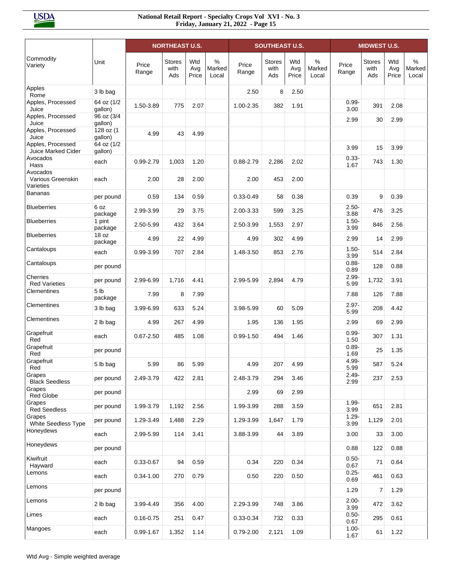|                                            |                            |                | <b>NORTHEAST U.S.</b>        |                     |                         |                | <b>SOUTHEAST U.S.</b>        |                     |                      |                  | <b>MIDWEST U.S.</b>          |                     |                      |
|--------------------------------------------|----------------------------|----------------|------------------------------|---------------------|-------------------------|----------------|------------------------------|---------------------|----------------------|------------------|------------------------------|---------------------|----------------------|
| Commodity<br>Variety                       | Unit                       | Price<br>Range | <b>Stores</b><br>with<br>Ads | Wtd<br>Avg<br>Price | $\%$<br>Marked<br>Local | Price<br>Range | <b>Stores</b><br>with<br>Ads | Wtd<br>Avg<br>Price | %<br>Marked<br>Local | Price<br>Range   | <b>Stores</b><br>with<br>Ads | Wtd<br>Avg<br>Price | %<br>Marked<br>Local |
| Apples<br>Rome                             | 3 lb bag                   |                |                              |                     |                         | 2.50           | 8                            | 2.50                |                      |                  |                              |                     |                      |
| Apples, Processed<br>Juice                 | 64 oz (1/2<br>gallon)      | 1.50-3.89      | 775                          | 2.07                |                         | 1.00-2.35      | 382                          | 1.91                |                      | $0.99 -$<br>3.00 | 391                          | 2.08                |                      |
| Apples, Processed<br>Juice                 | 96 oz (3/4<br>gallon)      |                |                              |                     |                         |                |                              |                     |                      | 2.99             | 30                           | 2.99                |                      |
| Apples, Processed<br>Juice                 | 128 oz (1<br>gallon)       | 4.99           | 43                           | 4.99                |                         |                |                              |                     |                      |                  |                              |                     |                      |
| Apples, Processed<br>Juice Marked Cider    | 64 oz (1/2<br>gallon)      |                |                              |                     |                         |                |                              |                     |                      | 3.99             | 15                           | 3.99                |                      |
| Avocados<br>Hass                           | each                       | 0.99-2.79      | 1,003                        | 1.20                |                         | $0.88 - 2.79$  | 2,286                        | 2.02                |                      | $0.33 -$<br>1.67 | 743                          | 1.30                |                      |
| Avocados<br>Various Greenskin<br>Varieties | each                       | 2.00           | 28                           | 2.00                |                         | 2.00           | 453                          | 2.00                |                      |                  |                              |                     |                      |
| <b>Bananas</b>                             | per pound                  | 0.59           | 134                          | 0.59                |                         | $0.33 - 0.49$  | 58                           | 0.38                |                      | 0.39             | 9                            | 0.39                |                      |
| <b>Blueberries</b>                         | 6 oz<br>package            | 2.99-3.99      | 29                           | 3.75                |                         | 2.00-3.33      | 599                          | 3.25                |                      | $2.50 -$<br>3.88 | 476                          | 3.25                |                      |
| <b>Blueberries</b>                         | 1 pint<br>package          | 2.50-5.99      | 432                          | 3.64                |                         | 2.50-3.99      | 1,553                        | 2.97                |                      | $1.50 -$<br>3.99 | 846                          | 2.56                |                      |
| <b>Blueberries</b>                         | 18 oz<br>package           | 4.99           | 22                           | 4.99                |                         | 4.99           | 302                          | 4.99                |                      | 2.99             | 14                           | 2.99                |                      |
| Cantaloups                                 | each                       | 0.99-3.99      | 707                          | 2.84                |                         | 1.48-3.50      | 853                          | 2.76                |                      | $1.50 -$<br>3.99 | 514                          | 2.84                |                      |
| Cantaloups                                 | per pound                  |                |                              |                     |                         |                |                              |                     |                      | $0.88 -$<br>0.89 | 128                          | 0.88                |                      |
| Cherries<br><b>Red Varieties</b>           | per pound                  | 2.99-6.99      | 1,716                        | 4.41                |                         | 2.99-5.99      | 2,894                        | 4.79                |                      | $2.99 -$<br>5.99 | 1,732                        | 3.91                |                      |
| Clementines                                | 5 <sub>lb</sub><br>package | 7.99           | 8                            | 7.99                |                         |                |                              |                     |                      | 7.88             | 126                          | 7.88                |                      |
| Clementines                                | 3 lb bag                   | 3.99-6.99      | 633                          | 5.24                |                         | 3.98-5.99      | 60                           | 5.09                |                      | $2.97 -$<br>5.99 | 208                          | 4.42                |                      |
| Clementines                                | 2 lb bag                   | 4.99           | 267                          | 4.99                |                         | 1.95           | 136                          | 1.95                |                      | 2.99             | 69                           | 2.99                |                      |
| Grapefruit<br>Red                          | each                       | $0.67 - 2.50$  | 485                          | 1.08                |                         | $0.99 - 1.50$  | 494                          | 1.46                |                      | $0.99 -$<br>1.50 | 307                          | 1.31                |                      |
| Grapefruit<br>Red                          | per pound                  |                |                              |                     |                         |                |                              |                     |                      | $0.89 -$<br>1.69 | 25                           | 1.35                |                      |
| Grapefruit<br>Red                          | 5 lb bag                   | 5.99           | 86                           | 5.99                |                         | 4.99           | 207                          | 4.99                |                      | 4.99-<br>5.99    | 587                          | 5.24                |                      |
| Grapes<br><b>Black Seedless</b>            | per pound                  | 2.49-3.79      | 422                          | 2.81                |                         | 2.48-3.79      | 294                          | 3.46                |                      | $2.49 -$<br>2.99 | 237                          | 2.53                |                      |
| Grapes<br><b>Red Globe</b>                 | per pound                  |                |                              |                     |                         | 2.99           | 69                           | 2.99                |                      |                  |                              |                     |                      |
| Grapes<br><b>Red Seedless</b>              | per pound                  | 1.99-3.79      | 1,192                        | 2.56                |                         | 1.99-3.99      | 288                          | 3.59                |                      | $1.99 -$<br>3.99 | 651                          | 2.81                |                      |
| Grapes<br>White Seedless Type              | per pound                  | 1.29-3.49      | 1,488                        | 2.29                |                         | 1.29-3.99      | 1,647                        | 1.79                |                      | $1.29 -$<br>3.99 | 1,129                        | 2.01                |                      |
| Honeydews                                  | each                       | 2.99-5.99      | 114                          | 3.41                |                         | 3.88-3.99      | 44                           | 3.89                |                      | 3.00             | 33                           | 3.00                |                      |
| Honeydews                                  | per pound                  |                |                              |                     |                         |                |                              |                     |                      | 0.88             | 122                          | 0.88                |                      |
| Kiwifruit<br>Hayward                       | each                       | 0.33-0.67      | 94                           | 0.59                |                         | 0.34           | 220                          | 0.34                |                      | $0.50 -$<br>0.67 | 71                           | 0.64                |                      |
| Lemons                                     | each                       | $0.34 - 1.00$  | 270                          | 0.79                |                         | 0.50           | 220                          | 0.50                |                      | $0.25 -$<br>0.69 | 461                          | 0.63                |                      |
| Lemons                                     | per pound                  |                |                              |                     |                         |                |                              |                     |                      | 1.29             | 7                            | 1.29                |                      |
| Lemons                                     | 2 lb bag                   | 3.99-4.49      | 356                          | 4.00                |                         | 2.29-3.99      | 748                          | 3.86                |                      | $2.00 -$<br>3.99 | 472                          | 3.62                |                      |
| Limes                                      | each                       | $0.16 - 0.75$  | 251                          | 0.47                |                         | $0.33 - 0.34$  | 732                          | 0.33                |                      | $0.50 -$<br>0.67 | 295                          | 0.61                |                      |
| Mangoes                                    | each                       | 0.99-1.67      | 1,352                        | 1.14                |                         | $0.79 - 2.00$  | 2,121                        | 1.09                |                      | $1.00 -$<br>1.67 | 61                           | 1.22                |                      |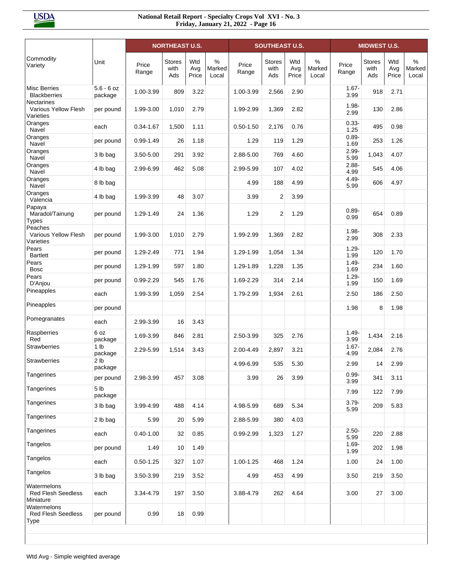|                                                        |                            |                | <b>NORTHEAST U.S.</b>        |                     |                      |                | <b>SOUTHEAST U.S.</b>        |                     |                      |                  | <b>MIDWEST U.S.</b>          |                     |                      |
|--------------------------------------------------------|----------------------------|----------------|------------------------------|---------------------|----------------------|----------------|------------------------------|---------------------|----------------------|------------------|------------------------------|---------------------|----------------------|
| Commodity<br>Variety                                   | Unit                       | Price<br>Range | <b>Stores</b><br>with<br>Ads | Wtd<br>Avg<br>Price | %<br>Marked<br>Local | Price<br>Range | <b>Stores</b><br>with<br>Ads | Wtd<br>Avg<br>Price | %<br>Marked<br>Local | Price<br>Range   | <b>Stores</b><br>with<br>Ads | Wtd<br>Avg<br>Price | %<br>Marked<br>Local |
| <b>Misc Berries</b><br><b>Blackberries</b>             | $5.6 - 6 oz$<br>package    | 1.00-3.99      | 809                          | 3.22                |                      | 1.00-3.99      | 2,566                        | 2.90                |                      | $1.67 -$<br>3.99 | 918                          | 2.71                |                      |
| <b>Nectarines</b><br>Various Yellow Flesh<br>Varieties | per pound                  | 1.99-3.00      | 1,010                        | 2.79                |                      | 1.99-2.99      | 1,369                        | 2.82                |                      | $1.98 -$<br>2.99 | 130                          | 2.86                |                      |
| Oranges<br>Navel                                       | each                       | 0.34-1.67      | 1,500                        | 1.11                |                      | $0.50 - 1.50$  | 2,176                        | 0.76                |                      | $0.33 -$<br>1.25 | 495                          | 0.98                |                      |
| Oranges<br>Navel                                       | per pound                  | $0.99 - 1.49$  | 26                           | 1.18                |                      | 1.29           | 119                          | 1.29                |                      | $0.89 -$<br>1.69 | 253                          | 1.26                |                      |
| Oranges<br>Navel                                       | 3 lb bag                   | 3.50-5.00      | 291                          | 3.92                |                      | 2.88-5.00      | 769                          | 4.60                |                      | $2.99 -$<br>5.99 | 1,043                        | 4.07                |                      |
| Oranges<br>Navel                                       | 4 lb bag                   | 2.99-6.99      | 462                          | 5.08                |                      | 2.99-5.99      | 107                          | 4.02                |                      | $2.88 -$<br>4.99 | 545                          | 4.06                |                      |
| Oranges<br>Navel                                       | 8 lb bag                   |                |                              |                     |                      | 4.99           | 188                          | 4.99                |                      | $4.49 -$<br>5.99 | 606                          | 4.97                |                      |
| Oranges<br>Valencia                                    | 4 lb bag                   | 1.99-3.99      | 48                           | 3.07                |                      | 3.99           | $\overline{2}$               | 3.99                |                      |                  |                              |                     |                      |
| Papaya<br>Maradol/Tainung<br><b>Types</b>              | per pound                  | 1.29-1.49      | 24                           | 1.36                |                      | 1.29           | $\overline{2}$               | 1.29                |                      | $0.89 -$<br>0.99 | 654                          | 0.89                |                      |
| Peaches<br><b>Various Yellow Flesh</b><br>Varieties    | per pound                  | 1.99-3.00      | 1,010                        | 2.79                |                      | 1.99-2.99      | 1,369                        | 2.82                |                      | $1.98 -$<br>2.99 | 308                          | 2.33                |                      |
| Pears<br><b>Bartlett</b>                               | per pound                  | 1.29-2.49      | 771                          | 1.94                |                      | 1.29-1.99      | 1,054                        | 1.34                |                      | $1.29 -$<br>1.99 | 120                          | 1.70                |                      |
| Pears<br><b>Bosc</b>                                   | per pound                  | 1.29-1.99      | 597                          | 1.80                |                      | 1.29-1.89      | 1,228                        | 1.35                |                      | $1.49 -$<br>1.69 | 234                          | 1.60                |                      |
| Pears<br>D'Anjou                                       | per pound                  | $0.99 - 2.29$  | 545                          | 1.76                |                      | 1.69-2.29      | 314                          | 2.14                |                      | $1.29 -$<br>1.99 | 150                          | 1.69                |                      |
| Pineapples                                             | each                       | 1.99-3.99      | 1,059                        | 2.54                |                      | 1.79-2.99      | 1,934                        | 2.61                |                      | 2.50             | 186                          | 2.50                |                      |
| Pineapples                                             | per pound                  |                |                              |                     |                      |                |                              |                     |                      | 1.98             | 8                            | 1.98                |                      |
| Pomegranates                                           | each                       | 2.99-3.99      | 16                           | 3.43                |                      |                |                              |                     |                      |                  |                              |                     |                      |
| Raspberries<br>Red                                     | 6 oz<br>package            | 1.69-3.99      | 846                          | 2.81                |                      | 2.50-3.99      | 325                          | 2.76                |                      | $1.49 -$<br>3.99 | 1,434                        | 2.16                |                      |
| <b>Strawberries</b>                                    | 1 <sub>lb</sub><br>package | 2.29-5.99      | 1,514                        | 3.43                |                      | 2.00-4.49      | 2,897                        | 3.21                |                      | $1.67 -$<br>4.99 | 2,084                        | 2.76                |                      |
| <b>Strawberries</b>                                    | 2 <sub>lb</sub><br>package |                |                              |                     |                      | 4.99-6.99      | 535                          | 5.30                |                      | 2.99             | 14                           | 2.99                |                      |
| Tangerines                                             | per pound                  | 2.98-3.99      | 457                          | 3.08                |                      | 3.99           | 26                           | 3.99                |                      | $0.99 -$<br>3.99 | 341                          | 3.11                |                      |
| Tangerines                                             | 5 <sub>lb</sub><br>package |                |                              |                     |                      |                |                              |                     |                      | 7.99             | 122                          | 7.99                |                      |
| Tangerines                                             | 3 lb bag                   | 3.99-4.99      | 488                          | 4.14                |                      | 4.98-5.99      | 689                          | 5.34                |                      | $3.79 -$<br>5.99 | 209                          | 5.83                |                      |
| Tangerines                                             | 2 lb bag                   | 5.99           | 20                           | 5.99                |                      | 2.88-5.99      | 380                          | 4.03                |                      |                  |                              |                     |                      |
| Tangerines                                             | each                       | $0.40 - 1.00$  | 32                           | 0.85                |                      | 0.99-2.99      | 1,323                        | 1.27                |                      | $2.50 -$<br>5.99 | 220                          | 2.88                |                      |
| Tangelos                                               | per pound                  | 1.49           | 10                           | 1.49                |                      |                |                              |                     |                      | $1.69 -$<br>1.99 | 202                          | 1.98                |                      |
| Tangelos                                               | each                       | $0.50 - 1.25$  | 327                          | 1.07                |                      | 1.00-1.25      | 468                          | 1.24                |                      | 1.00             | 24                           | 1.00                |                      |
| Tangelos                                               | 3 lb bag                   | 3.50-3.99      | 219                          | 3.52                |                      | 4.99           | 453                          | 4.99                |                      | 3.50             | 219                          | 3.50                |                      |
| Watermelons<br><b>Red Flesh Seedless</b><br>Miniature  | each                       | 3.34-4.79      | 197                          | 3.50                |                      | 3.88-4.79      | 262                          | 4.64                |                      | 3.00             | 27                           | 3.00                |                      |
| Watermelons<br><b>Red Flesh Seedless</b><br>Type       | per pound                  | 0.99           | 18                           | 0.99                |                      |                |                              |                     |                      |                  |                              |                     |                      |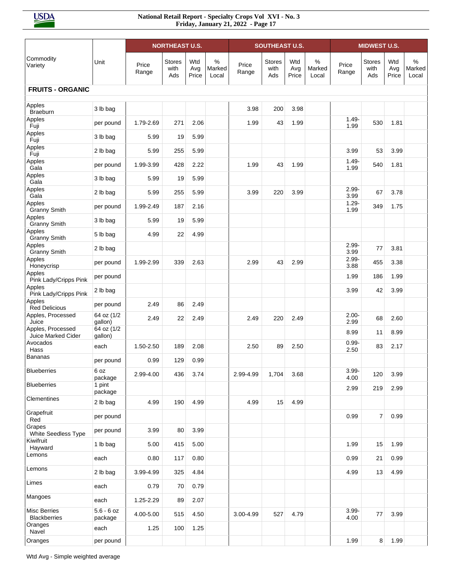|                                            |                         |                | <b>NORTHEAST U.S.</b>        |                     |                      |                | <b>SOUTHEAST U.S.</b>        |                     |                      |                  | <b>MIDWEST U.S.</b>          |                     |                      |
|--------------------------------------------|-------------------------|----------------|------------------------------|---------------------|----------------------|----------------|------------------------------|---------------------|----------------------|------------------|------------------------------|---------------------|----------------------|
| Commodity<br>Variety                       | Unit                    | Price<br>Range | <b>Stores</b><br>with<br>Ads | Wtd<br>Avg<br>Price | %<br>Marked<br>Local | Price<br>Range | <b>Stores</b><br>with<br>Ads | Wtd<br>Avg<br>Price | %<br>Marked<br>Local | Price<br>Range   | <b>Stores</b><br>with<br>Ads | Wtd<br>Avg<br>Price | %<br>Marked<br>Local |
| <b>FRUITS - ORGANIC</b>                    |                         |                |                              |                     |                      |                |                              |                     |                      |                  |                              |                     |                      |
| Apples<br><b>Braeburn</b>                  | 3 lb bag                |                |                              |                     |                      | 3.98           | 200                          | 3.98                |                      |                  |                              |                     |                      |
| Apples<br>Fuji                             | per pound               | 1.79-2.69      | 271                          | 2.06                |                      | 1.99           | 43                           | 1.99                |                      | $1.49 -$<br>1.99 | 530                          | 1.81                |                      |
| Apples<br>Fuji                             | 3 lb bag                | 5.99           | 19                           | 5.99                |                      |                |                              |                     |                      |                  |                              |                     |                      |
| Apples<br>Fuji                             | 2 lb bag                | 5.99           | 255                          | 5.99                |                      |                |                              |                     |                      | 3.99             | 53                           | 3.99                |                      |
| Apples<br>Gala                             | per pound               | 1.99-3.99      | 428                          | 2.22                |                      | 1.99           | 43                           | 1.99                |                      | $1.49 -$<br>1.99 | 540                          | 1.81                |                      |
| Apples<br>Gala                             | 3 lb bag                | 5.99           | 19                           | 5.99                |                      |                |                              |                     |                      |                  |                              |                     |                      |
| Apples<br>Gala                             | 2 lb bag                | 5.99           | 255                          | 5.99                |                      | 3.99           | 220                          | 3.99                |                      | $2.99 -$<br>3.99 | 67                           | 3.78                |                      |
| Apples<br><b>Granny Smith</b>              | per pound               | 1.99-2.49      | 187                          | 2.16                |                      |                |                              |                     |                      | $1.29 -$<br>1.99 | 349                          | 1.75                |                      |
| Apples<br><b>Granny Smith</b>              | 3 lb bag                | 5.99           | 19                           | 5.99                |                      |                |                              |                     |                      |                  |                              |                     |                      |
| Apples<br><b>Granny Smith</b>              | 5 lb bag                | 4.99           | 22                           | 4.99                |                      |                |                              |                     |                      |                  |                              |                     |                      |
| Apples<br><b>Granny Smith</b>              | 2 lb bag                |                |                              |                     |                      |                |                              |                     |                      | $2.99 -$<br>3.99 | 77                           | 3.81                |                      |
| Apples<br>Honeycrisp                       | per pound               | 1.99-2.99      | 339                          | 2.63                |                      | 2.99           | 43                           | 2.99                |                      | $2.99 -$<br>3.88 | 455                          | 3.38                |                      |
| Apples<br>Pink Lady/Cripps Pink            | per pound               |                |                              |                     |                      |                |                              |                     |                      | 1.99             | 186                          | 1.99                |                      |
| Apples<br>Pink Lady/Cripps Pink            | 2 lb bag                |                |                              |                     |                      |                |                              |                     |                      | 3.99             | 42                           | 3.99                |                      |
| Apples<br><b>Red Delicious</b>             | per pound               | 2.49           | 86                           | 2.49                |                      |                |                              |                     |                      |                  |                              |                     |                      |
| Apples, Processed<br>Juice                 | 64 oz (1/2<br>gallon)   | 2.49           | 22                           | 2.49                |                      | 2.49           | 220                          | 2.49                |                      | $2.00 -$<br>2.99 | 68                           | 2.60                |                      |
| Apples, Processed<br>Juice Marked Cider    | 64 oz (1/2<br>gallon)   |                |                              |                     |                      |                |                              |                     |                      | 8.99             | 11                           | 8.99                |                      |
| Avocados<br>Hass                           | each                    | 1.50-2.50      | 189                          | 2.08                |                      | 2.50           | 89                           | 2.50                |                      | $0.99 -$<br>2.50 | 83                           | 2.17                |                      |
| <b>Bananas</b>                             | per pound               | 0.99           | 129                          | 0.99                |                      |                |                              |                     |                      |                  |                              |                     |                      |
| <b>Blueberries</b>                         | 6 oz<br>package         | 2.99-4.00      | 436                          | 3.74                |                      | 2.99-4.99      | 1,704                        | 3.68                |                      | $3.99 -$<br>4.00 | 120                          | 3.99                |                      |
| <b>Blueberries</b>                         | 1 pint<br>package       |                |                              |                     |                      |                |                              |                     |                      | 2.99             | 219                          | 2.99                |                      |
| Clementines                                | 2 lb bag                | 4.99           | 190                          | 4.99                |                      | 4.99           | 15                           | 4.99                |                      |                  |                              |                     |                      |
| Grapefruit<br>Red                          | per pound               |                |                              |                     |                      |                |                              |                     |                      | 0.99             | $\overline{7}$               | 0.99                |                      |
| Grapes<br>White Seedless Type              | per pound               | 3.99           | 80                           | 3.99                |                      |                |                              |                     |                      |                  |                              |                     |                      |
| Kiwifruit<br>Hayward                       | 1 lb bag                | 5.00           | 415                          | 5.00                |                      |                |                              |                     |                      | 1.99             | 15                           | 1.99                |                      |
| Lemons                                     | each                    | 0.80           | 117                          | 0.80                |                      |                |                              |                     |                      | 0.99             | 21                           | 0.99                |                      |
| Lemons                                     | 2 lb bag                | 3.99-4.99      | 325                          | 4.84                |                      |                |                              |                     |                      | 4.99             | 13                           | 4.99                |                      |
| Limes                                      | each                    | 0.79           | 70                           | 0.79                |                      |                |                              |                     |                      |                  |                              |                     |                      |
| Mangoes                                    | each                    | 1.25-2.29      | 89                           | 2.07                |                      |                |                              |                     |                      |                  |                              |                     |                      |
| <b>Misc Berries</b><br><b>Blackberries</b> | $5.6 - 6$ oz<br>package | 4.00-5.00      | 515                          | 4.50                |                      | 3.00-4.99      | 527                          | 4.79                |                      | $3.99 -$<br>4.00 | 77                           | 3.99                |                      |
| Oranges<br>Navel                           | each                    | 1.25           | 100                          | 1.25                |                      |                |                              |                     |                      |                  |                              |                     |                      |
| Oranges                                    | per pound               |                |                              |                     |                      |                |                              |                     |                      | 1.99             | 8                            | 1.99                |                      |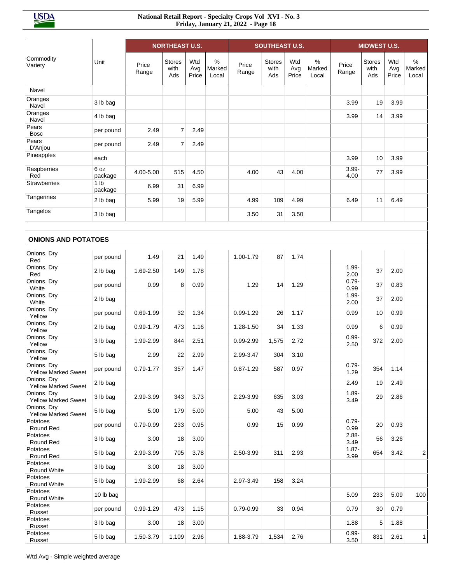|                                           |                            |                | <b>NORTHEAST U.S.</b>        |                     |                      |                | <b>SOUTHEAST U.S.</b>        |                     |                      |                  | <b>MIDWEST U.S.</b>   |                     |                                  |
|-------------------------------------------|----------------------------|----------------|------------------------------|---------------------|----------------------|----------------|------------------------------|---------------------|----------------------|------------------|-----------------------|---------------------|----------------------------------|
| Commodity<br>Variety                      | Unit                       | Price<br>Range | <b>Stores</b><br>with<br>Ads | Wtd<br>Avg<br>Price | %<br>Marked<br>Local | Price<br>Range | <b>Stores</b><br>with<br>Ads | Wtd<br>Avg<br>Price | %<br>Marked<br>Local | Price<br>Range   | Stores<br>with<br>Ads | Wtd<br>Avg<br>Price | $\frac{0}{0}$<br>Marked<br>Local |
| Navel                                     |                            |                |                              |                     |                      |                |                              |                     |                      |                  |                       |                     |                                  |
| Oranges<br>Navel                          | 3 lb bag                   |                |                              |                     |                      |                |                              |                     |                      | 3.99             | 19                    | 3.99                |                                  |
| Oranges<br>Navel                          | 4 lb bag                   |                |                              |                     |                      |                |                              |                     |                      | 3.99             | 14                    | 3.99                |                                  |
| Pears<br><b>Bosc</b>                      | per pound                  | 2.49           | 7                            | 2.49                |                      |                |                              |                     |                      |                  |                       |                     |                                  |
| Pears<br>D'Anjou                          | per pound                  | 2.49           | $\overline{7}$               | 2.49                |                      |                |                              |                     |                      |                  |                       |                     |                                  |
| Pineapples                                | each                       |                |                              |                     |                      |                |                              |                     |                      | 3.99             | 10                    | 3.99                |                                  |
| Raspberries<br>Red                        | 6 oz<br>package            | 4.00-5.00      | 515                          | 4.50                |                      | 4.00           | 43                           | 4.00                |                      | $3.99 -$<br>4.00 | 77                    | 3.99                |                                  |
| <b>Strawberries</b>                       | 1 <sub>lb</sub><br>package | 6.99           | 31                           | 6.99                |                      |                |                              |                     |                      |                  |                       |                     |                                  |
| Tangerines                                | 2 lb bag                   | 5.99           | 19                           | 5.99                |                      | 4.99           | 109                          | 4.99                |                      | 6.49             | 11                    | 6.49                |                                  |
| Tangelos                                  | 3 lb bag                   |                |                              |                     |                      | 3.50           | 31                           | 3.50                |                      |                  |                       |                     |                                  |
| <b>ONIONS AND POTATOES</b>                |                            |                |                              |                     |                      |                |                              |                     |                      |                  |                       |                     |                                  |
| Onions, Dry                               |                            |                |                              |                     |                      |                |                              |                     |                      |                  |                       |                     |                                  |
| Red<br>Onions, Dry                        | per pound                  | 1.49           | 21                           | 1.49                |                      | 1.00-1.79      | 87                           | 1.74                |                      | $1.99 -$         |                       |                     |                                  |
| Red<br>Onions, Dry                        | 2 lb bag                   | 1.69-2.50      | 149                          | 1.78                |                      |                |                              |                     |                      | 2.00<br>$0.79 -$ | 37                    | 2.00                |                                  |
| White                                     | per pound                  | 0.99           | 8                            | 0.99                |                      | 1.29           | 14                           | 1.29                |                      | 0.99             | 37                    | 0.83                |                                  |
| Onions, Dry<br>White                      | 2 lb bag                   |                |                              |                     |                      |                |                              |                     |                      | $1.99 -$<br>2.00 | 37                    | 2.00                |                                  |
| Onions, Dry<br>Yellow                     | per pound                  | $0.69 - 1.99$  | 32                           | 1.34                |                      | $0.99 - 1.29$  | 26                           | 1.17                |                      | 0.99             | 10                    | 0.99                |                                  |
| Onions, Dry<br>Yellow                     | 2 lb bag                   | 0.99-1.79      | 473                          | 1.16                |                      | 1.28-1.50      | 34                           | 1.33                |                      | 0.99             | 6                     | 0.99                |                                  |
| Onions, Dry<br>Yellow                     | 3 lb bag                   | 1.99-2.99      | 844                          | 2.51                |                      | 0.99-2.99      | 1,575                        | 2.72                |                      | $0.99 -$<br>2.50 | 372                   | 2.00                |                                  |
| Onions, Dry<br>Yellow                     | 5 lb bag                   | 2.99           | 22                           | 2.99                |                      | 2.99-3.47      | 304                          | 3.10                |                      |                  |                       |                     |                                  |
| Onions, Dry<br><b>Yellow Marked Sweet</b> | per pound                  | $0.79 - 1.77$  | 357                          | 1.47                |                      | $0.87 - 1.29$  | 587                          | 0.97                |                      | $0.79 -$<br>1.29 | 354                   | 1.14                |                                  |
| Onions, Dry<br><b>Yellow Marked Sweet</b> | 2 lb bag                   |                |                              |                     |                      |                |                              |                     |                      | 2.49             | 19                    | 2.49                |                                  |
| Onions, Dry<br><b>Yellow Marked Sweet</b> | 3 lb bag                   | 2.99-3.99      | 343                          | 3.73                |                      | 2.29-3.99      | 635                          | 3.03                |                      | $1.89 -$<br>3.49 | 29                    | 2.86                |                                  |
| Onions, Dry<br>Yellow Marked Sweet        | 5 lb bag                   | 5.00           | 179                          | 5.00                |                      | 5.00           | 43                           | 5.00                |                      |                  |                       |                     |                                  |
| Potatoes<br>Round Red                     | per pound                  | 0.79-0.99      | 233                          | 0.95                |                      | 0.99           | 15                           | 0.99                |                      | $0.79 -$<br>0.99 | 20                    | 0.93                |                                  |
| Potatoes<br>Round Red                     | 3 lb bag                   | 3.00           | 18                           | 3.00                |                      |                |                              |                     |                      | $2.88 -$<br>3.49 | 56                    | 3.26                |                                  |
| Potatoes<br>Round Red                     | 5 lb bag                   | 2.99-3.99      | 705                          | 3.78                |                      | 2.50-3.99      | 311                          | 2.93                |                      | $1.87 -$<br>3.99 | 654                   | 3.42                | 2                                |
| Potatoes<br>Round White                   | 3 lb bag                   | 3.00           | 18                           | 3.00                |                      |                |                              |                     |                      |                  |                       |                     |                                  |
| Potatoes<br>Round White                   | 5 lb bag                   | 1.99-2.99      | 68                           | 2.64                |                      | 2.97-3.49      | 158                          | 3.24                |                      |                  |                       |                     |                                  |
| Potatoes<br>Round White                   | 10 lb bag                  |                |                              |                     |                      |                |                              |                     |                      | 5.09             | 233                   | 5.09                | 100                              |
| Potatoes<br>Russet                        | per pound                  | $0.99 - 1.29$  | 473                          | 1.15                |                      | $0.79 - 0.99$  | 33                           | 0.94                |                      | 0.79             | 30                    | 0.79                |                                  |
| Potatoes<br>Russet                        | 3 lb bag                   | 3.00           | 18                           | 3.00                |                      |                |                              |                     |                      | 1.88             | 5                     | 1.88                |                                  |
| Potatoes<br>Russet                        | 5 lb bag                   | 1.50-3.79      | 1,109                        | 2.96                |                      | 1.88-3.79      | 1,534                        | 2.76                |                      | $0.99 -$<br>3.50 | 831                   | 2.61                | 1                                |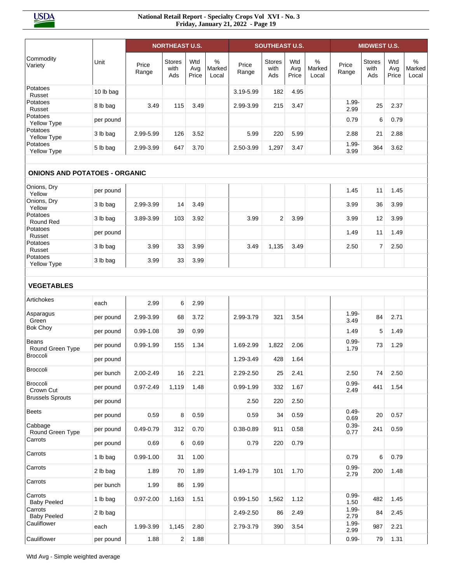|                                      |           |                | <b>NORTHEAST U.S.</b>        |                     |                                  |                | <b>SOUTHEAST U.S.</b>        |                     |                      |                  | <b>MIDWEST U.S.</b>          |                     |                      |
|--------------------------------------|-----------|----------------|------------------------------|---------------------|----------------------------------|----------------|------------------------------|---------------------|----------------------|------------------|------------------------------|---------------------|----------------------|
| Commodity<br>Variety                 | Unit      | Price<br>Range | <b>Stores</b><br>with<br>Ads | Wtd<br>Avg<br>Price | $\frac{0}{0}$<br>Marked<br>Local | Price<br>Range | <b>Stores</b><br>with<br>Ads | Wtd<br>Avg<br>Price | %<br>Marked<br>Local | Price<br>Range   | <b>Stores</b><br>with<br>Ads | Wtd<br>Avg<br>Price | %<br>Marked<br>Local |
| Potatoes<br>Russet                   | 10 lb bag |                |                              |                     |                                  | 3.19-5.99      | 182                          | 4.95                |                      |                  |                              |                     |                      |
| Potatoes<br>Russet                   | 8 lb bag  | 3.49           | 115                          | 3.49                |                                  | 2.99-3.99      | 215                          | 3.47                |                      | $1.99 -$<br>2.99 | 25                           | 2.37                |                      |
| Potatoes<br>Yellow Type              | per pound |                |                              |                     |                                  |                |                              |                     |                      | 0.79             | 6                            | 0.79                |                      |
| Potatoes<br>Yellow Type              | 3 lb bag  | 2.99-5.99      | 126                          | 3.52                |                                  | 5.99           | 220                          | 5.99                |                      | 2.88             | 21                           | 2.88                |                      |
| Potatoes<br>Yellow Type              | 5 lb bag  | 2.99-3.99      | 647                          | 3.70                |                                  | 2.50-3.99      | 1,297                        | 3.47                |                      | $1.99 -$<br>3.99 | 364                          | 3.62                |                      |
|                                      |           |                |                              |                     |                                  |                |                              |                     |                      |                  |                              |                     |                      |
| <b>ONIONS AND POTATOES - ORGANIC</b> |           |                |                              |                     |                                  |                |                              |                     |                      |                  |                              |                     |                      |
| Onions, Dry<br>Yellow                | per pound |                |                              |                     |                                  |                |                              |                     |                      | 1.45             | 11                           | 1.45                |                      |
| Onions, Dry<br>Yellow                | 3 lb bag  | 2.99-3.99      | 14                           | 3.49                |                                  |                |                              |                     |                      | 3.99             | 36                           | 3.99                |                      |
| Potatoes<br>Round Red                | 3 lb bag  | 3.89-3.99      | 103                          | 3.92                |                                  | 3.99           | $\overline{2}$               | 3.99                |                      | 3.99             | 12                           | 3.99                |                      |
| Potatoes<br>Russet                   | per pound |                |                              |                     |                                  |                |                              |                     |                      | 1.49             | 11                           | 1.49                |                      |
| Potatoes<br>Russet                   | 3 lb bag  | 3.99           | 33                           | 3.99                |                                  | 3.49           | 1,135                        | 3.49                |                      | 2.50             | $\overline{7}$               | 2.50                |                      |
| Potatoes<br>Yellow Type              | 3 lb bag  | 3.99           | 33                           | 3.99                |                                  |                |                              |                     |                      |                  |                              |                     |                      |
|                                      |           |                |                              |                     |                                  |                |                              |                     |                      |                  |                              |                     |                      |
| <b>VEGETABLES</b>                    |           |                |                              |                     |                                  |                |                              |                     |                      |                  |                              |                     |                      |
| Artichokes                           | each      | 2.99           | 6                            | 2.99                |                                  |                |                              |                     |                      |                  |                              |                     |                      |
| Asparagus<br>Green                   | per pound | 2.99-3.99      | 68                           | 3.72                |                                  | 2.99-3.79      | 321                          | 3.54                |                      | $1.99 -$<br>3.49 | 84                           | 2.71                |                      |
| <b>Bok Choy</b>                      | per pound | $0.99 - 1.08$  | 39                           | 0.99                |                                  |                |                              |                     |                      | 1.49             | 5                            | 1.49                |                      |
| Beans<br>Round Green Type            | per pound | $0.99 - 1.99$  | 155                          | 1.34                |                                  | 1.69-2.99      | 1,822                        | 2.06                |                      | $0.99 -$<br>1.79 | 73                           | 1.29                |                      |
| <b>Broccoli</b>                      | per pound |                |                              |                     |                                  | 1.29-3.49      | 428                          | 1.64                |                      |                  |                              |                     |                      |
| Broccoli                             | per bunch | 2.00-2.49      | 16                           | 2.21                |                                  | 2.29-2.50      | 25                           | 2.41                |                      | 2.50             | 74                           | 2.50                |                      |
| Broccoli<br>Crown Cut                | per pound | 0.97-2.49      | 1,119                        | 1.48                |                                  | $0.99 - 1.99$  | 332                          | 1.67                |                      | $0.99 -$<br>2.49 | 441                          | 1.54                |                      |
| <b>Brussels Sprouts</b>              | per pound |                |                              |                     |                                  | 2.50           | 220                          | 2.50                |                      |                  |                              |                     |                      |
| <b>Beets</b>                         | per pound | 0.59           | 8                            | 0.59                |                                  | 0.59           | 34                           | 0.59                |                      | $0.49 -$<br>0.69 | 20                           | 0.57                |                      |
| Cabbage<br>Round Green Type          | per pound | 0.49-0.79      | 312                          | 0.70                |                                  | 0.38-0.89      | 911                          | 0.58                |                      | $0.39 -$<br>0.77 | 241                          | 0.59                |                      |
| Carrots                              | per pound | 0.69           | 6                            | 0.69                |                                  | 0.79           | 220                          | 0.79                |                      |                  |                              |                     |                      |
| Carrots                              | 1 lb bag  | $0.99 - 1.00$  | 31                           | 1.00                |                                  |                |                              |                     |                      | 0.79             | 6                            | 0.79                |                      |
| Carrots                              | 2 lb bag  | 1.89           | 70                           | 1.89                |                                  | 1.49-1.79      | 101                          | 1.70                |                      | $0.99 -$<br>2.79 | 200                          | 1.48                |                      |
| Carrots                              | per bunch | 1.99           | 86                           | 1.99                |                                  |                |                              |                     |                      |                  |                              |                     |                      |
| Carrots<br><b>Baby Peeled</b>        | 1 lb bag  | $0.97 - 2.00$  | 1,163                        | 1.51                |                                  | $0.99 - 1.50$  | 1,562                        | 1.12                |                      | $0.99 -$<br>1.50 | 482                          | 1.45                |                      |
| Carrots<br><b>Baby Peeled</b>        | 2 lb bag  |                |                              |                     |                                  | 2.49-2.50      | 86                           | 2.49                |                      | 1.99-<br>2.79    | 84                           | 2.45                |                      |
| Cauliflower                          | each      | 1.99-3.99      | 1,145                        | 2.80                |                                  | 2.79-3.79      | 390                          | 3.54                |                      | $1.99 -$<br>2.99 | 987                          | 2.21                |                      |
| Cauliflower                          | per pound | 1.88           | $\overline{\mathbf{c}}$      | 1.88                |                                  |                |                              |                     |                      | $0.99 -$         | 79                           | 1.31                |                      |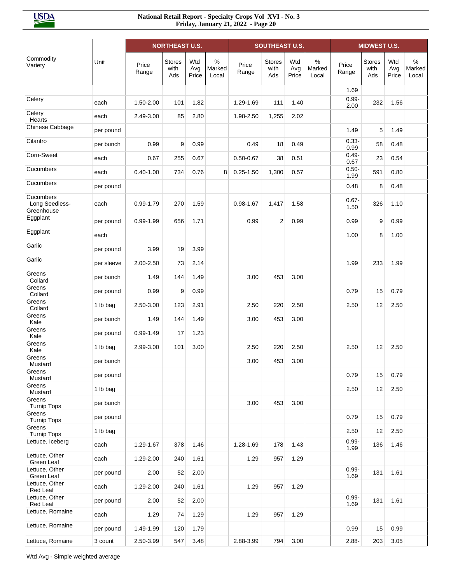|                                           |            |                | <b>NORTHEAST U.S.</b> |                     |                         |                | <b>SOUTHEAST U.S.</b>        |                     |                         |                  | <b>MIDWEST U.S.</b>          |                     |                         |
|-------------------------------------------|------------|----------------|-----------------------|---------------------|-------------------------|----------------|------------------------------|---------------------|-------------------------|------------------|------------------------------|---------------------|-------------------------|
| Commodity<br>Variety                      | Unit       | Price<br>Range | Stores<br>with<br>Ads | Wtd<br>Avg<br>Price | $\%$<br>Marked<br>Local | Price<br>Range | <b>Stores</b><br>with<br>Ads | Wtd<br>Avg<br>Price | $\%$<br>Marked<br>Local | Price<br>Range   | <b>Stores</b><br>with<br>Ads | Wtd<br>Avg<br>Price | $\%$<br>Marked<br>Local |
|                                           |            |                |                       |                     |                         |                |                              |                     |                         | 1.69             |                              |                     |                         |
| Celery                                    | each       | 1.50-2.00      | 101                   | 1.82                |                         | 1.29-1.69      | 111                          | 1.40                |                         | $0.99 -$<br>2.00 | 232                          | 1.56                |                         |
| Celery<br>Hearts                          | each       | 2.49-3.00      | 85                    | 2.80                |                         | 1.98-2.50      | 1,255                        | 2.02                |                         |                  |                              |                     |                         |
| Chinese Cabbage                           | per pound  |                |                       |                     |                         |                |                              |                     |                         | 1.49             | 5                            | 1.49                |                         |
| Cilantro                                  | per bunch  | 0.99           | 9                     | 0.99                |                         | 0.49           | 18                           | 0.49                |                         | $0.33 -$<br>0.99 | 58                           | 0.48                |                         |
| Corn-Sweet                                | each       | 0.67           | 255                   | 0.67                |                         | $0.50 - 0.67$  | 38                           | 0.51                |                         | $0.49 -$<br>0.67 | 23                           | 0.54                |                         |
| Cucumbers                                 | each       | $0.40 - 1.00$  | 734                   | 0.76                | 8                       | $0.25 - 1.50$  | 1,300                        | 0.57                |                         | $0.50 -$<br>1.99 | 591                          | 0.80                |                         |
| Cucumbers                                 | per pound  |                |                       |                     |                         |                |                              |                     |                         | 0.48             | 8                            | 0.48                |                         |
| Cucumbers<br>Long Seedless-<br>Greenhouse | each       | 0.99-1.79      | 270                   | 1.59                |                         | $0.98 - 1.67$  | 1,417                        | 1.58                |                         | $0.67 -$<br>1.50 | 326                          | 1.10                |                         |
| Eggplant                                  | per pound  | $0.99 - 1.99$  | 656                   | 1.71                |                         | 0.99           | 2                            | 0.99                |                         | 0.99             | 9                            | 0.99                |                         |
| Eggplant                                  | each       |                |                       |                     |                         |                |                              |                     |                         | 1.00             | 8                            | 1.00                |                         |
| Garlic                                    | per pound  | 3.99           | 19                    | 3.99                |                         |                |                              |                     |                         |                  |                              |                     |                         |
| Garlic                                    | per sleeve | 2.00-2.50      | 73                    | 2.14                |                         |                |                              |                     |                         | 1.99             | 233                          | 1.99                |                         |
| Greens<br>Collard                         | per bunch  | 1.49           | 144                   | 1.49                |                         | 3.00           | 453                          | 3.00                |                         |                  |                              |                     |                         |
| Greens<br>Collard                         | per pound  | 0.99           | 9                     | 0.99                |                         |                |                              |                     |                         | 0.79             | 15                           | 0.79                |                         |
| Greens<br>Collard                         | 1 lb bag   | 2.50-3.00      | 123                   | 2.91                |                         | 2.50           | 220                          | 2.50                |                         | 2.50             | 12                           | 2.50                |                         |
| Greens<br>Kale                            | per bunch  | 1.49           | 144                   | 1.49                |                         | 3.00           | 453                          | 3.00                |                         |                  |                              |                     |                         |
| Greens<br>Kale                            | per pound  | $0.99 - 1.49$  | 17                    | 1.23                |                         |                |                              |                     |                         |                  |                              |                     |                         |
| Greens<br>Kale                            | 1 lb bag   | 2.99-3.00      | 101                   | 3.00                |                         | 2.50           | 220                          | 2.50                |                         | 2.50             | 12                           | 2.50                |                         |
| Greens<br>Mustard                         | per bunch  |                |                       |                     |                         | 3.00           | 453                          | 3.00                |                         |                  |                              |                     |                         |
| Greens<br>Mustard                         | per pound  |                |                       |                     |                         |                |                              |                     |                         | 0.79             | 15                           | 0.79                |                         |
| Greens<br>Mustard                         | 1 lb bag   |                |                       |                     |                         |                |                              |                     |                         | 2.50             | 12                           | 2.50                |                         |
| Greens<br><b>Turnip Tops</b>              | per bunch  |                |                       |                     |                         | 3.00           | 453                          | 3.00                |                         |                  |                              |                     |                         |
| Greens<br><b>Turnip Tops</b>              | per pound  |                |                       |                     |                         |                |                              |                     |                         | 0.79             | 15                           | 0.79                |                         |
| Greens<br><b>Turnip Tops</b>              | 1 lb bag   |                |                       |                     |                         |                |                              |                     |                         | 2.50             | 12                           | 2.50                |                         |
| Lettuce, Iceberg                          | each       | 1.29-1.67      | 378                   | 1.46                |                         | 1.28-1.69      | 178                          | 1.43                |                         | $0.99 -$<br>1.99 | 136                          | 1.46                |                         |
| Lettuce, Other<br>Green Leaf              | each       | 1.29-2.00      | 240                   | 1.61                |                         | 1.29           | 957                          | 1.29                |                         |                  |                              |                     |                         |
| Lettuce, Other<br>Green Leaf              | per pound  | 2.00           | 52                    | 2.00                |                         |                |                              |                     |                         | $0.99 -$<br>1.69 | 131                          | 1.61                |                         |
| Lettuce, Other<br>Red Leaf                | each       | 1.29-2.00      | 240                   | 1.61                |                         | 1.29           | 957                          | 1.29                |                         |                  |                              |                     |                         |
| Lettuce, Other<br>Red Leaf                | per pound  | 2.00           | 52                    | 2.00                |                         |                |                              |                     |                         | $0.99 -$<br>1.69 | 131                          | 1.61                |                         |
| Lettuce, Romaine                          | each       | 1.29           | 74                    | 1.29                |                         | 1.29           | 957                          | 1.29                |                         |                  |                              |                     |                         |
| Lettuce, Romaine                          | per pound  | 1.49-1.99      | 120                   | 1.79                |                         |                |                              |                     |                         | 0.99             | 15                           | 0.99                |                         |
| Lettuce, Romaine                          | 3 count    | 2.50-3.99      | 547                   | 3.48                |                         | 2.88-3.99      | 794                          | 3.00                |                         | $2.88 -$         | 203                          | 3.05                |                         |

Wtd Avg - Simple weighted average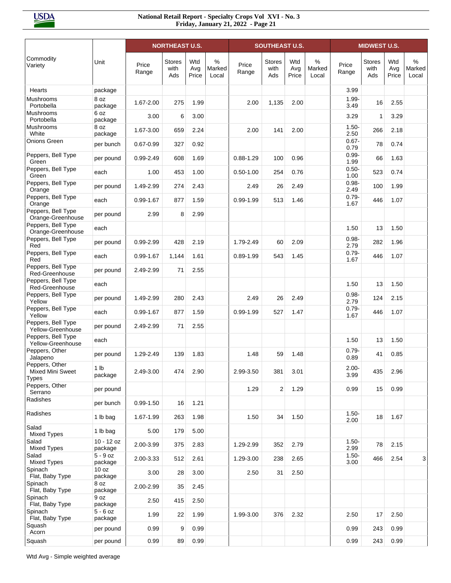|                                                    |                       |                | <b>NORTHEAST U.S.</b>        |                     |                         |                | <b>SOUTHEAST U.S.</b>        |                     |                      |                  | <b>MIDWEST U.S.</b>          |                     |                                  |
|----------------------------------------------------|-----------------------|----------------|------------------------------|---------------------|-------------------------|----------------|------------------------------|---------------------|----------------------|------------------|------------------------------|---------------------|----------------------------------|
| Commodity<br>Variety                               | Unit                  | Price<br>Range | <b>Stores</b><br>with<br>Ads | Wtd<br>Avg<br>Price | $\%$<br>Marked<br>Local | Price<br>Range | <b>Stores</b><br>with<br>Ads | Wtd<br>Avg<br>Price | %<br>Marked<br>Local | Price<br>Range   | <b>Stores</b><br>with<br>Ads | Wtd<br>Avg<br>Price | $\frac{0}{0}$<br>Marked<br>Local |
| Hearts                                             | package               |                |                              |                     |                         |                |                              |                     |                      | 3.99             |                              |                     |                                  |
| <b>Mushrooms</b><br>Portobella                     | 8 oz<br>package       | 1.67-2.00      | 275                          | 1.99                |                         | 2.00           | 1,135                        | 2.00                |                      | $1.99 -$<br>3.49 | 16                           | 2.55                |                                  |
| Mushrooms<br>Portobella                            | 6 oz<br>package       | 3.00           | 6                            | 3.00                |                         |                |                              |                     |                      | 3.29             | 1                            | 3.29                |                                  |
| <b>Mushrooms</b><br>White                          | 8 oz<br>package       | 1.67-3.00      | 659                          | 2.24                |                         | 2.00           | 141                          | 2.00                |                      | $1.50 -$<br>2.50 | 266                          | 2.18                |                                  |
| Onions Green                                       | per bunch             | $0.67 - 0.99$  | 327                          | 0.92                |                         |                |                              |                     |                      | $0.67 -$<br>0.79 | 78                           | 0.74                |                                  |
| Peppers, Bell Type<br>Green                        | per pound             | 0.99-2.49      | 608                          | 1.69                |                         | $0.88 - 1.29$  | 100                          | 0.96                |                      | $0.99 -$<br>1.99 | 66                           | 1.63                |                                  |
| Peppers, Bell Type<br>Green                        | each                  | 1.00           | 453                          | 1.00                |                         | $0.50 - 1.00$  | 254                          | 0.76                |                      | $0.50 -$<br>1.00 | 523                          | 0.74                |                                  |
| Peppers, Bell Type<br>Orange                       | per pound             | 1.49-2.99      | 274                          | 2.43                |                         | 2.49           | 26                           | 2.49                |                      | $0.98 -$<br>2.49 | 100                          | 1.99                |                                  |
| Peppers, Bell Type<br>Orange                       | each                  | 0.99-1.67      | 877                          | 1.59                |                         | 0.99-1.99      | 513                          | 1.46                |                      | $0.79 -$<br>1.67 | 446                          | 1.07                |                                  |
| Peppers, Bell Type<br>Orange-Greenhouse            | per pound             | 2.99           | 8                            | 2.99                |                         |                |                              |                     |                      |                  |                              |                     |                                  |
| Peppers, Bell Type<br>Orange-Greenhouse            | each                  |                |                              |                     |                         |                |                              |                     |                      | 1.50             | 13                           | 1.50                |                                  |
| Peppers, Bell Type<br>Red                          | per pound             | 0.99-2.99      | 428                          | 2.19                |                         | 1.79-2.49      | 60                           | 2.09                |                      | $0.98 -$<br>2.79 | 282                          | 1.96                |                                  |
| Peppers, Bell Type<br>Red                          | each                  | 0.99-1.67      | 1,144                        | 1.61                |                         | $0.89 - 1.99$  | 543                          | 1.45                |                      | $0.79 -$<br>1.67 | 446                          | 1.07                |                                  |
| Peppers, Bell Type<br>Red-Greenhouse               | per pound             | 2.49-2.99      | 71                           | 2.55                |                         |                |                              |                     |                      |                  |                              |                     |                                  |
| Peppers, Bell Type<br>Red-Greenhouse               | each                  |                |                              |                     |                         |                |                              |                     |                      | 1.50             | 13                           | 1.50                |                                  |
| Peppers, Bell Type<br>Yellow                       | per pound             | 1.49-2.99      | 280                          | 2.43                |                         | 2.49           | 26                           | 2.49                |                      | $0.98 -$<br>2.79 | 124                          | 2.15                |                                  |
| Peppers, Bell Type<br>Yellow                       | each                  | 0.99-1.67      | 877                          | 1.59                |                         | $0.99 - 1.99$  | 527                          | 1.47                |                      | $0.79 -$<br>1.67 | 446                          | 1.07                |                                  |
| Peppers, Bell Type<br>Yellow-Greenhouse            | per pound             | 2.49-2.99      | 71                           | 2.55                |                         |                |                              |                     |                      |                  |                              |                     |                                  |
| Peppers, Bell Type<br>Yellow-Greenhouse            | each                  |                |                              |                     |                         |                |                              |                     |                      | 1.50             | 13                           | 1.50                |                                  |
| Peppers, Other<br>Jalapeno                         | per pound             | 1.29-2.49      | 139                          | 1.83                |                         | 1.48           | 59                           | 1.48                |                      | $0.79 -$<br>0.89 | 41                           | 0.85                |                                  |
| Peppers, Other<br>Mixed Mini Sweet<br><b>Types</b> | 1 lb<br>package       | 2.49-3.00      | 474                          | 2.90                |                         | 2.99-3.50      | 381                          | 3.01                |                      | $2.00 -$<br>3.99 | 435                          | 2.96                |                                  |
| Peppers, Other<br>Serrano                          | per pound             |                |                              |                     |                         | 1.29           | 2                            | 1.29                |                      | 0.99             | 15                           | 0.99                |                                  |
| Radishes                                           | per bunch             | $0.99 - 1.50$  | 16                           | 1.21                |                         |                |                              |                     |                      |                  |                              |                     |                                  |
| Radishes                                           | 1 lb bag              | 1.67-1.99      | 263                          | 1.98                |                         | 1.50           | 34                           | 1.50                |                      | $1.50 -$<br>2.00 | 18                           | 1.67                |                                  |
| Salad<br><b>Mixed Types</b>                        | 1 lb bag              | 5.00           | 179                          | 5.00                |                         |                |                              |                     |                      |                  |                              |                     |                                  |
| Salad<br><b>Mixed Types</b>                        | 10 - 12 oz<br>package | 2.00-3.99      | 375                          | 2.83                |                         | 1.29-2.99      | 352                          | 2.79                |                      | $1.50 -$<br>2.99 | 78                           | 2.15                |                                  |
| Salad<br><b>Mixed Types</b>                        | $5 - 9$ oz<br>package | 2.00-3.33      | 512                          | 2.61                |                         | 1.29-3.00      | 238                          | 2.65                |                      | $1.50 -$<br>3.00 | 466                          | 2.54                | 3                                |
| Spinach<br>Flat, Baby Type                         | 10 oz<br>package      | 3.00           | 28                           | 3.00                |                         | 2.50           | 31                           | 2.50                |                      |                  |                              |                     |                                  |
| Spinach<br>Flat, Baby Type                         | 8 oz<br>package       | 2.00-2.99      | 35                           | 2.45                |                         |                |                              |                     |                      |                  |                              |                     |                                  |
| Spinach<br>Flat, Baby Type                         | 9 oz<br>package       | 2.50           | 415                          | 2.50                |                         |                |                              |                     |                      |                  |                              |                     |                                  |
| Spinach<br>Flat, Baby Type                         | $5 - 6$ oz<br>package | 1.99           | 22                           | 1.99                |                         | 1.99-3.00      | 376                          | 2.32                |                      | 2.50             | 17                           | 2.50                |                                  |
| Squash<br>Acorn                                    | per pound             | 0.99           | 9                            | 0.99                |                         |                |                              |                     |                      | 0.99             | 243                          | 0.99                |                                  |
| Squash                                             | per pound             | 0.99           | 89                           | 0.99                |                         |                |                              |                     |                      | 0.99             | 243                          | 0.99                |                                  |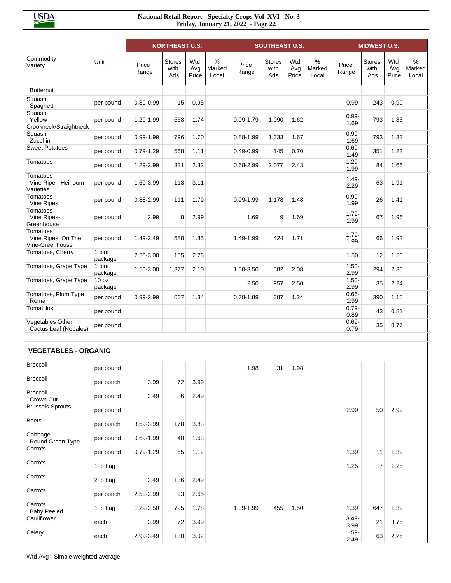|                                                   |                   |                | <b>NORTHEAST U.S.</b> |                     |                      |                | <b>SOUTHEAST U.S.</b>        |                     |                      |                  | <b>MIDWEST U.S.</b>          |                     |                         |
|---------------------------------------------------|-------------------|----------------|-----------------------|---------------------|----------------------|----------------|------------------------------|---------------------|----------------------|------------------|------------------------------|---------------------|-------------------------|
| Commodity<br>Variety                              | Unit              | Price<br>Range | Stores<br>with<br>Ads | Wtd<br>Avg<br>Price | %<br>Marked<br>Local | Price<br>Range | <b>Stores</b><br>with<br>Ads | Wtd<br>Avg<br>Price | %<br>Marked<br>Local | Price<br>Range   | <b>Stores</b><br>with<br>Ads | Wtd<br>Avg<br>Price | $\%$<br>Marked<br>Local |
| <b>Butternut</b>                                  |                   |                |                       |                     |                      |                |                              |                     |                      |                  |                              |                     |                         |
| Squash<br>Spaghetti                               | per pound         | $0.89 - 0.99$  | 15                    | 0.95                |                      |                |                              |                     |                      | 0.99             | 243                          | 0.99                |                         |
| Squash<br>Yellow<br>Crookneck/Straightneck        | per pound         | 1.29-1.99      | 658                   | 1.74                |                      | $0.99 - 1.79$  | 1,090                        | 1.62                |                      | $0.99 -$<br>1.69 | 793                          | 1.33                |                         |
| Squash<br>Zucchini                                | per pound         | $0.99 - 1.99$  | 796                   | 1.70                |                      | $0.88 - 1.99$  | 1,333                        | 1.67                |                      | $0.99 -$<br>1.69 | 793                          | 1.33                |                         |
| <b>Sweet Potatoes</b>                             | per pound         | $0.79 - 1.29$  | 568                   | 1.11                |                      | $0.49 - 0.99$  | 145                          | 0.70                |                      | $0.69 -$<br>1.49 | 351                          | 1.23                |                         |
| Tomatoes                                          | per pound         | 1.29-2.99      | 331                   | 2.32                |                      | $0.68 - 2.99$  | 2,077                        | 2.43                |                      | $1.29 -$<br>1.99 | 84                           | 1.66                |                         |
| Tomatoes<br>Vine Ripe - Heirloom<br>Varieties     | per pound         | 1.69-3.99      | 113                   | 3.11                |                      |                |                              |                     |                      | $1.49 -$<br>2.29 | 63                           | 1.91                |                         |
| Tomatoes<br>Vine Ripes                            | per pound         | 0.88-2.99      | 111                   | 1.79                |                      | $0.99 - 1.99$  | 1,178                        | 1.48                |                      | $0.99 -$<br>1.99 | 26                           | 1.41                |                         |
| Tomatoes<br>Vine Ripes-<br>Greenhouse             | per pound         | 2.99           | 8                     | 2.99                |                      | 1.69           | 9                            | 1.69                |                      | $1.79 -$<br>1.99 | 67                           | 1.96                |                         |
| Tomatoes<br>Vine Ripes, On The<br>Vine-Greenhouse | per pound         | 1.49-2.49      | 588                   | 1.85                |                      | 1.49-1.99      | 424                          | 1.71                |                      | $1.79 -$<br>1.99 | 66                           | 1.92                |                         |
| Tomatoes, Cherry                                  | 1 pint<br>package | 2.50-3.00      | 155                   | 2.76                |                      |                |                              |                     |                      | 1.50             | 12                           | 1.50                |                         |
| Tomatoes, Grape Type                              | 1 pint<br>package | 1.50-3.00      | 1,377                 | 2.10                |                      | 1.50-3.50      | 582                          | 2.08                |                      | $1.50 -$<br>2.99 | 294                          | 2.35                |                         |
| Tomatoes, Grape Type                              | 10 oz<br>package  |                |                       |                     |                      | 2.50           | 957                          | 2.50                |                      | $1.50 -$<br>2.99 | 35                           | 2.24                |                         |
| Tomatoes, Plum Type<br>Roma                       | per pound         | 0.99-2.99      | 667                   | 1.34                |                      | $0.78 - 1.89$  | 387                          | 1.24                |                      | $0.66 -$<br>1.99 | 390                          | 1.15                |                         |
| Tomatillos                                        | per pound         |                |                       |                     |                      |                |                              |                     |                      | $0.79 -$<br>0.89 | 43                           | 0.81                |                         |
| Vegetables Other<br>Cactus Leaf (Nopales)         | per pound         |                |                       |                     |                      |                |                              |                     |                      | $0.69 -$<br>0.79 | 35                           | 0.77                |                         |
| <b>VEGETABLES - ORGANIC</b>                       |                   |                |                       |                     |                      |                |                              |                     |                      |                  |                              |                     |                         |
| Broccoli                                          | per pound         |                |                       |                     |                      | 1.98           | 31                           | 1.98                |                      |                  |                              |                     |                         |
| <b>Broccoli</b>                                   | per bunch         | 3.99           | 72                    | 3.99                |                      |                |                              |                     |                      |                  |                              |                     |                         |
| Broccoli<br>Crown Cut                             | per pound         | 2.49           | 6                     | 2.49                |                      |                |                              |                     |                      |                  |                              |                     |                         |
| <b>Brussels Sprouts</b>                           | per pound         |                |                       |                     |                      |                |                              |                     |                      | 2.99             | 50                           | 2.99                |                         |
| <b>Beets</b>                                      | per bunch         | 3.59-3.99      | 178                   | 3.83                |                      |                |                              |                     |                      |                  |                              |                     |                         |
| Cabbage<br>Round Green Type                       | per pound         | $0.69 - 1.99$  | 40                    | 1.63                |                      |                |                              |                     |                      |                  |                              |                     |                         |
| Carrots                                           | per pound         | $0.79 - 1.29$  | 65                    | 1.12                |                      |                |                              |                     |                      | 1.39             | 11                           | 1.39                |                         |
| Carrots                                           | 1 lb bag          |                |                       |                     |                      |                |                              |                     |                      | 1.25             | $\overline{7}$               | 1.25                |                         |
| Carrots                                           | 2 lb bag          | 2.49           | 136                   | 2.49                |                      |                |                              |                     |                      |                  |                              |                     |                         |
| Carrots                                           | per bunch         | 2.50-2.99      | 93                    | 2.65                |                      |                |                              |                     |                      |                  |                              |                     |                         |
| Carrots<br><b>Baby Peeled</b>                     | 1 lb bag          | 1.29-2.50      | 795                   | 1.78                |                      | 1.39-1.99      | 455                          | 1.50                |                      | 1.39             | 647                          | 1.39                |                         |
| Cauliflower                                       | each              | 3.99           | 72                    | 3.99                |                      |                |                              |                     |                      | $3.49 -$<br>3.99 | 21                           | 3.75                |                         |
| Celery                                            | each              | 2.99-3.49      | 130                   | 3.02                |                      |                |                              |                     |                      | $1.59 -$<br>2.49 | 63                           | 2.26                |                         |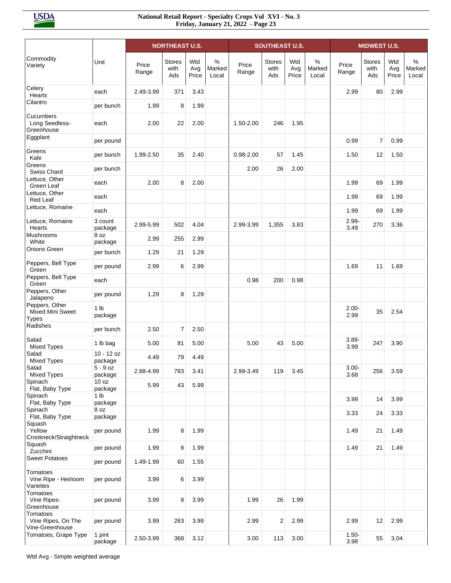|                                                           |                            |                | <b>NORTHEAST U.S.</b>        |                     |                      |                | <b>SOUTHEAST U.S.</b>        |                     |                      |                  | <b>MIDWEST U.S.</b>          |                     |                                  |
|-----------------------------------------------------------|----------------------------|----------------|------------------------------|---------------------|----------------------|----------------|------------------------------|---------------------|----------------------|------------------|------------------------------|---------------------|----------------------------------|
| Commodity<br>Variety                                      | Unit                       | Price<br>Range | <b>Stores</b><br>with<br>Ads | Wtd<br>Avg<br>Price | %<br>Marked<br>Local | Price<br>Range | <b>Stores</b><br>with<br>Ads | Wtd<br>Avg<br>Price | %<br>Marked<br>Local | Price<br>Range   | <b>Stores</b><br>with<br>Ads | Wtd<br>Avg<br>Price | $\frac{0}{0}$<br>Marked<br>Local |
| Celery<br>Hearts                                          | each                       | 2.49-3.99      | 371                          | 3.43                |                      |                |                              |                     |                      | 2.99             | 80                           | 2.99                |                                  |
| Cilantro                                                  | per bunch                  | 1.99           | 8                            | 1.99                |                      |                |                              |                     |                      |                  |                              |                     |                                  |
| Cucumbers<br>Long Seedless-<br>Greenhouse                 | each                       | 2.00           | 22                           | 2.00                |                      | 1.50-2.00      | 246                          | 1.95                |                      |                  |                              |                     |                                  |
| Eggplant                                                  | per pound                  |                |                              |                     |                      |                |                              |                     |                      | 0.99             | 7                            | 0.99                |                                  |
| Greens<br>Kale                                            | per bunch                  | 1.99-2.50      | 35                           | 2.40                |                      | $0.98 - 2.00$  | 57                           | 1.45                |                      | 1.50             | 12                           | 1.50                |                                  |
| Greens<br>Swiss Chard                                     | per bunch                  |                |                              |                     |                      | 2.00           | 26                           | 2.00                |                      |                  |                              |                     |                                  |
| Lettuce, Other                                            | each                       | 2.00           | 8                            | 2.00                |                      |                |                              |                     |                      | 1.99             | 69                           | 1.99                |                                  |
| Green Leaf<br>Lettuce, Other                              | each                       |                |                              |                     |                      |                |                              |                     |                      | 1.99             | 69                           | 1.99                |                                  |
| Red Leaf<br>Lettuce, Romaine                              | each                       |                |                              |                     |                      |                |                              |                     |                      | 1.99             | 69                           | 1.99                |                                  |
| Lettuce, Romaine                                          | 3 count                    |                |                              |                     |                      |                |                              |                     |                      | $2.99 -$         |                              |                     |                                  |
| Hearts<br>Mushrooms                                       | package<br>8 oz            | 2.99-5.99      | 502                          | 4.04                |                      | 2.99-3.99      | 1,355                        | 3.83                |                      | 3.49             | 270                          | 3.36                |                                  |
| White<br>Onions Green                                     | package                    | 2.99           | 255                          | 2.99                |                      |                |                              |                     |                      |                  |                              |                     |                                  |
|                                                           | per bunch                  | 1.29           | 21                           | 1.29                |                      |                |                              |                     |                      |                  |                              |                     |                                  |
| Peppers, Bell Type<br>Green                               | per pound                  | 2.99           | 6                            | 2.99                |                      |                |                              |                     |                      | 1.69             | 11                           | 1.69                |                                  |
| Peppers, Bell Type<br>Green                               | each                       |                |                              |                     |                      | 0.98           | 200                          | 0.98                |                      |                  |                              |                     |                                  |
| Peppers, Other<br>Jalapeno                                | per pound                  | 1.29           | 8                            | 1.29                |                      |                |                              |                     |                      |                  |                              |                     |                                  |
| Peppers, Other<br><b>Mixed Mini Sweet</b><br><b>Types</b> | 1 <sub>lb</sub><br>package |                |                              |                     |                      |                |                              |                     |                      | $2.00 -$<br>2.99 | 35                           | 2.54                |                                  |
| Radishes                                                  | per bunch                  | 2.50           | $\overline{7}$               | 2.50                |                      |                |                              |                     |                      |                  |                              |                     |                                  |
| Salad<br><b>Mixed Types</b>                               | 1 lb bag                   | 5.00           | 81                           | 5.00                |                      | 5.00           | 43                           | 5.00                |                      | $3.89 -$<br>3.99 | 247                          | 3.90                |                                  |
| Salad<br><b>Mixed Types</b>                               | $10 - 12$ oz<br>package    | 4.49           | 79                           | 4.49                |                      |                |                              |                     |                      |                  |                              |                     |                                  |
| Salad<br><b>Mixed Types</b>                               | 5 - 9 oz<br>package        | 2.88-4.99      | 783                          | 3.41                |                      | 2.99-3.49      | 119                          | 3.45                |                      | $3.00 -$<br>3.68 | 256                          | 3.59                |                                  |
| Spinach                                                   | 10 oz                      | 5.99           | 43                           | 5.99                |                      |                |                              |                     |                      |                  |                              |                     |                                  |
| Flat, Baby Type<br>Spinach                                | package<br>1 <sub>lb</sub> |                |                              |                     |                      |                |                              |                     |                      | 3.99             | 14                           | 3.99                |                                  |
| Flat, Baby Type<br>Spinach                                | package<br>8 oz            |                |                              |                     |                      |                |                              |                     |                      | 3.33             | 24                           | 3.33                |                                  |
| Flat, Baby Type<br>Squash<br>Yellow                       | package<br>per pound       | 1.99           | 8                            | 1.99                |                      |                |                              |                     |                      | 1.49             | 21                           | 1.49                |                                  |
| Crookneck/Straightneck<br>Squash<br>Zucchini              | per pound                  | 1.99           | 8                            | 1.99                |                      |                |                              |                     |                      | 1.49             | 21                           | 1.49                |                                  |
| <b>Sweet Potatoes</b>                                     | per pound                  | 1.49-1.99      | 60                           | 1.55                |                      |                |                              |                     |                      |                  |                              |                     |                                  |
| Tomatoes<br>Vine Ripe - Heirloom<br>Varieties             | per pound                  | 3.99           | 6                            | 3.99                |                      |                |                              |                     |                      |                  |                              |                     |                                  |
| Tomatoes<br>Vine Ripes-<br>Greenhouse                     | per pound                  | 3.99           | 8                            | 3.99                |                      | 1.99           | 26                           | 1.99                |                      |                  |                              |                     |                                  |
| Tomatoes<br>Vine Ripes, On The<br>Vine-Greenhouse         | per pound                  | 3.99           | 263                          | 3.99                |                      | 2.99           | 2                            | 2.99                |                      | 2.99             | 12                           | 2.99                |                                  |
| Tomatoes, Grape Type                                      | 1 pint<br>package          | 2.50-3.99      | 368                          | 3.12                |                      | 3.00           | 113                          | 3.00                |                      | $1.50 -$<br>3.98 | 55                           | 3.04                |                                  |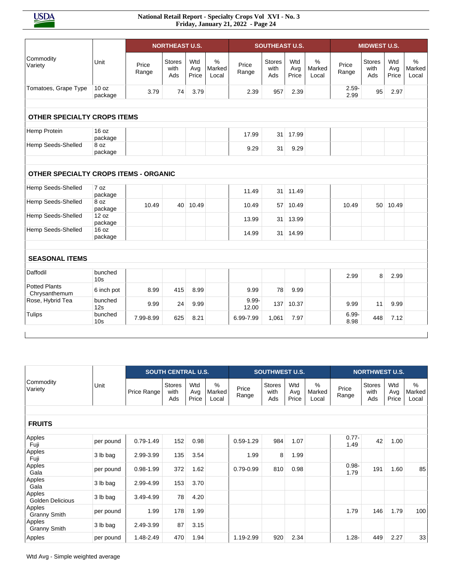**USDA** 

|                                              |                             |                | <b>NORTHEAST U.S.</b>        |                     |                         |                   | <b>SOUTHEAST U.S.</b>        |                     |                         |                  | <b>MIDWEST U.S.</b>          |                     |                         |
|----------------------------------------------|-----------------------------|----------------|------------------------------|---------------------|-------------------------|-------------------|------------------------------|---------------------|-------------------------|------------------|------------------------------|---------------------|-------------------------|
| Commodity<br>Variety                         | Unit                        | Price<br>Range | <b>Stores</b><br>with<br>Ads | Wtd<br>Avg<br>Price | $\%$<br>Marked<br>Local | Price<br>Range    | <b>Stores</b><br>with<br>Ads | Wtd<br>Avg<br>Price | $\%$<br>Marked<br>Local | Price<br>Range   | <b>Stores</b><br>with<br>Ads | Wtd<br>Avg<br>Price | $\%$<br>Marked<br>Local |
| Tomatoes, Grape Type                         | 10 <sub>oz</sub><br>package | 3.79           | 74                           | 3.79                |                         | 2.39              | 957                          | 2.39                |                         | $2.59 -$<br>2.99 | 95                           | 2.97                |                         |
| <b>OTHER SPECIALTY CROPS ITEMS</b>           |                             |                |                              |                     |                         |                   |                              |                     |                         |                  |                              |                     |                         |
| Hemp Protein                                 | 16 oz<br>package            |                |                              |                     |                         | 17.99             | 31                           | 17.99               |                         |                  |                              |                     |                         |
| Hemp Seeds-Shelled                           | 8 oz<br>package             |                |                              |                     |                         | 9.29              | 31                           | 9.29                |                         |                  |                              |                     |                         |
| <b>OTHER SPECIALTY CROPS ITEMS - ORGANIC</b> |                             |                |                              |                     |                         |                   |                              |                     |                         |                  |                              |                     |                         |
| Hemp Seeds-Shelled                           | 7 oz<br>package             |                |                              |                     |                         | 11.49             | 31                           | 11.49               |                         |                  |                              |                     |                         |
| Hemp Seeds-Shelled                           | 8 oz<br>package             | 10.49          | 40 <sup>1</sup>              | 10.49               |                         | 10.49             | 57                           | 10.49               |                         | 10.49            | 50                           | 10.49               |                         |
| Hemp Seeds-Shelled                           | 12 oz<br>package            |                |                              |                     |                         | 13.99             | 31                           | 13.99               |                         |                  |                              |                     |                         |
| Hemp Seeds-Shelled                           | 16 oz<br>package            |                |                              |                     |                         | 14.99             | 31                           | 14.99               |                         |                  |                              |                     |                         |
| <b>SEASONAL ITEMS</b>                        |                             |                |                              |                     |                         |                   |                              |                     |                         |                  |                              |                     |                         |
| Daffodil                                     | bunched<br>10 <sub>s</sub>  |                |                              |                     |                         |                   |                              |                     |                         | 2.99             | 8                            | 2.99                |                         |
| <b>Potted Plants</b><br>Chrysanthemum        | 6 inch pot                  | 8.99           | 415                          | 8.99                |                         | 9.99              | 78                           | 9.99                |                         |                  |                              |                     |                         |
| Rose, Hybrid Tea                             | bunched<br>12s              | 9.99           | 24                           | 9.99                |                         | $9.99 -$<br>12.00 | 137                          | 10.37               |                         | 9.99             | 11                           | 9.99                |                         |
| <b>Tulips</b>                                | bunched<br>10 <sub>s</sub>  | 7.99-8.99      | 625                          | 8.21                |                         | 6.99-7.99         | 1,061                        | 7.97                |                         | 6.99-<br>8.98    | 448                          | 7.12                |                         |
|                                              |                             |                |                              |                     |                         |                   |                              |                     |                         |                  |                              |                     |                         |

|                               |           |               | <b>SOUTH CENTRAL U.S.</b>    |                     |                      |                | <b>SOUTHWEST U.S.</b>        |                     |                      |                  | <b>NORTHWEST U.S.</b>        |                     |                                  |
|-------------------------------|-----------|---------------|------------------------------|---------------------|----------------------|----------------|------------------------------|---------------------|----------------------|------------------|------------------------------|---------------------|----------------------------------|
| Commodity<br>Variety          | Unit      | Price Range   | <b>Stores</b><br>with<br>Ads | Wtd<br>Avg<br>Price | %<br>Marked<br>Local | Price<br>Range | <b>Stores</b><br>with<br>Ads | Wtd<br>Avg<br>Price | %<br>Marked<br>Local | Price<br>Range   | <b>Stores</b><br>with<br>Ads | Wtd<br>Avg<br>Price | $\frac{0}{0}$<br>Marked<br>Local |
|                               |           |               |                              |                     |                      |                |                              |                     |                      |                  |                              |                     |                                  |
| <b>FRUITS</b>                 |           |               |                              |                     |                      |                |                              |                     |                      |                  |                              |                     |                                  |
| Apples<br>Fuji                | per pound | $0.79 - 1.49$ | 152                          | 0.98                |                      | $0.59 - 1.29$  | 984                          | 1.07                |                      | $0.77 -$<br>1.49 | 42                           | 1.00                |                                  |
| Apples<br>Fuji                | 3 lb bag  | 2.99-3.99     | 135                          | 3.54                |                      | 1.99           | 8                            | 1.99                |                      |                  |                              |                     |                                  |
| Apples<br>Gala                | per pound | 0.98-1.99     | 372                          | 1.62                |                      | $0.79 - 0.99$  | 810                          | 0.98                |                      | $0.98 -$<br>1.79 | 191                          | 1.60                | 85                               |
| Apples<br>Gala                | 3 lb bag  | 2.99-4.99     | 153                          | 3.70                |                      |                |                              |                     |                      |                  |                              |                     |                                  |
| Apples<br>Golden Delicious    | 3 lb bag  | 3.49-4.99     | 78                           | 4.20                |                      |                |                              |                     |                      |                  |                              |                     |                                  |
| Apples<br><b>Granny Smith</b> | per pound | 1.99          | 178                          | 1.99                |                      |                |                              |                     |                      | 1.79             | 146                          | 1.79                | 100                              |
| Apples<br><b>Granny Smith</b> | 3 lb bag  | 2.49-3.99     | 87                           | 3.15                |                      |                |                              |                     |                      |                  |                              |                     |                                  |
| Apples                        | per pound | 1.48-2.49     | 470                          | 1.94                |                      | 1.19-2.99      | 920                          | 2.34                |                      | $1.28 -$         | 449                          | 2.27                | 33                               |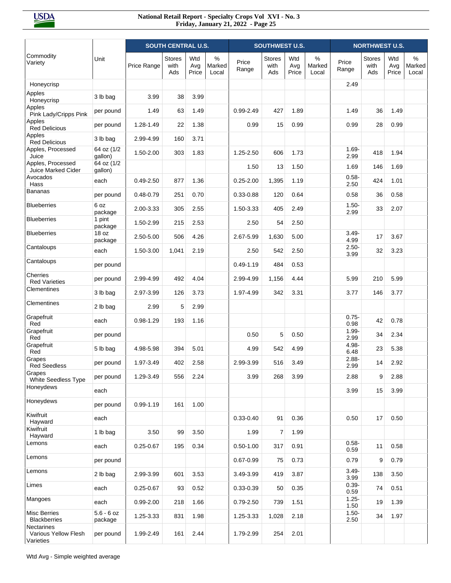|                                                 |                         |               | <b>SOUTH CENTRAL U.S.</b>    |                     |                      |                | <b>SOUTHWEST U.S.</b>        |                     |                         |                  | <b>NORTHWEST U.S.</b>        |                     |                      |
|-------------------------------------------------|-------------------------|---------------|------------------------------|---------------------|----------------------|----------------|------------------------------|---------------------|-------------------------|------------------|------------------------------|---------------------|----------------------|
| Commodity<br>Variety                            | Unit                    | Price Range   | <b>Stores</b><br>with<br>Ads | Wtd<br>Avg<br>Price | %<br>Marked<br>Local | Price<br>Range | <b>Stores</b><br>with<br>Ads | Wtd<br>Avg<br>Price | $\%$<br>Marked<br>Local | Price<br>Range   | <b>Stores</b><br>with<br>Ads | Wtd<br>Avg<br>Price | %<br>Marked<br>Local |
| Honeycrisp                                      |                         |               |                              |                     |                      |                |                              |                     |                         | 2.49             |                              |                     |                      |
| Apples<br>Honeycrisp                            | 3 lb bag                | 3.99          | 38                           | 3.99                |                      |                |                              |                     |                         |                  |                              |                     |                      |
| Apples<br>Pink Lady/Cripps Pink                 | per pound               | 1.49          | 63                           | 1.49                |                      | $0.99 - 2.49$  | 427                          | 1.89                |                         | 1.49             | 36                           | 1.49                |                      |
| Apples<br><b>Red Delicious</b>                  | per pound               | 1.28-1.49     | 22                           | 1.38                |                      | 0.99           | 15                           | 0.99                |                         | 0.99             | 28                           | 0.99                |                      |
| Apples<br><b>Red Delicious</b>                  | 3 lb bag                | 2.99-4.99     | 160                          | 3.71                |                      |                |                              |                     |                         |                  |                              |                     |                      |
| Apples, Processed<br>Juice                      | 64 oz (1/2<br>gallon)   | 1.50-2.00     | 303                          | 1.83                |                      | 1.25-2.50      | 606                          | 1.73                |                         | $1.69 -$<br>2.99 | 418                          | 1.94                |                      |
| Apples, Processed<br>Juice Marked Cider         | 64 oz (1/2<br>gallon)   |               |                              |                     |                      | 1.50           | 13                           | 1.50                |                         | 1.69             | 146                          | 1.69                |                      |
| Avocados<br>Hass                                | each                    | $0.49 - 2.50$ | 877                          | 1.36                |                      | $0.25 - 2.00$  | 1,395                        | 1.19                |                         | $0.58 -$<br>2.50 | 424                          | 1.01                |                      |
| Bananas                                         | per pound               | $0.48 - 0.79$ | 251                          | 0.70                |                      | $0.33 - 0.88$  | 120                          | 0.64                |                         | 0.58             | 36                           | 0.58                |                      |
| <b>Blueberries</b>                              | 6 oz<br>package         | 2.00-3.33     | 305                          | 2.55                |                      | 1.50-3.33      | 405                          | 2.49                |                         | $1.50 -$<br>2.99 | 33                           | 2.07                |                      |
| <b>Blueberries</b>                              | 1 pint<br>package       | 1.50-2.99     | 215                          | 2.53                |                      | 2.50           | 54                           | 2.50                |                         |                  |                              |                     |                      |
| <b>Blueberries</b>                              | 18 oz<br>package        | 2.50-5.00     | 506                          | 4.26                |                      | 2.67-5.99      | 1,630                        | 5.00                |                         | $3.49 -$<br>4.99 | 17                           | 3.67                |                      |
| Cantaloups                                      | each                    | 1.50-3.00     | 1,041                        | 2.19                |                      | 2.50           | 542                          | 2.50                |                         | $2.50 -$<br>3.99 | 32                           | 3.23                |                      |
| Cantaloups                                      | per pound               |               |                              |                     |                      | $0.49 - 1.19$  | 484                          | 0.53                |                         |                  |                              |                     |                      |
| Cherries<br><b>Red Varieties</b>                | per pound               | 2.99-4.99     | 492                          | 4.04                |                      | 2.99-4.99      | 1,156                        | 4.44                |                         | 5.99             | 210                          | 5.99                |                      |
| Clementines                                     | 3 lb bag                | 2.97-3.99     | 126                          | 3.73                |                      | 1.97-4.99      | 342                          | 3.31                |                         | 3.77             | 146                          | 3.77                |                      |
| Clementines                                     | 2 lb bag                | 2.99          | 5                            | 2.99                |                      |                |                              |                     |                         |                  |                              |                     |                      |
| Grapefruit<br>Red                               | each                    | 0.98-1.29     | 193                          | 1.16                |                      |                |                              |                     |                         | $0.75 -$<br>0.98 | 42                           | 0.78                |                      |
| Grapefruit<br>Red                               | per pound               |               |                              |                     |                      | 0.50           | 5                            | 0.50                |                         | $1.99 -$<br>2.99 | 34                           | 2.34                |                      |
| Grapefruit<br>Red                               | 5 lb bag                | 4.98-5.98     | 394                          | 5.01                |                      | 4.99           | 542                          | 4.99                |                         | 4.98-<br>6.48    | 23                           | 5.38                |                      |
| Grapes<br><b>Red Seedless</b>                   | per pound               | 1.97-3.49     | 402                          | 2.58                |                      | 2.99-3.99      | 516                          | 3.49                |                         | $2.88 -$<br>2.99 | 14                           | 2.92                |                      |
| Grapes<br>White Seedless Type                   | per pound               | 1.29-3.49     | 556                          | 2.24                |                      | 3.99           | 268                          | 3.99                |                         | 2.88             | 9                            | 2.88                |                      |
| Honeydews                                       | each                    |               |                              |                     |                      |                |                              |                     |                         | 3.99             | 15                           | 3.99                |                      |
| Honeydews                                       | per pound               | $0.99 - 1.19$ | 161                          | 1.00                |                      |                |                              |                     |                         |                  |                              |                     |                      |
| Kiwifruit<br>Hayward                            | each                    |               |                              |                     |                      | $0.33 - 0.40$  | 91                           | 0.36                |                         | 0.50             | 17                           | 0.50                |                      |
| Kiwifruit<br>Hayward                            | 1 lb bag                | 3.50          | 99                           | 3.50                |                      | 1.99           | $\overline{7}$               | 1.99                |                         |                  |                              |                     |                      |
| Lemons                                          | each                    | $0.25 - 0.67$ | 195                          | 0.34                |                      | $0.50 - 1.00$  | 317                          | 0.91                |                         | $0.58 -$<br>0.59 | 11                           | 0.58                |                      |
| Lemons                                          | per pound               |               |                              |                     |                      | $0.67 - 0.99$  | 75                           | 0.73                |                         | 0.79             | 9                            | 0.79                |                      |
| Lemons                                          | 2 lb bag                | 2.99-3.99     | 601                          | 3.53                |                      | 3.49-3.99      | 419                          | 3.87                |                         | $3.49 -$<br>3.99 | 138                          | 3.50                |                      |
| Limes                                           | each                    | $0.25 - 0.67$ | 93                           | 0.52                |                      | $0.33 - 0.39$  | 50                           | 0.35                |                         | $0.39 -$<br>0.59 | 74                           | 0.51                |                      |
| Mangoes                                         | each                    | $0.99 - 2.00$ | 218                          | 1.66                |                      | $0.79 - 2.50$  | 739                          | 1.51                |                         | $1.25 -$<br>1.50 | 19                           | 1.39                |                      |
| <b>Misc Berries</b><br><b>Blackberries</b>      | $5.6 - 6$ oz<br>package | 1.25-3.33     | 831                          | 1.98                |                      | 1.25-3.33      | 1,028                        | 2.18                |                         | $1.50 -$<br>2.50 | 34                           | 1.97                |                      |
| Nectarines<br>Various Yellow Flesh<br>Varieties | per pound               | 1.99-2.49     | 161                          | 2.44                |                      | 1.79-2.99      | 254                          | 2.01                |                         |                  |                              |                     |                      |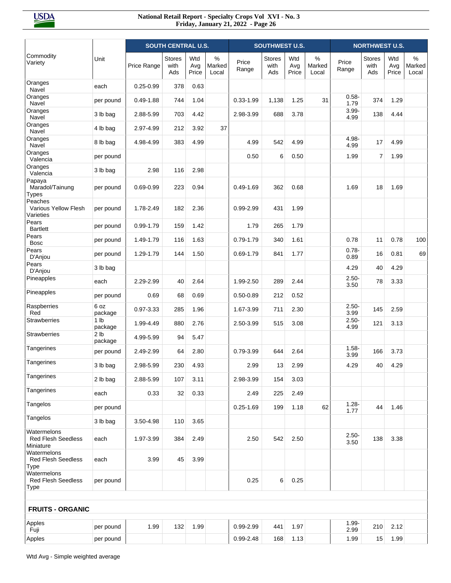|                                                       |                            |               | <b>SOUTH CENTRAL U.S.</b>    |                     |                         |                | <b>SOUTHWEST U.S.</b>        |                     |                         |                  | <b>NORTHWEST U.S.</b>        |                     |                         |
|-------------------------------------------------------|----------------------------|---------------|------------------------------|---------------------|-------------------------|----------------|------------------------------|---------------------|-------------------------|------------------|------------------------------|---------------------|-------------------------|
| Commodity<br>Variety                                  | Unit                       | Price Range   | <b>Stores</b><br>with<br>Ads | Wtd<br>Avg<br>Price | $\%$<br>Marked<br>Local | Price<br>Range | <b>Stores</b><br>with<br>Ads | Wtd<br>Avg<br>Price | $\%$<br>Marked<br>Local | Price<br>Range   | <b>Stores</b><br>with<br>Ads | Wtd<br>Avg<br>Price | $\%$<br>Marked<br>Local |
| Oranges<br>Navel                                      | each                       | $0.25 - 0.99$ | 378                          | 0.63                |                         |                |                              |                     |                         |                  |                              |                     |                         |
| Oranges<br>Navel                                      | per pound                  | $0.49 - 1.88$ | 744                          | 1.04                |                         | $0.33 - 1.99$  | 1,138                        | 1.25                | 31                      | $0.58 -$<br>1.79 | 374                          | 1.29                |                         |
| Oranges<br>Navel                                      | 3 lb bag                   | 2.88-5.99     | 703                          | 4.42                |                         | 2.98-3.99      | 688                          | 3.78                |                         | $3.99 -$<br>4.99 | 138                          | 4.44                |                         |
| Oranges<br>Navel                                      | 4 lb bag                   | 2.97-4.99     | 212                          | 3.92                | 37                      |                |                              |                     |                         |                  |                              |                     |                         |
| Oranges<br>Navel                                      | 8 lb bag                   | 4.98-4.99     | 383                          | 4.99                |                         | 4.99           | 542                          | 4.99                |                         | 4.98-<br>4.99    | 17                           | 4.99                |                         |
| Oranges<br>Valencia                                   | per pound                  |               |                              |                     |                         | 0.50           | 6                            | 0.50                |                         | 1.99             | $\overline{7}$               | 1.99                |                         |
| Oranges<br>Valencia                                   | 3 lb bag                   | 2.98          | 116                          | 2.98                |                         |                |                              |                     |                         |                  |                              |                     |                         |
| Papaya<br>Maradol/Tainung<br><b>Types</b>             | per pound                  | 0.69-0.99     | 223                          | 0.94                |                         | $0.49 - 1.69$  | 362                          | 0.68                |                         | 1.69             | 18                           | 1.69                |                         |
| Peaches<br><b>Various Yellow Flesh</b><br>Varieties   | per pound                  | 1.78-2.49     | 182                          | 2.36                |                         | 0.99-2.99      | 431                          | 1.99                |                         |                  |                              |                     |                         |
| Pears<br><b>Bartlett</b>                              | per pound                  | 0.99-1.79     | 159                          | 1.42                |                         | 1.79           | 265                          | 1.79                |                         |                  |                              |                     |                         |
| Pears<br><b>Bosc</b>                                  | per pound                  | 1.49-1.79     | 116                          | 1.63                |                         | $0.79 - 1.79$  | 340                          | 1.61                |                         | 0.78             | 11                           | 0.78                | 100                     |
| Pears<br>D'Anjou                                      | per pound                  | 1.29-1.79     | 144                          | 1.50                |                         | $0.69 - 1.79$  | 841                          | 1.77                |                         | $0.78 -$<br>0.89 | 16                           | 0.81                | 69                      |
| Pears<br>D'Anjou                                      | 3 lb bag                   |               |                              |                     |                         |                |                              |                     |                         | 4.29             | 40                           | 4.29                |                         |
| Pineapples                                            | each                       | 2.29-2.99     | 40                           | 2.64                |                         | 1.99-2.50      | 289                          | 2.44                |                         | $2.50 -$<br>3.50 | 78                           | 3.33                |                         |
| Pineapples                                            | per pound                  | 0.69          | 68                           | 0.69                |                         | $0.50 - 0.89$  | 212                          | 0.52                |                         |                  |                              |                     |                         |
| Raspberries<br>Red                                    | 6 oz<br>package            | 0.97-3.33     | 285                          | 1.96                |                         | 1.67-3.99      | 711                          | 2.30                |                         | $2.50 -$<br>3.99 | 145                          | 2.59                |                         |
| <b>Strawberries</b>                                   | 1 <sub>lb</sub><br>package | 1.99-4.49     | 880                          | 2.76                |                         | 2.50-3.99      | 515                          | 3.08                |                         | $2.50 -$<br>4.99 | 121                          | 3.13                |                         |
| <b>Strawberries</b>                                   | 2 <sub>lb</sub><br>package | 4.99-5.99     | 94                           | 5.47                |                         |                |                              |                     |                         |                  |                              |                     |                         |
| Tangerines                                            | per pound                  | 2.49-2.99     | 64                           | 2.80                |                         | 0.79-3.99      | 644                          | 2.64                |                         | $1.58 -$<br>3.99 | 166                          | 3.73                |                         |
| Tangerines                                            | 3 lb bag                   | 2.98-5.99     | 230                          | 4.93                |                         | 2.99           | 13                           | 2.99                |                         | 4.29             | 40                           | 4.29                |                         |
| Tangerines                                            | 2 lb bag                   | 2.88-5.99     | 107                          | 3.11                |                         | 2.98-3.99      | 154                          | 3.03                |                         |                  |                              |                     |                         |
| Tangerines                                            | each                       | 0.33          | 32                           | 0.33                |                         | 2.49           | 225                          | 2.49                |                         |                  |                              |                     |                         |
| Tangelos                                              | per pound                  |               |                              |                     |                         | $0.25 - 1.69$  | 199                          | 1.18                | 62                      | $1.28 -$<br>1.77 | 44                           | 1.46                |                         |
| Tangelos                                              | 3 lb bag                   | 3.50-4.98     | 110                          | 3.65                |                         |                |                              |                     |                         |                  |                              |                     |                         |
| Watermelons<br><b>Red Flesh Seedless</b><br>Miniature | each                       | 1.97-3.99     | 384                          | 2.49                |                         | 2.50           | 542                          | 2.50                |                         | $2.50 -$<br>3.50 | 138                          | 3.38                |                         |
| Watermelons<br><b>Red Flesh Seedless</b><br>Type      | each                       | 3.99          | 45                           | 3.99                |                         |                |                              |                     |                         |                  |                              |                     |                         |
| Watermelons<br><b>Red Flesh Seedless</b><br>Type      | per pound                  |               |                              |                     |                         | 0.25           | 6                            | 0.25                |                         |                  |                              |                     |                         |
|                                                       |                            |               |                              |                     |                         |                |                              |                     |                         |                  |                              |                     |                         |
| <b>FRUITS - ORGANIC</b>                               |                            |               |                              |                     |                         |                |                              |                     |                         |                  |                              |                     |                         |
| Apples<br>Fuji                                        | per pound                  | 1.99          | 132                          | 1.99                |                         | 0.99-2.99      | 441                          | 1.97                |                         | $1.99 -$<br>2.99 | 210                          | 2.12                |                         |
| Apples                                                | per pound                  |               |                              |                     |                         | 0.99-2.48      | 168                          | 1.13                |                         | 1.99             | 15                           | 1.99                |                         |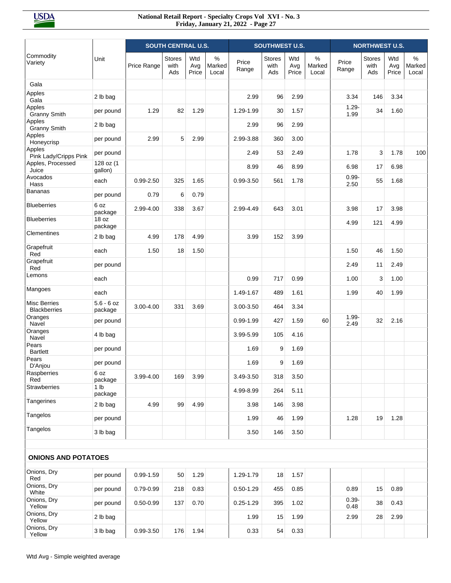|                                            |                            |               | <b>SOUTH CENTRAL U.S.</b>    |                     |                      |                | <b>SOUTHWEST U.S.</b> |                     |                         |                  | <b>NORTHWEST U.S.</b>        |                     |                         |
|--------------------------------------------|----------------------------|---------------|------------------------------|---------------------|----------------------|----------------|-----------------------|---------------------|-------------------------|------------------|------------------------------|---------------------|-------------------------|
| Commodity<br>Variety                       | Unit                       | Price Range   | <b>Stores</b><br>with<br>Ads | Wtd<br>Avg<br>Price | %<br>Marked<br>Local | Price<br>Range | Stores<br>with<br>Ads | Wtd<br>Avg<br>Price | $\%$<br>Marked<br>Local | Price<br>Range   | <b>Stores</b><br>with<br>Ads | Wtd<br>Avg<br>Price | $\%$<br>Marked<br>Local |
| Gala                                       |                            |               |                              |                     |                      |                |                       |                     |                         |                  |                              |                     |                         |
| Apples<br>Gala                             | 2 lb bag                   |               |                              |                     |                      | 2.99           | 96                    | 2.99                |                         | 3.34             | 146                          | 3.34                |                         |
| Apples<br><b>Granny Smith</b>              | per pound                  | 1.29          | 82                           | 1.29                |                      | 1.29-1.99      | 30                    | 1.57                |                         | $1.29 -$<br>1.99 | 34                           | 1.60                |                         |
| Apples<br><b>Granny Smith</b>              | 2 lb bag                   |               |                              |                     |                      | 2.99           | 96                    | 2.99                |                         |                  |                              |                     |                         |
| Apples<br>Honeycrisp                       | per pound                  | 2.99          | 5                            | 2.99                |                      | 2.99-3.88      | 360                   | 3.00                |                         |                  |                              |                     |                         |
| Apples<br>Pink Lady/Cripps Pink            | per pound                  |               |                              |                     |                      | 2.49           | 53                    | 2.49                |                         | 1.78             | 3                            | 1.78                | 100                     |
| Apples, Processed<br>Juice                 | 128 oz (1<br>gallon)       |               |                              |                     |                      | 8.99           | 46                    | 8.99                |                         | 6.98             | 17                           | 6.98                |                         |
| Avocados<br>Hass                           | each                       | $0.99 - 2.50$ | 325                          | 1.65                |                      | $0.99 - 3.50$  | 561                   | 1.78                |                         | $0.99 -$<br>2.50 | 55                           | 1.68                |                         |
| <b>Bananas</b>                             | per pound                  | 0.79          | 6                            | 0.79                |                      |                |                       |                     |                         |                  |                              |                     |                         |
| <b>Blueberries</b>                         | 6 oz<br>package            | 2.99-4.00     | 338                          | 3.67                |                      | 2.99-4.49      | 643                   | 3.01                |                         | 3.98             | 17                           | 3.98                |                         |
| <b>Blueberries</b>                         | 18 oz<br>package           |               |                              |                     |                      |                |                       |                     |                         | 4.99             | 121                          | 4.99                |                         |
| Clementines                                | 2 lb bag                   | 4.99          | 178                          | 4.99                |                      | 3.99           | 152                   | 3.99                |                         |                  |                              |                     |                         |
| Grapefruit<br>Red                          | each                       | 1.50          | 18                           | 1.50                |                      |                |                       |                     |                         | 1.50             | 46                           | 1.50                |                         |
| Grapefruit<br>Red                          | per pound                  |               |                              |                     |                      |                |                       |                     |                         | 2.49             | 11                           | 2.49                |                         |
| Lemons                                     | each                       |               |                              |                     |                      | 0.99           | 717                   | 0.99                |                         | 1.00             | 3                            | 1.00                |                         |
| Mangoes                                    | each                       |               |                              |                     |                      | 1.49-1.67      | 489                   | 1.61                |                         | 1.99             | 40                           | 1.99                |                         |
| <b>Misc Berries</b><br><b>Blackberries</b> | $5.6 - 6$ oz<br>package    | 3.00-4.00     | 331                          | 3.69                |                      | 3.00-3.50      | 464                   | 3.34                |                         |                  |                              |                     |                         |
| Oranges<br>Navel                           | per pound                  |               |                              |                     |                      | $0.99 - 1.99$  | 427                   | 1.59                | 60                      | $1.99 -$<br>2.49 | 32                           | 2.16                |                         |
| Oranges<br>Navel                           | 4 lb bag                   |               |                              |                     |                      | 3.99-5.99      | 105                   | 4.16                |                         |                  |                              |                     |                         |
| Pears<br><b>Bartlett</b>                   | per pound                  |               |                              |                     |                      | 1.69           | 9                     | 1.69                |                         |                  |                              |                     |                         |
| Pears<br>D'Anjou                           | per pound                  |               |                              |                     |                      | 1.69           | 9                     | 1.69                |                         |                  |                              |                     |                         |
| Raspberries<br>Red                         | 6 oz<br>package            | 3.99-4.00     | 169                          | 3.99                |                      | 3.49-3.50      | 318                   | 3.50                |                         |                  |                              |                     |                         |
| Strawberries                               | 1 <sub>lb</sub><br>package |               |                              |                     |                      | 4.99-8.99      | 264                   | 5.11                |                         |                  |                              |                     |                         |
| Tangerines                                 | 2 lb bag                   | 4.99          | 99                           | 4.99                |                      | 3.98           | 146                   | 3.98                |                         |                  |                              |                     |                         |
| Tangelos                                   | per pound                  |               |                              |                     |                      | 1.99           | 46                    | 1.99                |                         | 1.28             | 19                           | 1.28                |                         |
| Tangelos                                   | 3 lb bag                   |               |                              |                     |                      | 3.50           | 146                   | 3.50                |                         |                  |                              |                     |                         |
| <b>ONIONS AND POTATOES</b>                 |                            |               |                              |                     |                      |                |                       |                     |                         |                  |                              |                     |                         |
| Onions, Dry<br>Red                         | per pound                  | $0.99 - 1.59$ | 50                           | 1.29                |                      | 1.29-1.79      | 18                    | 1.57                |                         |                  |                              |                     |                         |
| Onions, Dry<br>White                       | per pound                  | 0.79-0.99     | 218                          | 0.83                |                      | $0.50 - 1.29$  | 455                   | 0.85                |                         | 0.89             | 15                           | 0.89                |                         |
| Onions, Dry<br>Yellow                      | per pound                  | $0.50 - 0.99$ | 137                          | 0.70                |                      | $0.25 - 1.29$  | 395                   | 1.02                |                         | $0.39 -$<br>0.48 | 38                           | 0.43                |                         |
| Onions, Dry<br>Yellow                      | 2 lb bag                   |               |                              |                     |                      | 1.99           | 15                    | 1.99                |                         | 2.99             | 28                           | 2.99                |                         |
| Onions, Dry<br>Yellow                      | 3 lb bag                   | 0.99-3.50     | 176                          | 1.94                |                      | 0.33           | 54                    | 0.33                |                         |                  |                              |                     |                         |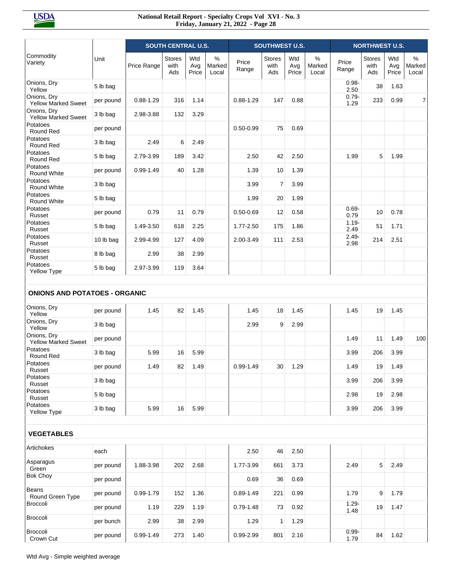|                                           |           |               | <b>SOUTH CENTRAL U.S.</b>    |                     |                         |                | <b>SOUTHWEST U.S.</b>        |                     |                      |                  | <b>NORTHWEST U.S.</b>        |                     |                         |
|-------------------------------------------|-----------|---------------|------------------------------|---------------------|-------------------------|----------------|------------------------------|---------------------|----------------------|------------------|------------------------------|---------------------|-------------------------|
| Commodity<br>Variety                      | Unit      | Price Range   | <b>Stores</b><br>with<br>Ads | Wtd<br>Avg<br>Price | $\%$<br>Marked<br>Local | Price<br>Range | <b>Stores</b><br>with<br>Ads | Wtd<br>Avg<br>Price | %<br>Marked<br>Local | Price<br>Range   | <b>Stores</b><br>with<br>Ads | Wtd<br>Avg<br>Price | $\%$<br>Marked<br>Local |
| Onions, Dry<br>Yellow                     | 5 lb bag  |               |                              |                     |                         |                |                              |                     |                      | $0.98 -$<br>2.50 | 38                           | 1.63                |                         |
| Onions, Dry<br><b>Yellow Marked Sweet</b> | per pound | $0.88 - 1.29$ | 316                          | 1.14                |                         | $0.88 - 1.29$  | 147                          | 0.88                |                      | $0.79 -$<br>1.29 | 233                          | 0.99                | $\overline{7}$          |
| Onions, Dry<br><b>Yellow Marked Sweet</b> | 3 lb bag  | 2.98-3.88     | 132                          | 3.29                |                         |                |                              |                     |                      |                  |                              |                     |                         |
| Potatoes<br>Round Red                     | per pound |               |                              |                     |                         | $0.50 - 0.99$  | 75                           | 0.69                |                      |                  |                              |                     |                         |
| Potatoes<br>Round Red                     | 3 lb bag  | 2.49          | 6                            | 2.49                |                         |                |                              |                     |                      |                  |                              |                     |                         |
| Potatoes<br>Round Red                     | 5 lb bag  | 2.79-3.99     | 189                          | 3.42                |                         | 2.50           | 42                           | 2.50                |                      | 1.99             | 5                            | 1.99                |                         |
| Potatoes<br>Round White                   | per pound | $0.99 - 1.49$ | 40                           | 1.28                |                         | 1.39           | 10                           | 1.39                |                      |                  |                              |                     |                         |
| Potatoes<br>Round White                   | 3 lb bag  |               |                              |                     |                         | 3.99           | 7                            | 3.99                |                      |                  |                              |                     |                         |
| Potatoes<br>Round White                   | 5 lb bag  |               |                              |                     |                         | 1.99           | 20                           | 1.99                |                      |                  |                              |                     |                         |
| Potatoes<br>Russet                        | per pound | 0.79          | 11                           | 0.79                |                         | $0.50 - 0.69$  | 12                           | 0.58                |                      | $0.69 -$<br>0.79 | 10                           | 0.78                |                         |
| Potatoes<br>Russet                        | 5 lb bag  | 1.49-3.50     | 618                          | 2.25                |                         | 1.77-2.50      | 175                          | 1.86                |                      | $1.19 -$<br>2.49 | 51                           | 1.71                |                         |
| Potatoes<br>Russet                        | 10 lb bag | 2.99-4.99     | 127                          | 4.09                |                         | 2.00-3.49      | 111                          | 2.53                |                      | $2.49 -$<br>2.98 | 214                          | 2.51                |                         |
| Potatoes<br>Russet                        | 8 lb bag  | 2.99          | 38                           | 2.99                |                         |                |                              |                     |                      |                  |                              |                     |                         |
| Potatoes<br><b>Yellow Type</b>            | 5 lb bag  | 2.97-3.99     | 119                          | 3.64                |                         |                |                              |                     |                      |                  |                              |                     |                         |
| <b>ONIONS AND POTATOES - ORGANIC</b>      |           |               |                              |                     |                         |                |                              |                     |                      |                  |                              |                     |                         |
| Onions, Dry                               |           |               |                              |                     |                         |                |                              |                     |                      |                  |                              |                     |                         |
| Yellow<br>Onions, Dry                     | per pound | 1.45          | 82                           | 1.45                |                         | 1.45           | 18                           | 1.45                |                      | 1.45             | 19                           | 1.45                |                         |
| Yellow                                    | 3 lb bag  |               |                              |                     |                         | 2.99           | 9                            | 2.99                |                      |                  |                              |                     |                         |
| Onions, Dry<br><b>Yellow Marked Sweet</b> | per pound |               |                              |                     |                         |                |                              |                     |                      | 1.49             | 11                           | 1.49                | 100                     |
| Potatoes<br>Round Red                     | 3 lb bag  | 5.99          | 16                           | 5.99                |                         |                |                              |                     |                      | 3.99             | 206                          | 3.99                |                         |
| Potatoes<br>Russet                        | per pound | 1.49          | 82                           | 1.49                |                         | $0.99 - 1.49$  | 30                           | 1.29                |                      | 1.49             | 19                           | 1.49                |                         |
| Potatoes<br>Russet                        | 3 lb bag  |               |                              |                     |                         |                |                              |                     |                      | 3.99             | 206                          | 3.99                |                         |
| Potatoes<br>Russet                        | 5 lb bag  |               |                              |                     |                         |                |                              |                     |                      | 2.98             | 19                           | 2.98                |                         |
| Potatoes<br>Yellow Type                   | 3 lb bag  | 5.99          | 16                           | 5.99                |                         |                |                              |                     |                      | 3.99             | 206                          | 3.99                |                         |
| <b>VEGETABLES</b>                         |           |               |                              |                     |                         |                |                              |                     |                      |                  |                              |                     |                         |
| Artichokes                                | each      |               |                              |                     |                         | 2.50           | 46                           | 2.50                |                      |                  |                              |                     |                         |
| Asparagus<br>Green                        | per pound | 1.88-3.98     | 202                          | 2.68                |                         | 1.77-3.99      | 661                          | 3.73                |                      | 2.49             | 5 <sup>5</sup>               | 2.49                |                         |
| <b>Bok Choy</b>                           | per pound |               |                              |                     |                         | 0.69           | 36                           | 0.69                |                      |                  |                              |                     |                         |
| Beans<br>Round Green Type                 | per pound | $0.99 - 1.79$ | 152                          | 1.36                |                         | $0.89 - 1.49$  | 221                          | 0.99                |                      | 1.79             | 9                            | 1.79                |                         |
| Broccoli                                  | per pound | 1.19          | 229                          | 1.19                |                         | $0.79 - 1.48$  | 73                           | 0.92                |                      | $1.29 -$<br>1.48 | 19                           | 1.47                |                         |
| Broccoli                                  | per bunch | 2.99          | 38                           | 2.99                |                         | 1.29           | 1                            | 1.29                |                      |                  |                              |                     |                         |
| Broccoli<br>Crown Cut                     | per pound | $0.99 - 1.49$ | 273                          | 1.40                |                         | 0.99-2.99      | 801                          | 2.16                |                      | $0.99 -$<br>1.79 | 84                           | 1.62                |                         |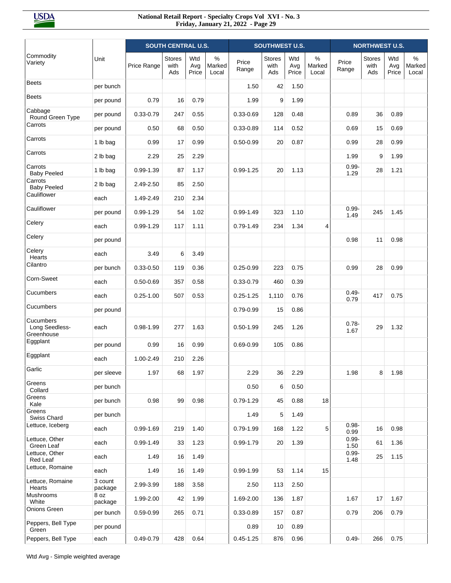|                                           |                    |               | <b>SOUTH CENTRAL U.S.</b>    |                     |                      |                | <b>SOUTHWEST U.S.</b> |                     |                      |                  | <b>NORTHWEST U.S.</b>        |                     |                      |
|-------------------------------------------|--------------------|---------------|------------------------------|---------------------|----------------------|----------------|-----------------------|---------------------|----------------------|------------------|------------------------------|---------------------|----------------------|
| Commodity<br>Variety                      | Unit               | Price Range   | <b>Stores</b><br>with<br>Ads | Wtd<br>Avg<br>Price | %<br>Marked<br>Local | Price<br>Range | Stores<br>with<br>Ads | Wtd<br>Avg<br>Price | %<br>Marked<br>Local | Price<br>Range   | <b>Stores</b><br>with<br>Ads | Wtd<br>Avg<br>Price | %<br>Marked<br>Local |
| <b>Beets</b>                              | per bunch          |               |                              |                     |                      | 1.50           | 42                    | 1.50                |                      |                  |                              |                     |                      |
| <b>Beets</b>                              | per pound          | 0.79          | 16                           | 0.79                |                      | 1.99           | 9                     | 1.99                |                      |                  |                              |                     |                      |
| Cabbage<br>Round Green Type               | per pound          | $0.33 - 0.79$ | 247                          | 0.55                |                      | $0.33 - 0.69$  | 128                   | 0.48                |                      | 0.89             | 36                           | 0.89                |                      |
| Carrots                                   | per pound          | 0.50          | 68                           | 0.50                |                      | $0.33 - 0.89$  | 114                   | 0.52                |                      | 0.69             | 15                           | 0.69                |                      |
| Carrots                                   | 1 lb bag           | 0.99          | 17                           | 0.99                |                      | $0.50 - 0.99$  | 20                    | 0.87                |                      | 0.99             | 28                           | 0.99                |                      |
| Carrots                                   | 2 lb bag           | 2.29          | 25                           | 2.29                |                      |                |                       |                     |                      | 1.99             | 9                            | 1.99                |                      |
| Carrots<br><b>Baby Peeled</b>             | 1 lb bag           | $0.99 - 1.39$ | 87                           | 1.17                |                      | $0.99 - 1.25$  | 20                    | 1.13                |                      | $0.99 -$<br>1.29 | 28                           | 1.21                |                      |
| Carrots<br><b>Baby Peeled</b>             | 2 lb bag           | 2.49-2.50     | 85                           | 2.50                |                      |                |                       |                     |                      |                  |                              |                     |                      |
| Cauliflower                               | each               | 1.49-2.49     | 210                          | 2.34                |                      |                |                       |                     |                      |                  |                              |                     |                      |
| Cauliflower                               | per pound          | $0.99 - 1.29$ | 54                           | 1.02                |                      | $0.99 - 1.49$  | 323                   | 1.10                |                      | $0.99 -$<br>1.49 | 245                          | 1.45                |                      |
| Celery                                    | each               | $0.99 - 1.29$ | 117                          | 1.11                |                      | $0.79 - 1.49$  | 234                   | 1.34                | 4                    |                  |                              |                     |                      |
| Celery                                    | per pound          |               |                              |                     |                      |                |                       |                     |                      | 0.98             | 11                           | 0.98                |                      |
| Celery<br>Hearts                          | each               | 3.49          | 6                            | 3.49                |                      |                |                       |                     |                      |                  |                              |                     |                      |
| Cilantro                                  | per bunch          | $0.33 - 0.50$ | 119                          | 0.36                |                      | $0.25 - 0.99$  | 223                   | 0.75                |                      | 0.99             | 28                           | 0.99                |                      |
| Corn-Sweet                                | each               | $0.50 - 0.69$ | 357                          | 0.58                |                      | $0.33 - 0.79$  | 460                   | 0.39                |                      |                  |                              |                     |                      |
| Cucumbers                                 | each               | $0.25 - 1.00$ | 507                          | 0.53                |                      | $0.25 - 1.25$  | 1,110                 | 0.76                |                      | $0.49 -$<br>0.79 | 417                          | 0.75                |                      |
| Cucumbers                                 | per pound          |               |                              |                     |                      | 0.79-0.99      | 15                    | 0.86                |                      |                  |                              |                     |                      |
| Cucumbers<br>Long Seedless-<br>Greenhouse | each               | $0.98 - 1.99$ | 277                          | 1.63                |                      | $0.50 - 1.99$  | 245                   | 1.26                |                      | $0.78 -$<br>1.67 | 29                           | 1.32                |                      |
| Eggplant                                  | per pound          | 0.99          | 16                           | 0.99                |                      | $0.69 - 0.99$  | 105                   | 0.86                |                      |                  |                              |                     |                      |
| Eggplant                                  | each               | 1.00-2.49     | 210                          | 2.26                |                      |                |                       |                     |                      |                  |                              |                     |                      |
| Garlic                                    | per sleeve         | 1.97          | 68                           | 1.97                |                      | 2.29           | 36                    | 2.29                |                      | 1.98             | 8                            | 1.98                |                      |
| Greens<br>Collard                         | per bunch          |               |                              |                     |                      | 0.50           | 6                     | 0.50                |                      |                  |                              |                     |                      |
| Greens<br>Kale                            | per bunch          | 0.98          | 99                           | 0.98                |                      | $0.79 - 1.29$  | 45                    | 0.88                | 18                   |                  |                              |                     |                      |
| Greens<br>Swiss Chard                     | per bunch          |               |                              |                     |                      | 1.49           | 5                     | 1.49                |                      |                  |                              |                     |                      |
| Lettuce, Iceberg                          | each               | $0.99 - 1.69$ | 219                          | 1.40                |                      | $0.79 - 1.99$  | 168                   | 1.22                | 5                    | $0.98 -$<br>0.99 | 16                           | 0.98                |                      |
| Lettuce, Other<br>Green Leaf              | each               | 0.99-1.49     | 33                           | 1.23                |                      | 0.99-1.79      | 20                    | 1.39                |                      | $0.99 -$<br>1.50 | 61                           | 1.36                |                      |
| Lettuce, Other<br>Red Leaf                | each               | 1.49          | 16                           | 1.49                |                      |                |                       |                     |                      | $0.99 -$<br>1.48 | 25                           | 1.15                |                      |
| Lettuce, Romaine                          | each               | 1.49          | 16                           | 1.49                |                      | $0.99 - 1.99$  | 53                    | 1.14                | 15                   |                  |                              |                     |                      |
| Lettuce, Romaine<br>Hearts                | 3 count<br>package | 2.99-3.99     | 188                          | 3.58                |                      | 2.50           | 113                   | 2.50                |                      |                  |                              |                     |                      |
| Mushrooms<br>White                        | 8 oz<br>package    | 1.99-2.00     | 42                           | 1.99                |                      | 1.69-2.00      | 136                   | 1.87                |                      | 1.67             | 17                           | 1.67                |                      |
| Onions Green                              | per bunch          | $0.59 - 0.99$ | 265                          | 0.71                |                      | 0.33-0.89      | 157                   | 0.87                |                      | 0.79             | 206                          | 0.79                |                      |
| Peppers, Bell Type<br>Green               | per pound          |               |                              |                     |                      | 0.89           | 10                    | 0.89                |                      |                  |                              |                     |                      |
| Peppers, Bell Type                        | each               | $0.49 - 0.79$ | 428                          | 0.64                |                      | $0.45 - 1.25$  | 876                   | 0.96                |                      | $0.49 -$         | 266                          | 0.75                |                      |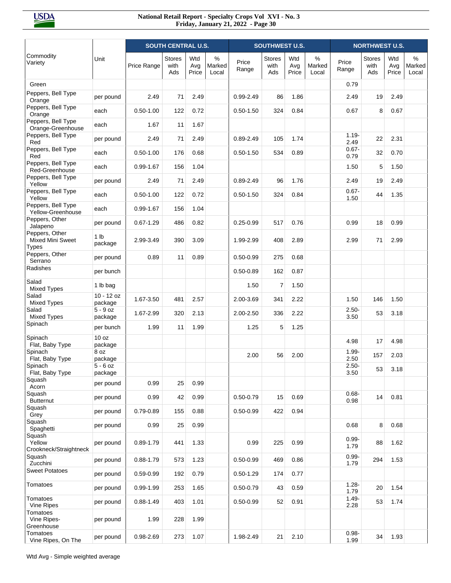|                                                    |                            |               | <b>SOUTH CENTRAL U.S.</b>    |                     |                      | <b>SOUTHWEST U.S.</b> |                       |                     |                      | <b>NORTHWEST U.S.</b> |                              |                     |                         |
|----------------------------------------------------|----------------------------|---------------|------------------------------|---------------------|----------------------|-----------------------|-----------------------|---------------------|----------------------|-----------------------|------------------------------|---------------------|-------------------------|
| Commodity<br>Variety                               | Unit                       | Price Range   | <b>Stores</b><br>with<br>Ads | Wtd<br>Avg<br>Price | %<br>Marked<br>Local | Price<br>Range        | Stores<br>with<br>Ads | Wtd<br>Avg<br>Price | %<br>Marked<br>Local | Price<br>Range        | <b>Stores</b><br>with<br>Ads | Wtd<br>Avg<br>Price | $\%$<br>Marked<br>Local |
| Green                                              |                            |               |                              |                     |                      |                       |                       |                     |                      | 0.79                  |                              |                     |                         |
| Peppers, Bell Type<br>Orange                       | per pound                  | 2.49          | 71                           | 2.49                |                      | $0.99 - 2.49$         | 86                    | 1.86                |                      | 2.49                  | 19                           | 2.49                |                         |
| Peppers, Bell Type<br>Orange                       | each                       | $0.50 - 1.00$ | 122                          | 0.72                |                      | $0.50 - 1.50$         | 324                   | 0.84                |                      | 0.67                  | 8                            | 0.67                |                         |
| Peppers, Bell Type<br>Orange-Greenhouse            | each                       | 1.67          | 11                           | 1.67                |                      |                       |                       |                     |                      |                       |                              |                     |                         |
| Peppers, Bell Type<br>Red                          | per pound                  | 2.49          | 71                           | 2.49                |                      | $0.89 - 2.49$         | 105                   | 1.74                |                      | $1.19 -$<br>2.49      | 22                           | 2.31                |                         |
| Peppers, Bell Type<br>Red                          | each                       | $0.50 - 1.00$ | 176                          | 0.68                |                      | $0.50 - 1.50$         | 534                   | 0.89                |                      | $0.67 -$<br>0.79      | 32                           | 0.70                |                         |
| Peppers, Bell Type<br>Red-Greenhouse               | each                       | $0.99 - 1.67$ | 156                          | 1.04                |                      |                       |                       |                     |                      | 1.50                  | 5                            | 1.50                |                         |
| Peppers, Bell Type<br>Yellow                       | per pound                  | 2.49          | 71                           | 2.49                |                      | $0.89 - 2.49$         | 96                    | 1.76                |                      | 2.49                  | 19                           | 2.49                |                         |
| Peppers, Bell Type<br>Yellow                       | each                       | $0.50 - 1.00$ | 122                          | 0.72                |                      | $0.50 - 1.50$         | 324                   | 0.84                |                      | $0.67 -$<br>1.50      | 44                           | 1.35                |                         |
| Peppers, Bell Type<br>Yellow-Greenhouse            | each                       | 0.99-1.67     | 156                          | 1.04                |                      |                       |                       |                     |                      |                       |                              |                     |                         |
| Peppers, Other<br>Jalapeno                         | per pound                  | $0.67 - 1.29$ | 486                          | 0.82                |                      | $0.25 - 0.99$         | 517                   | 0.76                |                      | 0.99                  | 18                           | 0.99                |                         |
| Peppers, Other<br>Mixed Mini Sweet<br><b>Types</b> | 1 <sub>lb</sub><br>package | 2.99-3.49     | 390                          | 3.09                |                      | 1.99-2.99             | 408                   | 2.89                |                      | 2.99                  | 71                           | 2.99                |                         |
| Peppers, Other<br>Serrano                          | per pound                  | 0.89          | 11                           | 0.89                |                      | $0.50 - 0.99$         | 275                   | 0.68                |                      |                       |                              |                     |                         |
| Radishes                                           | per bunch                  |               |                              |                     |                      | $0.50 - 0.89$         | 162                   | 0.87                |                      |                       |                              |                     |                         |
| Salad<br><b>Mixed Types</b>                        | 1 lb bag                   |               |                              |                     |                      | 1.50                  | $\overline{7}$        | 1.50                |                      |                       |                              |                     |                         |
| Salad<br><b>Mixed Types</b>                        | $10 - 12$ oz<br>package    | 1.67-3.50     | 481                          | 2.57                |                      | 2.00-3.69             | 341                   | 2.22                |                      | 1.50                  | 146                          | 1.50                |                         |
| Salad<br><b>Mixed Types</b>                        | $5 - 9$ oz<br>package      | 1.67-2.99     | 320                          | 2.13                |                      | 2.00-2.50             | 336                   | 2.22                |                      | $2.50 -$<br>3.50      | 53                           | 3.18                |                         |
| Spinach                                            | per bunch                  | 1.99          | 11                           | 1.99                |                      | 1.25                  | 5                     | 1.25                |                      |                       |                              |                     |                         |
| Spinach<br>Flat, Baby Type                         | 10 oz                      |               |                              |                     |                      |                       |                       |                     |                      | 4.98                  | 17                           | 4.98                |                         |
| Spinach                                            | package<br>8 oz<br>package |               |                              |                     |                      | 2.00                  | 56                    | 2.00                |                      | $1.99 -$<br>2.50      | 157                          | 2.03                |                         |
| Flat, Baby Type<br>Spinach                         | $5 - 6$ oz                 |               |                              |                     |                      |                       |                       |                     |                      | $2.50 -$              | 53                           | 3.18                |                         |
| Flat, Baby Type<br>Squash                          | package<br>per pound       | 0.99          | 25                           | 0.99                |                      |                       |                       |                     |                      | 3.50                  |                              |                     |                         |
| Acorn<br>Squash                                    | per pound                  | 0.99          | 42                           | 0.99                |                      | $0.50 - 0.79$         | 15                    | 0.69                |                      | $0.68 -$              | 14                           | 0.81                |                         |
| <b>Butternut</b><br>Squash                         | per pound                  | $0.79 - 0.89$ | 155                          | 0.88                |                      | $0.50 - 0.99$         | 422                   | 0.94                |                      | 0.98                  |                              |                     |                         |
| Grey<br>Squash<br>Spaghetti                        | per pound                  | 0.99          | 25                           | 0.99                |                      |                       |                       |                     |                      | 0.68                  | 8                            | 0.68                |                         |
| Squash<br>Yellow<br>Crookneck/Straightneck         | per pound                  | $0.89 - 1.79$ | 441                          | 1.33                |                      | 0.99                  | 225                   | 0.99                |                      | $0.99 -$<br>1.79      | 88                           | 1.62                |                         |
| Squash<br>Zucchini                                 | per pound                  | $0.88 - 1.79$ | 573                          | 1.23                |                      | $0.50 - 0.99$         | 469                   | 0.86                |                      | $0.99 -$<br>1.79      | 294                          | 1.53                |                         |
| <b>Sweet Potatoes</b>                              | per pound                  | $0.59 - 0.99$ | 192                          | 0.79                |                      | $0.50 - 1.29$         | 174                   | 0.77                |                      |                       |                              |                     |                         |
| Tomatoes                                           | per pound                  | 0.99-1.99     | 253                          | 1.65                |                      | $0.50 - 0.79$         | 43                    | 0.59                |                      | $1.28 -$<br>1.79      | 20                           | 1.54                |                         |
| Tomatoes<br>Vine Ripes                             | per pound                  | $0.88 - 1.49$ | 403                          | 1.01                |                      | $0.50 - 0.99$         | 52                    | 0.91                |                      | $1.49 -$<br>2.28      | 53                           | 1.74                |                         |
| Tomatoes<br>Vine Ripes-<br>Greenhouse              | per pound                  | 1.99          | 228                          | 1.99                |                      |                       |                       |                     |                      |                       |                              |                     |                         |
| Tomatoes<br>Vine Ripes, On The                     | per pound                  | 0.98-2.69     | 273                          | 1.07                |                      | 1.98-2.49             | 21                    | 2.10                |                      | $0.98 -$<br>1.99      | 34                           | 1.93                |                         |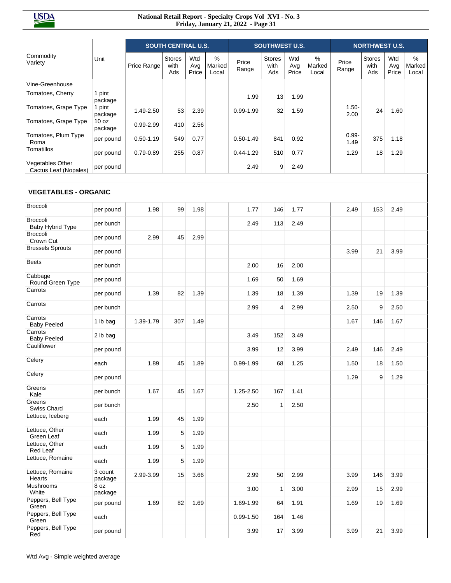|                                           |                              |               | <b>SOUTH CENTRAL U.S.</b>    |                     |                         |                | <b>SOUTHWEST U.S.</b>        |                     |                         |                  | <b>NORTHWEST U.S.</b> |                     |                         |
|-------------------------------------------|------------------------------|---------------|------------------------------|---------------------|-------------------------|----------------|------------------------------|---------------------|-------------------------|------------------|-----------------------|---------------------|-------------------------|
| Commodity<br>Variety                      | Unit                         | Price Range   | <b>Stores</b><br>with<br>Ads | Wtd<br>Avg<br>Price | $\%$<br>Marked<br>Local | Price<br>Range | <b>Stores</b><br>with<br>Ads | Wtd<br>Avg<br>Price | $\%$<br>Marked<br>Local | Price<br>Range   | Stores<br>with<br>Ads | Wtd<br>Avg<br>Price | $\%$<br>Marked<br>Local |
| Vine-Greenhouse                           |                              |               |                              |                     |                         |                |                              |                     |                         |                  |                       |                     |                         |
| Tomatoes, Cherry                          | 1 pint                       |               |                              |                     |                         | 1.99           | 13                           | 1.99                |                         |                  |                       |                     |                         |
| Tomatoes, Grape Type                      | package<br>1 pint<br>package | 1.49-2.50     | 53                           | 2.39                |                         | $0.99 - 1.99$  | 32                           | 1.59                |                         | $1.50 -$<br>2.00 | 24                    | 1.60                |                         |
| Tomatoes, Grape Type                      | 10 <sub>oz</sub><br>package  | 0.99-2.99     | 410                          | 2.56                |                         |                |                              |                     |                         |                  |                       |                     |                         |
| Tomatoes, Plum Type<br>Roma               | per pound                    | $0.50 - 1.19$ | 549                          | 0.77                |                         | $0.50 - 1.49$  | 841                          | 0.92                |                         | $0.99 -$<br>1.49 | 375                   | 1.18                |                         |
| Tomatillos                                | per pound                    | 0.79-0.89     | 255                          | 0.87                |                         | $0.44 - 1.29$  | 510                          | 0.77                |                         | 1.29             | 18                    | 1.29                |                         |
| Vegetables Other<br>Cactus Leaf (Nopales) | per pound                    |               |                              |                     |                         | 2.49           | 9                            | 2.49                |                         |                  |                       |                     |                         |
| <b>VEGETABLES - ORGANIC</b>               |                              |               |                              |                     |                         |                |                              |                     |                         |                  |                       |                     |                         |
| <b>Broccoli</b>                           | per pound                    | 1.98          | 99                           | 1.98                |                         | 1.77           | 146                          | 1.77                |                         | 2.49             | 153                   | 2.49                |                         |
| <b>Broccoli</b><br>Baby Hybrid Type       | per bunch                    |               |                              |                     |                         | 2.49           | 113                          | 2.49                |                         |                  |                       |                     |                         |
| <b>Broccoli</b><br>Crown Cut              | per pound                    | 2.99          | 45                           | 2.99                |                         |                |                              |                     |                         |                  |                       |                     |                         |
| <b>Brussels Sprouts</b>                   | per pound                    |               |                              |                     |                         |                |                              |                     |                         | 3.99             | 21                    | 3.99                |                         |
| <b>Beets</b>                              | per bunch                    |               |                              |                     |                         | 2.00           | 16                           | 2.00                |                         |                  |                       |                     |                         |
| Cabbage<br>Round Green Type               | per pound                    |               |                              |                     |                         | 1.69           | 50                           | 1.69                |                         |                  |                       |                     |                         |
| Carrots                                   | per pound                    | 1.39          | 82                           | 1.39                |                         | 1.39           | 18                           | 1.39                |                         | 1.39             | 19                    | 1.39                |                         |
| Carrots                                   | per bunch                    |               |                              |                     |                         | 2.99           | 4                            | 2.99                |                         | 2.50             | 9                     | 2.50                |                         |
| Carrots<br><b>Baby Peeled</b>             | 1 lb bag                     | 1.39-1.79     | 307                          | 1.49                |                         |                |                              |                     |                         | 1.67             | 146                   | 1.67                |                         |
| Carrots<br><b>Baby Peeled</b>             | 2 lb bag                     |               |                              |                     |                         | 3.49           | 152                          | 3.49                |                         |                  |                       |                     |                         |
| Cauliflower                               | per pound                    |               |                              |                     |                         | 3.99           | 12                           | 3.99                |                         | 2.49             | 146                   | 2.49                |                         |
| Celery                                    | each                         | 1.89          | 45                           | 1.89                |                         | 0.99-1.99      | 68                           | 1.25                |                         | 1.50             | 18                    | 1.50                |                         |
| Celery                                    | per pound                    |               |                              |                     |                         |                |                              |                     |                         | 1.29             | 9                     | 1.29                |                         |
| Greens<br>Kale                            | per bunch                    | 1.67          | 45                           | 1.67                |                         | 1.25-2.50      | 167                          | 1.41                |                         |                  |                       |                     |                         |
| Greens<br>Swiss Chard                     | per bunch                    |               |                              |                     |                         | 2.50           | $\mathbf{1}$                 | 2.50                |                         |                  |                       |                     |                         |
| Lettuce, Iceberg                          | each                         | 1.99          | 45                           | 1.99                |                         |                |                              |                     |                         |                  |                       |                     |                         |
| Lettuce, Other<br>Green Leaf              | each                         | 1.99          | 5                            | 1.99                |                         |                |                              |                     |                         |                  |                       |                     |                         |
| Lettuce, Other<br>Red Leaf                | each                         | 1.99          | 5                            | 1.99                |                         |                |                              |                     |                         |                  |                       |                     |                         |
| Lettuce, Romaine                          | each                         | 1.99          | 5                            | 1.99                |                         |                |                              |                     |                         |                  |                       |                     |                         |
| Lettuce, Romaine<br>Hearts                | 3 count<br>package           | 2.99-3.99     | 15                           | 3.66                |                         | 2.99           | 50                           | 2.99                |                         | 3.99             | 146                   | 3.99                |                         |
| Mushrooms<br>White                        | 8 oz<br>package              |               |                              |                     |                         | 3.00           | $\mathbf{1}$                 | 3.00                |                         | 2.99             | 15                    | 2.99                |                         |
| Peppers, Bell Type<br>Green               | per pound                    | 1.69          | 82                           | 1.69                |                         | 1.69-1.99      | 64                           | 1.91                |                         | 1.69             | 19                    | 1.69                |                         |
| Peppers, Bell Type<br>Green               | each                         |               |                              |                     |                         | $0.99 - 1.50$  | 164                          | 1.46                |                         |                  |                       |                     |                         |
| Peppers, Bell Type<br>Red                 | per pound                    |               |                              |                     |                         | 3.99           | 17                           | 3.99                |                         | 3.99             | 21                    | 3.99                |                         |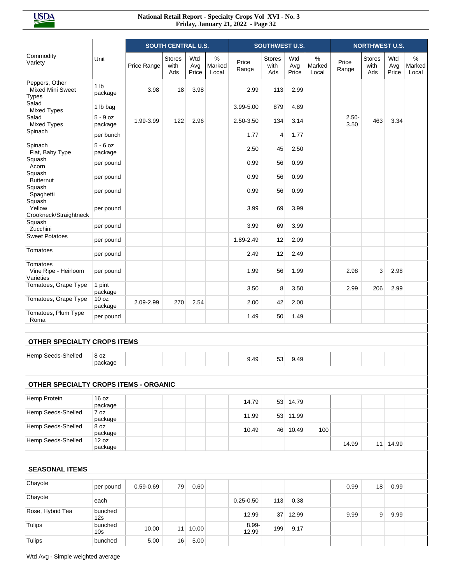|                                                    |                             |             | <b>SOUTH CENTRAL U.S.</b>    |                     |                      |                | <b>SOUTHWEST U.S.</b>        |                     |                      |                  | <b>NORTHWEST U.S.</b>        |                     |                         |
|----------------------------------------------------|-----------------------------|-------------|------------------------------|---------------------|----------------------|----------------|------------------------------|---------------------|----------------------|------------------|------------------------------|---------------------|-------------------------|
| Commodity<br>Variety                               | Unit                        | Price Range | <b>Stores</b><br>with<br>Ads | Wtd<br>Avg<br>Price | %<br>Marked<br>Local | Price<br>Range | <b>Stores</b><br>with<br>Ads | Wtd<br>Avg<br>Price | %<br>Marked<br>Local | Price<br>Range   | <b>Stores</b><br>with<br>Ads | Wtd<br>Avg<br>Price | $\%$<br>Marked<br>Local |
| Peppers, Other<br>Mixed Mini Sweet<br><b>Types</b> | 1 <sub>lb</sub><br>package  | 3.98        | 18                           | 3.98                |                      | 2.99           | 113                          | 2.99                |                      |                  |                              |                     |                         |
| Salad<br><b>Mixed Types</b>                        | 1 lb bag                    |             |                              |                     |                      | 3.99-5.00      | 879                          | 4.89                |                      |                  |                              |                     |                         |
| Salad<br><b>Mixed Types</b>                        | $5 - 9$ oz<br>package       | 1.99-3.99   | 122                          | 2.96                |                      | 2.50-3.50      | 134                          | 3.14                |                      | $2.50 -$<br>3.50 | 463                          | 3.34                |                         |
| Spinach                                            | per bunch                   |             |                              |                     |                      | 1.77           | 4                            | 1.77                |                      |                  |                              |                     |                         |
| Spinach<br>Flat, Baby Type                         | $5 - 6$ oz<br>package       |             |                              |                     |                      | 2.50           | 45                           | 2.50                |                      |                  |                              |                     |                         |
| Squash<br>Acorn                                    | per pound                   |             |                              |                     |                      | 0.99           | 56                           | 0.99                |                      |                  |                              |                     |                         |
| Squash<br><b>Butternut</b>                         | per pound                   |             |                              |                     |                      | 0.99           | 56                           | 0.99                |                      |                  |                              |                     |                         |
| Squash<br>Spaghetti                                | per pound                   |             |                              |                     |                      | 0.99           | 56                           | 0.99                |                      |                  |                              |                     |                         |
| Squash<br>Yellow<br>Crookneck/Straightneck         | per pound                   |             |                              |                     |                      | 3.99           | 69                           | 3.99                |                      |                  |                              |                     |                         |
| Squash<br>Zucchini                                 | per pound                   |             |                              |                     |                      | 3.99           | 69                           | 3.99                |                      |                  |                              |                     |                         |
| <b>Sweet Potatoes</b>                              | per pound                   |             |                              |                     |                      | 1.89-2.49      | 12                           | 2.09                |                      |                  |                              |                     |                         |
| Tomatoes                                           | per pound                   |             |                              |                     |                      | 2.49           | 12                           | 2.49                |                      |                  |                              |                     |                         |
| Tomatoes<br>Vine Ripe - Heirloom<br>Varieties      | per pound                   |             |                              |                     |                      | 1.99           | 56                           | 1.99                |                      | 2.98             | 3                            | 2.98                |                         |
| Tomatoes, Grape Type                               | 1 pint<br>package           |             |                              |                     |                      | 3.50           | 8                            | 3.50                |                      | 2.99             | 206                          | 2.99                |                         |
| Tomatoes, Grape Type                               | 10 <sub>oz</sub><br>package | 2.09-2.99   | 270                          | 2.54                |                      | 2.00           | 42                           | 2.00                |                      |                  |                              |                     |                         |
| Tomatoes, Plum Type<br>Roma                        | per pound                   |             |                              |                     |                      | 1.49           | 50                           | 1.49                |                      |                  |                              |                     |                         |
| <b>OTHER SPECIALTY CROPS ITEMS</b>                 |                             |             |                              |                     |                      |                |                              |                     |                      |                  |                              |                     |                         |
| Hemp Seeds-Shelled                                 | 8 oz<br>package             |             |                              |                     |                      | 9.49           | 53                           | 9.49                |                      |                  |                              |                     |                         |
| OTHER SPECIALTY CROPS ITEMS - ORGANIC              |                             |             |                              |                     |                      |                |                              |                     |                      |                  |                              |                     |                         |
| Hemp Protein                                       | 16 oz<br>package            |             |                              |                     |                      | 14.79          |                              | 53 14.79            |                      |                  |                              |                     |                         |
| Hemp Seeds-Shelled                                 | 7 oz<br>package             |             |                              |                     |                      | 11.99          |                              | 53 11.99            |                      |                  |                              |                     |                         |
| Hemp Seeds-Shelled                                 | 8 oz<br>package             |             |                              |                     |                      | 10.49          |                              | 46 10.49            | 100                  |                  |                              |                     |                         |
| Hemp Seeds-Shelled                                 | 12 oz<br>package            |             |                              |                     |                      |                |                              |                     |                      | 14.99            |                              | 11 14.99            |                         |
| <b>SEASONAL ITEMS</b>                              |                             |             |                              |                     |                      |                |                              |                     |                      |                  |                              |                     |                         |
| Chayote                                            | per pound                   | 0.59-0.69   | 79                           | 0.60                |                      |                |                              |                     |                      | 0.99             | 18                           | 0.99                |                         |
| Chayote                                            | each                        |             |                              |                     |                      | $0.25 - 0.50$  | 113                          | 0.38                |                      |                  |                              |                     |                         |
| Rose, Hybrid Tea                                   | bunched<br>12s              |             |                              |                     |                      | 12.99          | 37 <sup>1</sup>              | 12.99               |                      | 9.99             | 9                            | 9.99                |                         |
| Tulips                                             | bunched<br>10 <sub>s</sub>  | 10.00       | 11                           | 10.00               |                      | 8.99-<br>12.99 | 199                          | 9.17                |                      |                  |                              |                     |                         |
| <b>Tulips</b>                                      | bunched                     | 5.00        | 16                           | 5.00                |                      |                |                              |                     |                      |                  |                              |                     |                         |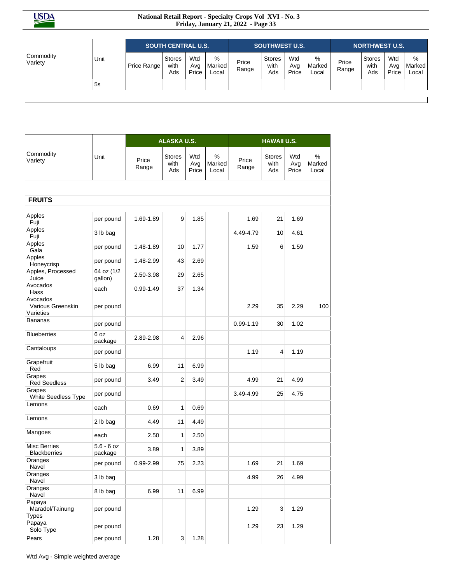|                      |      |             | <b>SOUTH CENTRAL U.S.</b> |                     |                      |                | <b>SOUTHWEST U.S.</b>        |                     |                      |                | <b>NORTHWEST U.S.</b>        |                     |                      |
|----------------------|------|-------------|---------------------------|---------------------|----------------------|----------------|------------------------------|---------------------|----------------------|----------------|------------------------------|---------------------|----------------------|
| Commodity<br>Variety | Unit | Price Range | Stores<br>with<br>Ads     | Wtd<br>Avg<br>Price | %<br>Marked<br>Local | Price<br>Range | <b>Stores</b><br>with<br>Ads | Wtd<br>Avg<br>Price | %<br>Marked<br>Local | Price<br>Range | <b>Stores</b><br>with<br>Ads | Wtd<br>Avg<br>Price | %<br>Marked<br>Local |
|                      | 5s   |             |                           |                     |                      |                |                              |                     |                      |                |                              |                     |                      |

|                                            |                         |                | <b>ALASKA U.S.</b>           |                     |                      |                | <b>HAWAII U.S.</b>           |                     |                      |
|--------------------------------------------|-------------------------|----------------|------------------------------|---------------------|----------------------|----------------|------------------------------|---------------------|----------------------|
| Commodity<br>Variety                       | Unit                    | Price<br>Range | <b>Stores</b><br>with<br>Ads | Wtd<br>Avg<br>Price | %<br>Marked<br>Local | Price<br>Range | <b>Stores</b><br>with<br>Ads | Wtd<br>Avg<br>Price | %<br>Marked<br>Local |
|                                            |                         |                |                              |                     |                      |                |                              |                     |                      |
| <b>FRUITS</b>                              |                         |                |                              |                     |                      |                |                              |                     |                      |
| Apples<br>Fuji                             | per pound               | 1.69-1.89      | 9                            | 1.85                |                      | 1.69           | 21                           | 1.69                |                      |
| Apples<br>Fuji                             | 3 lb bag                |                |                              |                     |                      | 4.49-4.79      | 10                           | 4.61                |                      |
| Apples<br>Gala                             | per pound               | 1.48-1.89      | 10                           | 1.77                |                      | 1.59           | 6                            | 1.59                |                      |
| Apples<br>Honeycrisp                       | per pound               | 1.48-2.99      | 43                           | 2.69                |                      |                |                              |                     |                      |
| Apples, Processed<br>Juice                 | 64 oz (1/2<br>gallon)   | 2.50-3.98      | 29                           | 2.65                |                      |                |                              |                     |                      |
| Avocados<br>Hass                           | each                    | $0.99 - 1.49$  | 37                           | 1.34                |                      |                |                              |                     |                      |
| Avocados<br>Various Greenskin<br>Varieties | per pound               |                |                              |                     |                      | 2.29           | 35                           | 2.29                | 100                  |
| Bananas                                    | per pound               |                |                              |                     |                      | $0.99 - 1.19$  | 30                           | 1.02                |                      |
| <b>Blueberries</b>                         | 6 oz<br>package         | 2.89-2.98      | 4                            | 2.96                |                      |                |                              |                     |                      |
| Cantaloups                                 | per pound               |                |                              |                     |                      | 1.19           | 4                            | 1.19                |                      |
| Grapefruit<br>Red                          | 5 lb bag                | 6.99           | 11                           | 6.99                |                      |                |                              |                     |                      |
| Grapes<br><b>Red Seedless</b>              | per pound               | 3.49           | $\overline{2}$               | 3.49                |                      | 4.99           | 21                           | 4.99                |                      |
| Grapes<br>White Seedless Type              | per pound               |                |                              |                     |                      | 3.49-4.99      | 25                           | 4.75                |                      |
| Lemons                                     | each                    | 0.69           | 1                            | 0.69                |                      |                |                              |                     |                      |
| Lemons                                     | 2 lb bag                | 4.49           | 11                           | 4.49                |                      |                |                              |                     |                      |
| Mangoes                                    | each                    | 2.50           | 1                            | 2.50                |                      |                |                              |                     |                      |
| Misc Berries<br><b>Blackberries</b>        | $5.6 - 6$ oz<br>package | 3.89           | 1                            | 3.89                |                      |                |                              |                     |                      |
| Oranges<br>Navel                           | per pound               | 0.99-2.99      | 75                           | 2.23                |                      | 1.69           | 21                           | 1.69                |                      |
| Oranges<br>Navel                           | 3 lb bag                |                |                              |                     |                      | 4.99           | 26                           | 4.99                |                      |
| Oranges<br>Navel                           | 8 lb bag                | 6.99           | 11                           | 6.99                |                      |                |                              |                     |                      |
| Papaya<br>Maradol/Tainung<br><b>Types</b>  | per pound               |                |                              |                     |                      | 1.29           | 3                            | 1.29                |                      |
| Papaya<br>Solo Type                        | per pound               |                |                              |                     |                      | 1.29           | 23                           | 1.29                |                      |
| Pears                                      | per pound               | 1.28           | $\overline{3}$               | 1.28                |                      |                |                              |                     |                      |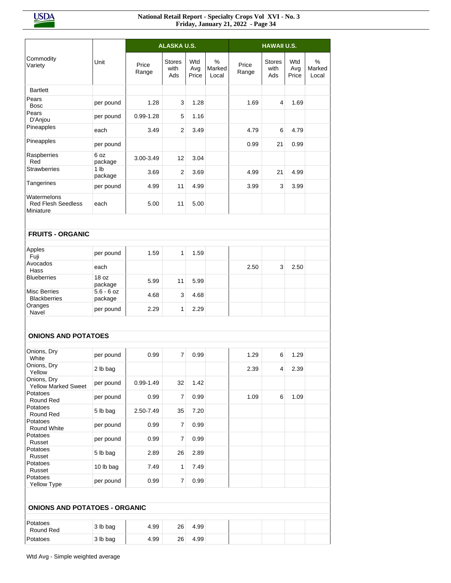|                                                       |                            |                | <b>ALASKA U.S.</b>           |                     |                      |                | <b>HAWAII U.S.</b>           |                     |                      |
|-------------------------------------------------------|----------------------------|----------------|------------------------------|---------------------|----------------------|----------------|------------------------------|---------------------|----------------------|
|                                                       |                            |                |                              |                     |                      |                |                              |                     |                      |
| Commodity<br>Variety                                  | Unit                       | Price<br>Range | <b>Stores</b><br>with<br>Ads | Wtd<br>Avg<br>Price | %<br>Marked<br>Local | Price<br>Range | <b>Stores</b><br>with<br>Ads | Wtd<br>Avg<br>Price | %<br>Marked<br>Local |
| <b>Bartlett</b>                                       |                            |                |                              |                     |                      |                |                              |                     |                      |
| Pears<br><b>Bosc</b>                                  | per pound                  | 1.28           | 3                            | 1.28                |                      | 1.69           | 4                            | 1.69                |                      |
| Pears<br>D'Anjou                                      | per pound                  | $0.99 - 1.28$  | 5                            | 1.16                |                      |                |                              |                     |                      |
| Pineapples                                            | each                       | 3.49           | $\overline{2}$               | 3.49                |                      | 4.79           | 6                            | 4.79                |                      |
| Pineapples                                            | per pound                  |                |                              |                     |                      | 0.99           | 21                           | 0.99                |                      |
| Raspberries<br>Red                                    | 6 oz<br>package            | 3.00-3.49      | 12                           | 3.04                |                      |                |                              |                     |                      |
| <b>Strawberries</b>                                   | 1 <sub>lb</sub><br>package | 3.69           | $\overline{2}$               | 3.69                |                      | 4.99           | 21                           | 4.99                |                      |
| Tangerines                                            | per pound                  | 4.99           | 11                           | 4.99                |                      | 3.99           | 3                            | 3.99                |                      |
| Watermelons<br><b>Red Flesh Seedless</b><br>Miniature | each                       | 5.00           | 11                           | 5.00                |                      |                |                              |                     |                      |
| <b>FRUITS - ORGANIC</b>                               |                            |                |                              |                     |                      |                |                              |                     |                      |
| Apples                                                | per pound                  | 1.59           | $\mathbf{1}$                 | 1.59                |                      |                |                              |                     |                      |
| Fuji<br>Avocados                                      | each                       |                |                              |                     |                      | 2.50           | 3                            | 2.50                |                      |
| Hass<br><b>Blueberries</b>                            | 18 oz                      | 5.99           | 11                           | 5.99                |                      |                |                              |                     |                      |
| <b>Misc Berries</b>                                   | package<br>$5.6 - 6$ oz    | 4.68           | 3                            | 4.68                |                      |                |                              |                     |                      |
| <b>Blackberries</b><br>Oranges                        | package<br>per pound       | 2.29           | 1                            | 2.29                |                      |                |                              |                     |                      |
| Navel                                                 |                            |                |                              |                     |                      |                |                              |                     |                      |
| <b>ONIONS AND POTATOES</b>                            |                            |                |                              |                     |                      |                |                              |                     |                      |
|                                                       |                            |                |                              |                     |                      |                |                              |                     |                      |
| Onions, Dry<br>White                                  | per pound                  | 0.99           | $\overline{7}$               | 0.99                |                      | 1.29           | 6                            | 1.29                |                      |
| Onions, Dry<br>Yellow                                 | 2 lb bag                   |                |                              |                     |                      | 2.39           | 4                            | 2.39                |                      |
| Onions, Dry<br><b>Yellow Marked Sweet</b>             | per pound                  | $0.99 - 1.49$  | 32                           | 1.42                |                      |                |                              |                     |                      |
| Potatoes<br>Round Red                                 | per pound                  | 0.99           | 7                            | 0.99                |                      | 1.09           | 6                            | 1.09                |                      |
| Potatoes<br>Round Red                                 | 5 lb bag                   | 2.50-7.49      | 35                           | 7.20                |                      |                |                              |                     |                      |
| Potatoes<br>Round White                               | per pound                  | 0.99           | $\overline{7}$               | 0.99                |                      |                |                              |                     |                      |
| Potatoes<br>Russet                                    | per pound                  | 0.99           | $\overline{7}$               | 0.99                |                      |                |                              |                     |                      |
| Potatoes<br>Russet                                    | 5 lb bag                   | 2.89           | 26                           | 2.89                |                      |                |                              |                     |                      |
| Potatoes<br>Russet                                    | 10 lb bag                  | 7.49           | 1                            | 7.49                |                      |                |                              |                     |                      |
| Potatoes<br>Yellow Type                               | per pound                  | 0.99           | 7                            | 0.99                |                      |                |                              |                     |                      |
|                                                       |                            |                |                              |                     |                      |                |                              |                     |                      |
| <b>ONIONS AND POTATOES - ORGANIC</b>                  |                            |                |                              |                     |                      |                |                              |                     |                      |
| Potatoes<br>Round Red                                 | 3 lb bag                   | 4.99           | 26                           | 4.99                |                      |                |                              |                     |                      |
| Potatoes                                              | 3 lb bag                   | 4.99           | 26                           | 4.99                |                      |                |                              |                     |                      |
|                                                       |                            |                |                              |                     |                      |                |                              |                     |                      |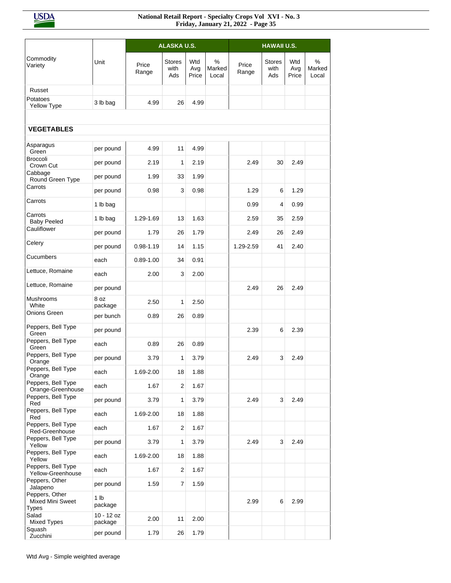**USDA** 

|                                                    |                            |                | <b>ALASKA U.S.</b>           |                     |                      |                | <b>HAWAII U.S.</b>           |                     |                      |
|----------------------------------------------------|----------------------------|----------------|------------------------------|---------------------|----------------------|----------------|------------------------------|---------------------|----------------------|
| Commodity<br>Variety                               | Unit                       | Price<br>Range | <b>Stores</b><br>with<br>Ads | Wtd<br>Avg<br>Price | %<br>Marked<br>Local | Price<br>Range | <b>Stores</b><br>with<br>Ads | Wtd<br>Avg<br>Price | %<br>Marked<br>Local |
| Russet                                             |                            |                |                              |                     |                      |                |                              |                     |                      |
| Potatoes<br>Yellow Type                            | 3 lb bag                   | 4.99           | 26                           | 4.99                |                      |                |                              |                     |                      |
|                                                    |                            |                |                              |                     |                      |                |                              |                     |                      |
| <b>VEGETABLES</b>                                  |                            |                |                              |                     |                      |                |                              |                     |                      |
| Asparagus<br>Green                                 | per pound                  | 4.99           | 11                           | 4.99                |                      |                |                              |                     |                      |
| <b>Broccoli</b><br>Crown Cut                       | per pound                  | 2.19           | 1                            | 2.19                |                      | 2.49           | 30                           | 2.49                |                      |
| Cabbage<br>Round Green Type                        | per pound                  | 1.99           | 33                           | 1.99                |                      |                |                              |                     |                      |
| Carrots                                            | per pound                  | 0.98           | 3                            | 0.98                |                      | 1.29           | 6                            | 1.29                |                      |
| Carrots                                            | 1 lb bag                   |                |                              |                     |                      | 0.99           | 4                            | 0.99                |                      |
| Carrots<br><b>Baby Peeled</b>                      | 1 lb bag                   | 1.29-1.69      | 13                           | 1.63                |                      | 2.59           | 35                           | 2.59                |                      |
| Cauliflower                                        | per pound                  | 1.79           | 26                           | 1.79                |                      | 2.49           | 26                           | 2.49                |                      |
| Celery                                             | per pound                  | $0.98 - 1.19$  | 14                           | 1.15                |                      | 1.29-2.59      | 41                           | 2.40                |                      |
| Cucumbers                                          | each                       | $0.89 - 1.00$  | 34                           | 0.91                |                      |                |                              |                     |                      |
| Lettuce, Romaine                                   | each                       | 2.00           | 3                            | 2.00                |                      |                |                              |                     |                      |
| Lettuce, Romaine                                   | per pound                  |                |                              |                     |                      | 2.49           | 26                           | 2.49                |                      |
| <b>Mushrooms</b><br>White                          | 8 oz<br>package            | 2.50           | 1                            | 2.50                |                      |                |                              |                     |                      |
| Onions Green                                       | per bunch                  | 0.89           | 26                           | 0.89                |                      |                |                              |                     |                      |
| Peppers, Bell Type<br>Green                        | per pound                  |                |                              |                     |                      | 2.39           | 6                            | 2.39                |                      |
| Peppers, Bell Type<br>Green                        | each                       | 0.89           | 26                           | 0.89                |                      |                |                              |                     |                      |
| Peppers, Bell Type<br>Orange                       | per pound                  | 3.79           | 1                            | 3.79                |                      | 2.49           | 3                            | 2.49                |                      |
| Peppers, Bell Type<br>Orange                       | each                       | 1.69-2.00      | 18                           | 1.88                |                      |                |                              |                     |                      |
| Peppers, Bell Type<br>Orange-Greenhouse            | each                       | 1.67           | $\overline{2}$               | 1.67                |                      |                |                              |                     |                      |
| Peppers, Bell Type<br>Red                          | per pound                  | 3.79           | 1                            | 3.79                |                      | 2.49           | 3                            | 2.49                |                      |
| Peppers, Bell Type<br>Red                          | each                       | 1.69-2.00      | 18                           | 1.88                |                      |                |                              |                     |                      |
| Peppers, Bell Type<br>Red-Greenhouse               | each                       | 1.67           | $\overline{2}$               | 1.67                |                      |                |                              |                     |                      |
| Peppers, Bell Type<br>Yellow                       | per pound                  | 3.79           | 1                            | 3.79                |                      | 2.49           | 3                            | 2.49                |                      |
| Peppers, Bell Type<br>Yellow                       | each                       | 1.69-2.00      | 18                           | 1.88                |                      |                |                              |                     |                      |
| Peppers, Bell Type<br>Yellow-Greenhouse            | each                       | 1.67           | $\overline{\mathbf{c}}$      | 1.67                |                      |                |                              |                     |                      |
| Peppers, Other<br>Jalapeno                         | per pound                  | 1.59           | $\overline{7}$               | 1.59                |                      |                |                              |                     |                      |
| Peppers, Other<br>Mixed Mini Sweet<br><b>Types</b> | 1 <sub>lb</sub><br>package |                |                              |                     |                      | 2.99           | 6                            | 2.99                |                      |
| Salad<br>Mixed Types                               | 10 - 12 oz<br>package      | 2.00           | 11                           | 2.00                |                      |                |                              |                     |                      |
| Squash<br>Zucchini                                 | per pound                  | 1.79           | 26                           | 1.79                |                      |                |                              |                     |                      |